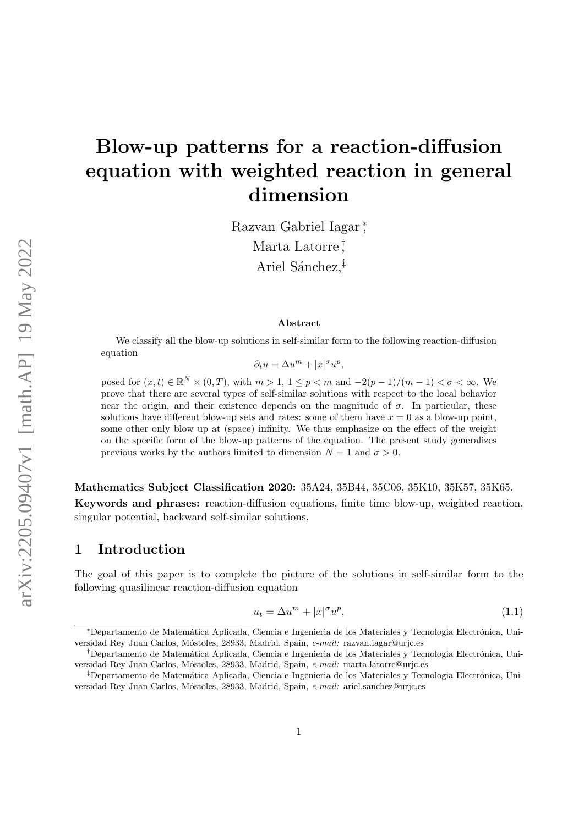# Blow-up patterns for a reaction-diffusion equation with weighted reaction in general dimension

Razvan Gabriel Iagar <sup>∗</sup> , Marta Latorre † , Ariel Sánchez, $\ddagger$ 

#### Abstract

We classify all the blow-up solutions in self-similar form to the following reaction-diffusion equation

$$
\partial_t u = \Delta u^m + |x|^\sigma u^p,
$$

posed for  $(x,t) \in \mathbb{R}^N \times (0,T)$ , with  $m > 1$ ,  $1 \leq p < m$  and  $-2(p-1)/(m-1) < \sigma < \infty$ . We prove that there are several types of self-similar solutions with respect to the local behavior near the origin, and their existence depends on the magnitude of  $\sigma$ . In particular, these solutions have different blow-up sets and rates: some of them have  $x = 0$  as a blow-up point, some other only blow up at (space) infinity. We thus emphasize on the effect of the weight on the specific form of the blow-up patterns of the equation. The present study generalizes previous works by the authors limited to dimension  $N = 1$  and  $\sigma > 0$ .

Mathematics Subject Classification 2020: 35A24, 35B44, 35C06, 35K10, 35K57, 35K65. Keywords and phrases: reaction-diffusion equations, finite time blow-up, weighted reaction, singular potential, backward self-similar solutions.

#### 1 Introduction

The goal of this paper is to complete the picture of the solutions in self-similar form to the following quasilinear reaction-diffusion equation

<span id="page-0-0"></span>
$$
u_t = \Delta u^m + |x|^\sigma u^p,\tag{1.1}
$$

<sup>\*</sup>Departamento de Matemática Aplicada, Ciencia e Ingenieria de los Materiales y Tecnologia Electrónica, Universidad Rey Juan Carlos, Móstoles, 28933, Madrid, Spain, e-mail: razvan.iagar@urjc.es

<sup>&</sup>lt;sup>†</sup>Departamento de Matemática Aplicada, Ciencia e Ingenieria de los Materiales y Tecnologia Electrónica, Universidad Rey Juan Carlos, Móstoles, 28933, Madrid, Spain, e-mail: marta.latorre@urjc.es

 $\textsuperscript{†}$ Departamento de Matemática Aplicada, Ciencia e Ingenieria de los Materiales y Tecnologia Electrónica, Universidad Rey Juan Carlos, Móstoles, 28933, Madrid, Spain, e-mail: ariel.sanchez@urjc.es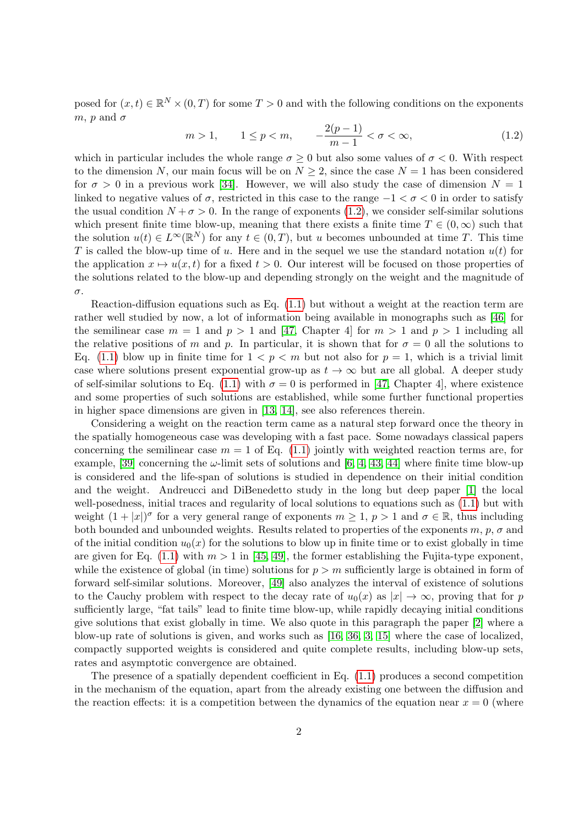posed for  $(x,t) \in \mathbb{R}^N \times (0,T)$  for some  $T > 0$  and with the following conditions on the exponents  $m, p$  and  $\sigma$ 

<span id="page-1-0"></span>
$$
m > 1,
$$
  $1 \le p < m,$   $-\frac{2(p-1)}{m-1} < \sigma < \infty,$  (1.2)

which in particular includes the whole range  $\sigma \geq 0$  but also some values of  $\sigma < 0$ . With respect to the dimension N, our main focus will be on  $N \geq 2$ , since the case  $N = 1$  has been considered for  $\sigma > 0$  in a previous work [\[34\]](#page-45-0). However, we will also study the case of dimension  $N = 1$ linked to negative values of  $\sigma$ , restricted in this case to the range  $-1 < \sigma < 0$  in order to satisfy the usual condition  $N + \sigma > 0$ . In the range of exponents [\(1.2\)](#page-1-0), we consider self-similar solutions which present finite time blow-up, meaning that there exists a finite time  $T \in (0, \infty)$  such that the solution  $u(t) \in L^{\infty}(\mathbb{R}^N)$  for any  $t \in (0,T)$ , but u becomes unbounded at time T. This time T is called the blow-up time of u. Here and in the sequel we use the standard notation  $u(t)$  for the application  $x \mapsto u(x, t)$  for a fixed  $t > 0$ . Our interest will be focused on those properties of the solutions related to the blow-up and depending strongly on the weight and the magnitude of σ.

Reaction-diffusion equations such as Eq. [\(1.1\)](#page-0-0) but without a weight at the reaction term are rather well studied by now, a lot of information being available in monographs such as [\[46\]](#page-46-0) for the semilinear case  $m = 1$  and  $p > 1$  and [\[47,](#page-46-1) Chapter 4] for  $m > 1$  and  $p > 1$  including all the relative positions of m and p. In particular, it is shown that for  $\sigma = 0$  all the solutions to Eq. [\(1.1\)](#page-0-0) blow up in finite time for  $1 < p < m$  but not also for  $p = 1$ , which is a trivial limit case where solutions present exponential grow-up as  $t \to \infty$  but are all global. A deeper study of self-similar solutions to Eq. [\(1.1\)](#page-0-0) with  $\sigma = 0$  is performed in [\[47,](#page-46-1) Chapter 4], where existence and some properties of such solutions are established, while some further functional properties in higher space dimensions are given in [\[13,](#page-44-0) [14\]](#page-44-1), see also references therein.

Considering a weight on the reaction term came as a natural step forward once the theory in the spatially homogeneous case was developing with a fast pace. Some nowadays classical papers concerning the semilinear case  $m = 1$  of Eq. [\(1.1\)](#page-0-0) jointly with weighted reaction terms are, for example, [\[39\]](#page-46-2) concerning the  $\omega$ -limit sets of solutions and [\[6,](#page-44-2) [4,](#page-44-3) [43,](#page-46-3) [44\]](#page-46-4) where finite time blow-up is considered and the life-span of solutions is studied in dependence on their initial condition and the weight. Andreucci and DiBenedetto study in the long but deep paper [\[1\]](#page-43-0) the local well-posedness, initial traces and regularity of local solutions to equations such as [\(1.1\)](#page-0-0) but with weight  $(1+|x|)^{\sigma}$  for a very general range of exponents  $m \geq 1$ ,  $p > 1$  and  $\sigma \in \mathbb{R}$ , thus including both bounded and unbounded weights. Results related to properties of the exponents  $m, p, \sigma$  and of the initial condition  $u_0(x)$  for the solutions to blow up in finite time or to exist globally in time are given for Eq. [\(1.1\)](#page-0-0) with  $m > 1$  in [\[45,](#page-46-5) [49\]](#page-46-6), the former establishing the Fujita-type exponent, while the existence of global (in time) solutions for  $p > m$  sufficiently large is obtained in form of forward self-similar solutions. Moreover, [\[49\]](#page-46-6) also analyzes the interval of existence of solutions to the Cauchy problem with respect to the decay rate of  $u_0(x)$  as  $|x| \to \infty$ , proving that for p sufficiently large, "fat tails" lead to finite time blow-up, while rapidly decaying initial conditions give solutions that exist globally in time. We also quote in this paragraph the paper [\[2\]](#page-43-1) where a blow-up rate of solutions is given, and works such as [\[16,](#page-44-4) [36,](#page-46-7) [3,](#page-43-2) [15\]](#page-44-5) where the case of localized, compactly supported weights is considered and quite complete results, including blow-up sets, rates and asymptotic convergence are obtained.

The presence of a spatially dependent coefficient in Eq. [\(1.1\)](#page-0-0) produces a second competition in the mechanism of the equation, apart from the already existing one between the diffusion and the reaction effects: it is a competition between the dynamics of the equation near  $x = 0$  (where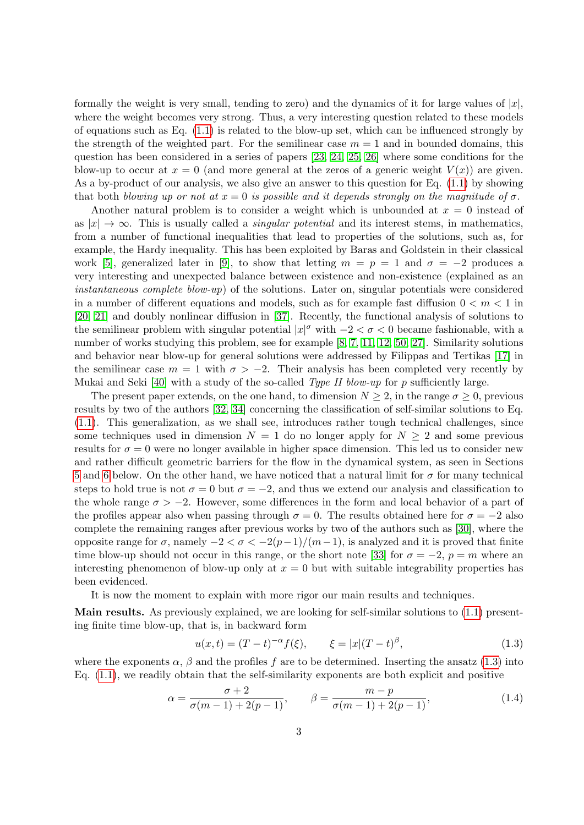formally the weight is very small, tending to zero) and the dynamics of it for large values of  $|x|$ , where the weight becomes very strong. Thus, a very interesting question related to these models of equations such as Eq.  $(1.1)$  is related to the blow-up set, which can be influenced strongly by the strength of the weighted part. For the semilinear case  $m = 1$  and in bounded domains, this question has been considered in a series of papers [\[23,](#page-45-1) [24,](#page-45-2) [25,](#page-45-3) [26\]](#page-45-4) where some conditions for the blow-up to occur at  $x = 0$  (and more general at the zeros of a generic weight  $V(x)$ ) are given. As a by-product of our analysis, we also give an answer to this question for Eq. [\(1.1\)](#page-0-0) by showing that both blowing up or not at  $x = 0$  is possible and it depends strongly on the magnitude of  $\sigma$ .

Another natural problem is to consider a weight which is unbounded at  $x = 0$  instead of as  $|x| \to \infty$ . This is usually called a *singular potential* and its interest stems, in mathematics, from a number of functional inequalities that lead to properties of the solutions, such as, for example, the Hardy inequality. This has been exploited by Baras and Goldstein in their classical work [\[5\]](#page-44-6), generalized later in [\[9\]](#page-44-7), to show that letting  $m = p = 1$  and  $\sigma = -2$  produces a very interesting and unexpected balance between existence and non-existence (explained as an *instantaneous complete blow-up*) of the solutions. Later on, singular potentials were considered in a number of different equations and models, such as for example fast diffusion  $0 < m < 1$  in [\[20,](#page-44-8) [21\]](#page-45-5) and doubly nonlinear diffusion in [\[37\]](#page-46-8). Recently, the functional analysis of solutions to the semilinear problem with singular potential  $|x|^{\sigma}$  with  $-2 < \sigma < 0$  became fashionable, with a number of works studying this problem, see for example [\[8,](#page-44-9) [7,](#page-44-10) [11,](#page-44-11) [12,](#page-44-12) [50,](#page-46-9) [27\]](#page-45-6). Similarity solutions and behavior near blow-up for general solutions were addressed by Filippas and Tertikas [\[17\]](#page-44-13) in the semilinear case  $m = 1$  with  $\sigma > -2$ . Their analysis has been completed very recently by Mukai and Seki [\[40\]](#page-46-10) with a study of the so-called *Type II blow-up* for p sufficiently large.

The present paper extends, on the one hand, to dimension  $N \geq 2$ , in the range  $\sigma \geq 0$ , previous results by two of the authors [\[32,](#page-45-7) [34\]](#page-45-0) concerning the classification of self-similar solutions to Eq. [\(1.1\)](#page-0-0). This generalization, as we shall see, introduces rather tough technical challenges, since some techniques used in dimension  $N = 1$  do no longer apply for  $N \geq 2$  and some previous results for  $\sigma = 0$  were no longer available in higher space dimension. This led us to consider new and rather difficult geometric barriers for the flow in the dynamical system, as seen in Sections [5](#page-23-0) and [6](#page-37-0) below. On the other hand, we have noticed that a natural limit for  $\sigma$  for many technical steps to hold true is not  $\sigma = 0$  but  $\sigma = -2$ , and thus we extend our analysis and classification to the whole range  $\sigma > -2$ . However, some differences in the form and local behavior of a part of the profiles appear also when passing through  $\sigma = 0$ . The results obtained here for  $\sigma = -2$  also complete the remaining ranges after previous works by two of the authors such as [\[30\]](#page-45-8), where the opposite range for  $\sigma$ , namely  $-2 < \sigma < -2(p-1)/(m-1)$ , is analyzed and it is proved that finite time blow-up should not occur in this range, or the short note [\[33\]](#page-45-9) for  $\sigma = -2$ ,  $p = m$  where an interesting phenomenon of blow-up only at  $x = 0$  but with suitable integrability properties has been evidenced.

It is now the moment to explain with more rigor our main results and techniques.

Main results. As previously explained, we are looking for self-similar solutions to [\(1.1\)](#page-0-0) presenting finite time blow-up, that is, in backward form

<span id="page-2-0"></span>
$$
u(x,t) = (T-t)^{-\alpha} f(\xi), \qquad \xi = |x|(T-t)^{\beta}, \tag{1.3}
$$

where the exponents  $\alpha$ ,  $\beta$  and the profiles f are to be determined. Inserting the ansatz [\(1.3\)](#page-2-0) into Eq. [\(1.1\)](#page-0-0), we readily obtain that the self-similarity exponents are both explicit and positive

$$
\alpha = \frac{\sigma + 2}{\sigma(m - 1) + 2(p - 1)}, \qquad \beta = \frac{m - p}{\sigma(m - 1) + 2(p - 1)},
$$
(1.4)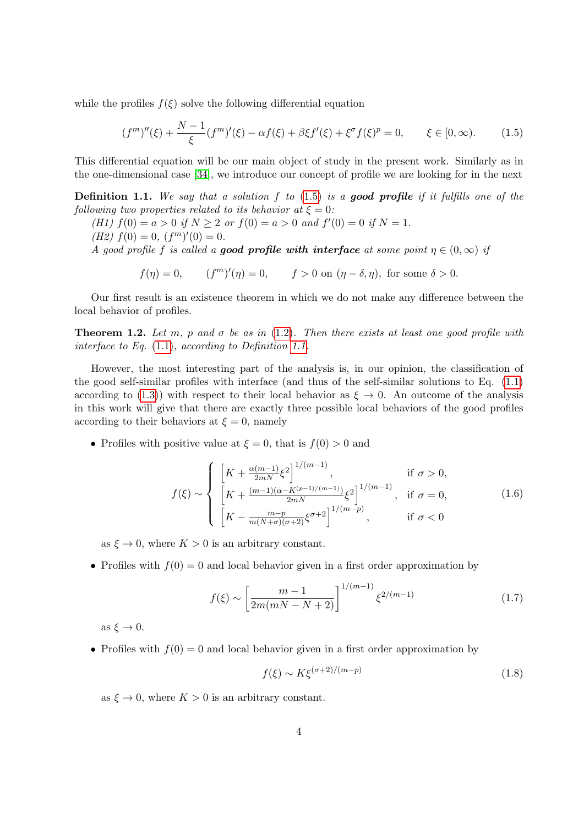while the profiles  $f(\xi)$  solve the following differential equation

<span id="page-3-0"></span>
$$
(f^{m})''(\xi) + \frac{N-1}{\xi}(f^{m})'(\xi) - \alpha f(\xi) + \beta \xi f'(\xi) + \xi^{\sigma} f(\xi)^{p} = 0, \qquad \xi \in [0, \infty). \tag{1.5}
$$

This differential equation will be our main object of study in the present work. Similarly as in the one-dimensional case [\[34\]](#page-45-0), we introduce our concept of profile we are looking for in the next

<span id="page-3-1"></span>**Definition 1.1.** We say that a solution f to  $(1.5)$  is a good profile if it fulfills one of the following two properties related to its behavior at  $\xi = 0$ :

- (H1)  $f(0) = a > 0$  if  $N \ge 2$  or  $f(0) = a > 0$  and  $f'(0) = 0$  if  $N = 1$ .
- (*H2*)  $f(0) = 0$ ,  $(f<sup>m</sup>)'(0) = 0$ .

A good profile f is called a **good profile with interface** at some point  $\eta \in (0,\infty)$  if

$$
f(\eta) = 0, \qquad (f^m)'(\eta) = 0, \qquad f > 0 \text{ on } (\eta - \delta, \eta), \text{ for some } \delta > 0.
$$

Our first result is an existence theorem in which we do not make any difference between the local behavior of profiles.

<span id="page-3-4"></span>**Theorem 1.2.** Let m, p and  $\sigma$  be as in [\(1.2\)](#page-1-0). Then there exists at least one good profile with interface to Eq. [\(1.1\)](#page-0-0), according to Definition [1.1.](#page-3-1)

However, the most interesting part of the analysis is, in our opinion, the classification of the good self-similar profiles with interface (and thus of the self-similar solutions to Eq. [\(1.1\)](#page-0-0) according to [\(1.3\)](#page-2-0)) with respect to their local behavior as  $\xi \to 0$ . An outcome of the analysis in this work will give that there are exactly three possible local behaviors of the good profiles according to their behaviors at  $\xi = 0$ , namely

• Profiles with positive value at  $\xi = 0$ , that is  $f(0) > 0$  and

<span id="page-3-5"></span>
$$
f(\xi) \sim \begin{cases} \left[ K + \frac{\alpha(m-1)}{2m} \xi^2 \right]^{1/(m-1)}, & \text{if } \sigma > 0, \\ \left[ K + \frac{(m-1)(\alpha - K^{(p-1)/(m-1)})}{2m} \xi^2 \right]^{1/(m-1)}, & \text{if } \sigma = 0, \\ \left[ K - \frac{m-p}{m(N+\sigma)(\sigma+2)} \xi^{\sigma+2} \right]^{1/(m-p)}, & \text{if } \sigma < 0 \end{cases}
$$
(1.6)

as  $\xi \to 0$ , where  $K > 0$  is an arbitrary constant.

• Profiles with  $f(0) = 0$  and local behavior given in a first order approximation by

<span id="page-3-2"></span>
$$
f(\xi) \sim \left[\frac{m-1}{2m(mN-N+2)}\right]^{1/(m-1)} \xi^{2/(m-1)} \tag{1.7}
$$

as  $\xi \to 0$ .

• Profiles with  $f(0) = 0$  and local behavior given in a first order approximation by

<span id="page-3-3"></span>
$$
f(\xi) \sim K\xi^{(\sigma+2)/(m-p)}\tag{1.8}
$$

as  $\xi \to 0$ , where  $K > 0$  is an arbitrary constant.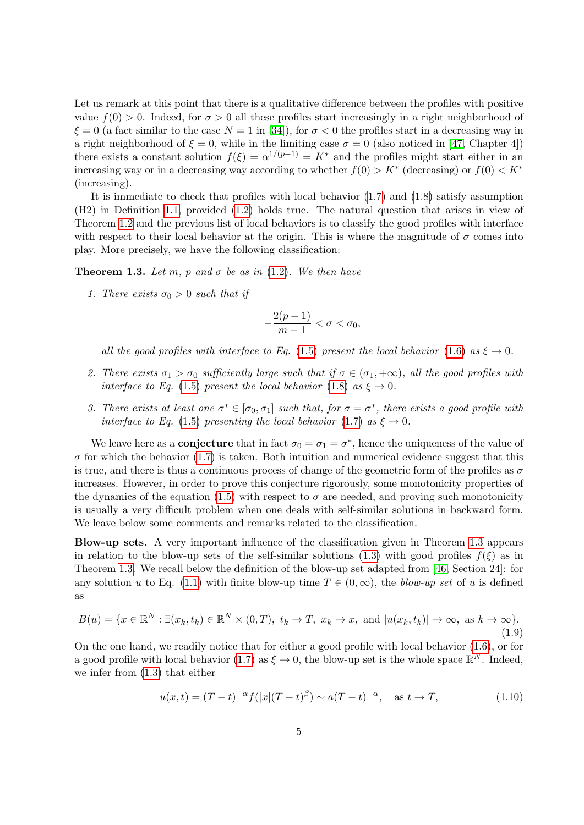Let us remark at this point that there is a qualitative difference between the profiles with positive value  $f(0) > 0$ . Indeed, for  $\sigma > 0$  all these profiles start increasingly in a right neighborhood of  $\xi = 0$  (a fact similar to the case  $N = 1$  in [\[34\]](#page-45-0)), for  $\sigma < 0$  the profiles start in a decreasing way in a right neighborhood of  $\xi = 0$ , while in the limiting case  $\sigma = 0$  (also noticed in [\[47,](#page-46-1) Chapter 4]) there exists a constant solution  $f(\xi) = \alpha^{1/(p-1)} = K^*$  and the profiles might start either in an increasing way or in a decreasing way according to whether  $f(0) > K^*$  (decreasing) or  $f(0) < K^*$ (increasing).

It is immediate to check that profiles with local behavior [\(1.7\)](#page-3-2) and [\(1.8\)](#page-3-3) satisfy assumption (H2) in Definition [1.1,](#page-3-1) provided [\(1.2\)](#page-1-0) holds true. The natural question that arises in view of Theorem [1.2](#page-3-4) and the previous list of local behaviors is to classify the good profiles with interface with respect to their local behavior at the origin. This is where the magnitude of  $\sigma$  comes into play. More precisely, we have the following classification:

<span id="page-4-0"></span>**Theorem 1.3.** Let m, p and  $\sigma$  be as in [\(1.2\)](#page-1-0). We then have

1. There exists  $\sigma_0 > 0$  such that if

$$
-\frac{2(p-1)}{m-1}<\sigma<\sigma_0,
$$

all the good profiles with interface to Eq. [\(1.5\)](#page-3-0) present the local behavior [\(1.6\)](#page-3-5) as  $\xi \to 0$ .

- 2. There exists  $\sigma_1 > \sigma_0$  sufficiently large such that if  $\sigma \in (\sigma_1, +\infty)$ , all the good profiles with interface to Eq. [\(1.5\)](#page-3-0) present the local behavior [\(1.8\)](#page-3-3) as  $\xi \to 0$ .
- 3. There exists at least one  $\sigma^* \in [\sigma_0, \sigma_1]$  such that, for  $\sigma = \sigma^*$ , there exists a good profile with interface to Eq. [\(1.5\)](#page-3-0) presenting the local behavior [\(1.7\)](#page-3-2) as  $\xi \to 0$ .

We leave here as a **conjecture** that in fact  $\sigma_0 = \sigma_1 = \sigma^*$ , hence the uniqueness of the value of  $\sigma$  for which the behavior [\(1.7\)](#page-3-2) is taken. Both intuition and numerical evidence suggest that this is true, and there is thus a continuous process of change of the geometric form of the profiles as  $\sigma$ increases. However, in order to prove this conjecture rigorously, some monotonicity properties of the dynamics of the equation [\(1.5\)](#page-3-0) with respect to  $\sigma$  are needed, and proving such monotonicity is usually a very difficult problem when one deals with self-similar solutions in backward form. We leave below some comments and remarks related to the classification.

Blow-up sets. A very important influence of the classification given in Theorem [1.3](#page-4-0) appears in relation to the blow-up sets of the self-similar solutions [\(1.3\)](#page-2-0) with good profiles  $f(\xi)$  as in Theorem [1.3.](#page-4-0) We recall below the definition of the blow-up set adapted from [\[46,](#page-46-0) Section 24]: for any solution u to Eq. [\(1.1\)](#page-0-0) with finite blow-up time  $T \in (0,\infty)$ , the blow-up set of u is defined as

<span id="page-4-2"></span>
$$
B(u) = \{x \in \mathbb{R}^N : \exists (x_k, t_k) \in \mathbb{R}^N \times (0, T), t_k \to T, x_k \to x, \text{ and } |u(x_k, t_k)| \to \infty, \text{ as } k \to \infty\}.
$$
\n(1.9)

On the one hand, we readily notice that for either a good profile with local behavior [\(1.6\)](#page-3-5), or for a good profile with local behavior [\(1.7\)](#page-3-2) as  $\xi \to 0$ , the blow-up set is the whole space  $\mathbb{R}^N$ . Indeed, we infer from [\(1.3\)](#page-2-0) that either

<span id="page-4-1"></span>
$$
u(x,t) = (T-t)^{-\alpha} f(|x|(T-t)^{\beta}) \sim a(T-t)^{-\alpha}, \quad \text{as } t \to T,
$$
 (1.10)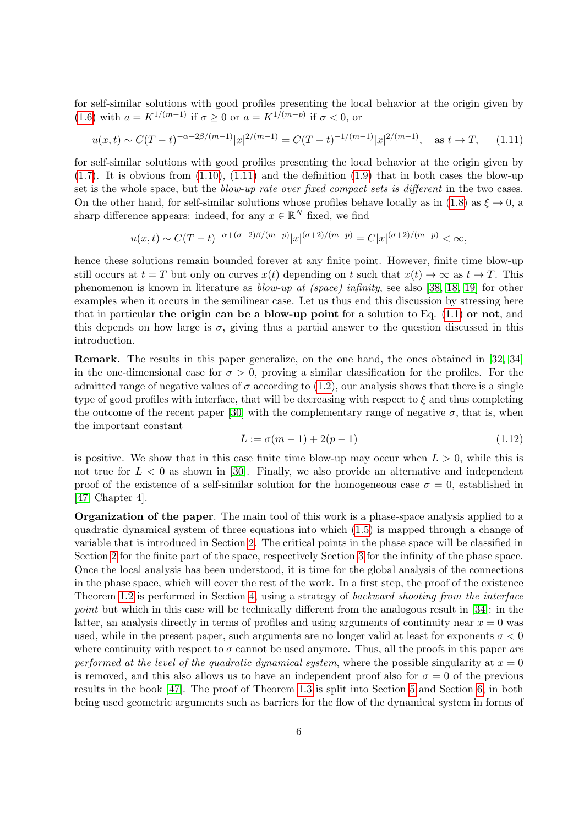for self-similar solutions with good profiles presenting the local behavior at the origin given by [\(1.6\)](#page-3-5) with  $a = K^{1/(m-1)}$  if  $\sigma \geq 0$  or  $a = K^{1/(m-p)}$  if  $\sigma < 0$ , or

<span id="page-5-0"></span>
$$
u(x,t) \sim C(T-t)^{-\alpha + 2\beta/(m-1)} |x|^{2/(m-1)} = C(T-t)^{-1/(m-1)} |x|^{2/(m-1)}, \quad \text{as } t \to T,
$$
 (1.11)

for self-similar solutions with good profiles presenting the local behavior at the origin given by  $(1.7)$ . It is obvious from  $(1.10)$ ,  $(1.11)$  and the definition  $(1.9)$  that in both cases the blow-up set is the whole space, but the *blow-up rate over fixed compact sets is different* in the two cases. On the other hand, for self-similar solutions whose profiles behave locally as in [\(1.8\)](#page-3-3) as  $\xi \to 0$ , as sharp difference appears: indeed, for any  $x \in \mathbb{R}^N$  fixed, we find

$$
u(x,t) \sim C(T-t)^{-\alpha+(\sigma+2)\beta/(m-p)}|x|^{(\sigma+2)/(m-p)} = C|x|^{(\sigma+2)/(m-p)} < \infty,
$$

hence these solutions remain bounded forever at any finite point. However, finite time blow-up still occurs at  $t = T$  but only on curves  $x(t)$  depending on t such that  $x(t) \to \infty$  as  $t \to T$ . This phenomenon is known in literature as blow-up at (space) infinity, see also [\[38,](#page-46-11) [18,](#page-44-14) [19\]](#page-44-15) for other examples when it occurs in the semilinear case. Let us thus end this discussion by stressing here that in particular the origin can be a blow-up point for a solution to Eq.  $(1.1)$  or not, and this depends on how large is  $\sigma$ , giving thus a partial answer to the question discussed in this introduction.

Remark. The results in this paper generalize, on the one hand, the ones obtained in [\[32,](#page-45-7) [34\]](#page-45-0) in the one-dimensional case for  $\sigma > 0$ , proving a similar classification for the profiles. For the admitted range of negative values of  $\sigma$  according to [\(1.2\)](#page-1-0), our analysis shows that there is a single type of good profiles with interface, that will be decreasing with respect to  $\xi$  and thus completing the outcome of the recent paper [\[30\]](#page-45-8) with the complementary range of negative  $\sigma$ , that is, when the important constant

$$
L := \sigma(m - 1) + 2(p - 1) \tag{1.12}
$$

is positive. We show that in this case finite time blow-up may occur when  $L > 0$ , while this is not true for  $L < 0$  as shown in [\[30\]](#page-45-8). Finally, we also provide an alternative and independent proof of the existence of a self-similar solution for the homogeneous case  $\sigma = 0$ , established in [\[47,](#page-46-1) Chapter 4].

Organization of the paper. The main tool of this work is a phase-space analysis applied to a quadratic dynamical system of three equations into which [\(1.5\)](#page-3-0) is mapped through a change of variable that is introduced in Section [2.](#page-6-0) The critical points in the phase space will be classified in Section [2](#page-6-0) for the finite part of the space, respectively Section [3](#page-12-0) for the infinity of the phase space. Once the local analysis has been understood, it is time for the global analysis of the connections in the phase space, which will cover the rest of the work. In a first step, the proof of the existence Theorem [1.2](#page-3-4) is performed in Section [4,](#page-19-0) using a strategy of backward shooting from the interface point but which in this case will be technically different from the analogous result in [\[34\]](#page-45-0): in the latter, an analysis directly in terms of profiles and using arguments of continuity near  $x = 0$  was used, while in the present paper, such arguments are no longer valid at least for exponents  $\sigma < 0$ where continuity with respect to  $\sigma$  cannot be used anymore. Thus, all the proofs in this paper are performed at the level of the quadratic dynamical system, where the possible singularity at  $x = 0$ is removed, and this also allows us to have an independent proof also for  $\sigma = 0$  of the previous results in the book [\[47\]](#page-46-1). The proof of Theorem [1.3](#page-4-0) is split into Section [5](#page-23-0) and Section [6,](#page-37-0) in both being used geometric arguments such as barriers for the flow of the dynamical system in forms of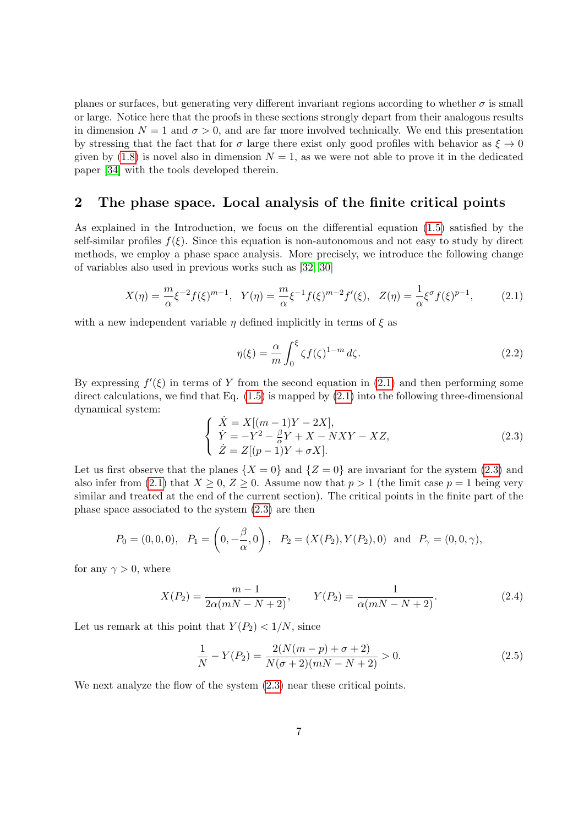planes or surfaces, but generating very different invariant regions according to whether  $\sigma$  is small or large. Notice here that the proofs in these sections strongly depart from their analogous results in dimension  $N = 1$  and  $\sigma > 0$ , and are far more involved technically. We end this presentation by stressing that the fact that for  $\sigma$  large there exist only good profiles with behavior as  $\xi \to 0$ given by [\(1.8\)](#page-3-3) is novel also in dimension  $N = 1$ , as we were not able to prove it in the dedicated paper [\[34\]](#page-45-0) with the tools developed therein.

# <span id="page-6-0"></span>2 The phase space. Local analysis of the finite critical points

As explained in the Introduction, we focus on the differential equation [\(1.5\)](#page-3-0) satisfied by the self-similar profiles  $f(\xi)$ . Since this equation is non-autonomous and not easy to study by direct methods, we employ a phase space analysis. More precisely, we introduce the following change of variables also used in previous works such as [\[32,](#page-45-7) [30\]](#page-45-8)

<span id="page-6-1"></span>
$$
X(\eta) = \frac{m}{\alpha} \xi^{-2} f(\xi)^{m-1}, \quad Y(\eta) = \frac{m}{\alpha} \xi^{-1} f(\xi)^{m-2} f'(\xi), \quad Z(\eta) = \frac{1}{\alpha} \xi^{\sigma} f(\xi)^{p-1}, \tag{2.1}
$$

with a new independent variable  $\eta$  defined implicitly in terms of  $\xi$  as

$$
\eta(\xi) = \frac{\alpha}{m} \int_0^{\xi} \zeta f(\zeta)^{1-m} d\zeta.
$$
\n(2.2)

By expressing  $f'(\xi)$  in terms of Y from the second equation in [\(2.1\)](#page-6-1) and then performing some direct calculations, we find that Eq. [\(1.5\)](#page-3-0) is mapped by [\(2.1\)](#page-6-1) into the following three-dimensional dynamical system:

<span id="page-6-2"></span>
$$
\begin{cases}\n\dot{X} = X[(m-1)Y - 2X], \\
\dot{Y} = -Y^2 - \frac{\beta}{\alpha}Y + X - NXY - XZ, \\
\dot{Z} = Z[(p-1)Y + \sigma X].\n\end{cases}
$$
\n(2.3)

Let us first observe that the planes  $\{X = 0\}$  and  $\{Z = 0\}$  are invariant for the system [\(2.3\)](#page-6-2) and also infer from [\(2.1\)](#page-6-1) that  $X \geq 0$ ,  $Z \geq 0$ . Assume now that  $p > 1$  (the limit case  $p = 1$  being very similar and treated at the end of the current section). The critical points in the finite part of the phase space associated to the system [\(2.3\)](#page-6-2) are then

$$
P_0 = (0,0,0), \quad P_1 = \left(0, -\frac{\beta}{\alpha}, 0\right), \quad P_2 = (X(P_2), Y(P_2), 0) \text{ and } P_\gamma = (0,0,\gamma),
$$

for any  $\gamma > 0$ , where

$$
X(P_2) = \frac{m-1}{2\alpha(mN-N+2)}, \qquad Y(P_2) = \frac{1}{\alpha(mN-N+2)}.
$$
\n(2.4)

Let us remark at this point that  $Y(P_2) < 1/N$ , since

<span id="page-6-3"></span>
$$
\frac{1}{N} - Y(P_2) = \frac{2(N(m-p) + \sigma + 2)}{N(\sigma + 2)(mN - N + 2)} > 0.
$$
\n(2.5)

We next analyze the flow of the system  $(2.3)$  near these critical points.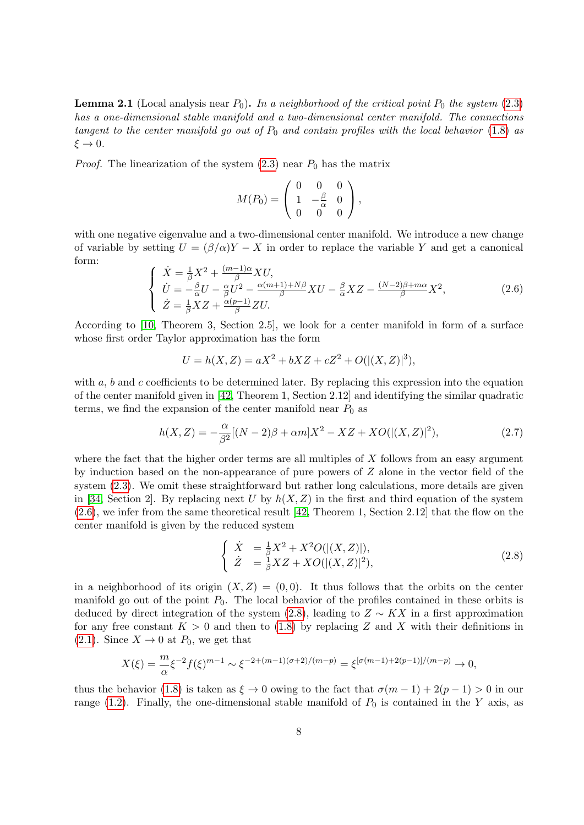<span id="page-7-2"></span>**Lemma 2.1** (Local analysis near  $P_0$ ). In a neighborhood of the critical point  $P_0$  the system [\(2.3\)](#page-6-2) has a one-dimensional stable manifold and a two-dimensional center manifold. The connections tangent to the center manifold go out of  $P_0$  and contain profiles with the local behavior [\(1.8\)](#page-3-3) as  $\xi \rightarrow 0$ .

*Proof.* The linearization of the system  $(2.3)$  near  $P_0$  has the matrix

$$
M(P_0) = \left(\begin{array}{rrr} 0 & 0 & 0 \\ 1 & -\frac{\beta}{\alpha} & 0 \\ 0 & 0 & 0 \end{array}\right),
$$

with one negative eigenvalue and a two-dimensional center manifold. We introduce a new change of variable by setting  $U = (\beta/\alpha)Y - X$  in order to replace the variable Y and get a canonical form:

<span id="page-7-0"></span>
$$
\begin{cases}\n\dot{X} = \frac{1}{\beta}X^2 + \frac{(m-1)\alpha}{\beta}XU, \\
\dot{U} = -\frac{\beta}{\alpha}U - \frac{\alpha}{\beta}U^2 - \frac{\alpha(m+1) + N\beta}{\beta}XU - \frac{\beta}{\alpha}XZ - \frac{(N-2)\beta + m\alpha}{\beta}X^2, \\
\dot{Z} = \frac{1}{\beta}XZ + \frac{\alpha(p-1)}{\beta}ZU.\n\end{cases}
$$
\n(2.6)

According to [\[10,](#page-44-16) Theorem 3, Section 2.5], we look for a center manifold in form of a surface whose first order Taylor approximation has the form

$$
U = h(X, Z) = aX^2 + bXZ + cZ^2 + O(|(X, Z)|^3),
$$

with  $a, b$  and c coefficients to be determined later. By replacing this expression into the equation of the center manifold given in [\[42,](#page-46-12) Theorem 1, Section 2.12] and identifying the similar quadratic terms, we find the expansion of the center manifold near  $P_0$  as

<span id="page-7-3"></span>
$$
h(X,Z) = -\frac{\alpha}{\beta^2} [(N-2)\beta + \alpha m] X^2 - XZ + XO(|(X,Z)|^2), \tag{2.7}
$$

where the fact that the higher order terms are all multiples of  $X$  follows from an easy argument by induction based on the non-appearance of pure powers of Z alone in the vector field of the system  $(2.3)$ . We omit these straightforward but rather long calculations, more details are given in [\[34,](#page-45-0) Section 2]. By replacing next U by  $h(X, Z)$  in the first and third equation of the system [\(2.6\)](#page-7-0), we infer from the same theoretical result [\[42,](#page-46-12) Theorem 1, Section 2.12] that the flow on the center manifold is given by the reduced system

<span id="page-7-1"></span>
$$
\begin{cases}\n\dot{X} &= \frac{1}{\beta}X^2 + X^2O(|(X,Z)|),\\ \n\dot{Z} &= \frac{1}{\beta}XZ + XO(|(X,Z)|^2),\n\end{cases}
$$
\n(2.8)

in a neighborhood of its origin  $(X, Z) = (0, 0)$ . It thus follows that the orbits on the center manifold go out of the point  $P_0$ . The local behavior of the profiles contained in these orbits is deduced by direct integration of the system  $(2.8)$ , leading to  $Z \sim K X$  in a first approximation for any free constant  $K > 0$  and then to [\(1.8\)](#page-3-3) by replacing Z and X with their definitions in [\(2.1\)](#page-6-1). Since  $X \to 0$  at  $P_0$ , we get that

$$
X(\xi) = \frac{m}{\alpha} \xi^{-2} f(\xi)^{m-1} \sim \xi^{-2 + (m-1)(\sigma+2)/(m-p)} = \xi^{[\sigma(m-1) + 2(p-1)]/(m-p)} \to 0,
$$

thus the behavior [\(1.8\)](#page-3-3) is taken as  $\xi \to 0$  owing to the fact that  $\sigma(m-1) + 2(p-1) > 0$  in our range [\(1.2\)](#page-1-0). Finally, the one-dimensional stable manifold of  $P_0$  is contained in the Y axis, as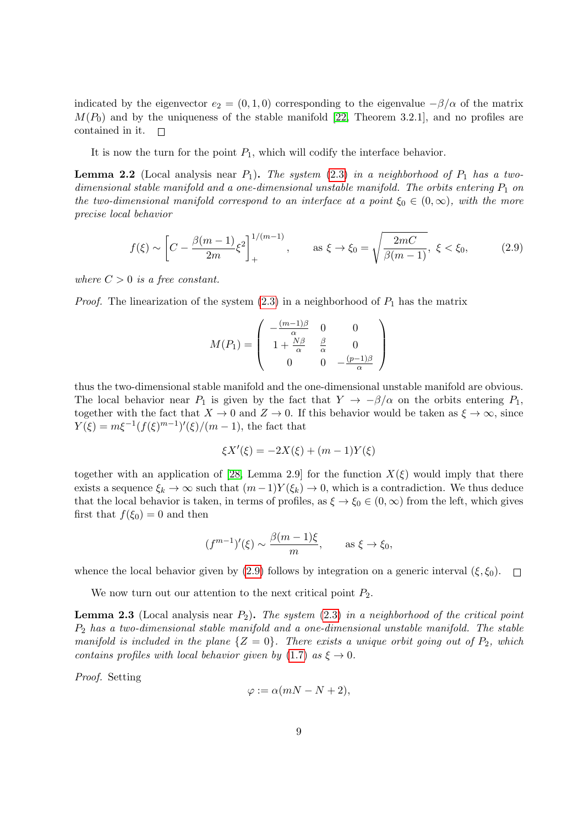indicated by the eigenvector  $e_2 = (0, 1, 0)$  corresponding to the eigenvalue  $-\beta/\alpha$  of the matrix  $M(P_0)$  and by the uniqueness of the stable manifold [\[22,](#page-45-10) Theorem 3.2.1], and no profiles are contained in it.  $\Box$ 

It is now the turn for the point  $P_1$ , which will codify the interface behavior.

<span id="page-8-1"></span>**Lemma 2.2** (Local analysis near  $P_1$ ). The system [\(2.3\)](#page-6-2) in a neighborhood of  $P_1$  has a twodimensional stable manifold and a one-dimensional unstable manifold. The orbits entering  $P_1$  on the two-dimensional manifold correspond to an interface at a point  $\xi_0 \in (0,\infty)$ , with the more precise local behavior

<span id="page-8-0"></span>
$$
f(\xi) \sim \left[C - \frac{\beta(m-1)}{2m} \xi^2\right]_+^{1/(m-1)}, \quad \text{as } \xi \to \xi_0 = \sqrt{\frac{2mC}{\beta(m-1)}}, \ \xi < \xi_0,\tag{2.9}
$$

where  $C > 0$  is a free constant.

*Proof.* The linearization of the system  $(2.3)$  in a neighborhood of  $P_1$  has the matrix

$$
M(P_1) = \begin{pmatrix} -\frac{(m-1)\beta}{\alpha} & 0 & 0\\ 1 + \frac{N\beta}{\alpha} & \frac{\beta}{\alpha} & 0\\ 0 & 0 & -\frac{(p-1)\beta}{\alpha} \end{pmatrix}
$$

thus the two-dimensional stable manifold and the one-dimensional unstable manifold are obvious. The local behavior near  $P_1$  is given by the fact that  $Y \to -\beta/\alpha$  on the orbits entering  $P_1$ , together with the fact that  $X \to 0$  and  $Z \to 0$ . If this behavior would be taken as  $\xi \to \infty$ , since  $Y(\xi) = m\xi^{-1}(f(\xi)^{m-1})'(\xi)/(m-1)$ , the fact that

$$
\xi X'(\xi) = -2X(\xi) + (m-1)Y(\xi)
$$

together with an application of [\[28,](#page-45-11) Lemma 2.9] for the function  $X(\xi)$  would imply that there exists a sequence  $\xi_k \to \infty$  such that  $(m-1)Y(\xi_k) \to 0$ , which is a contradiction. We thus deduce that the local behavior is taken, in terms of profiles, as  $\xi \to \xi_0 \in (0,\infty)$  from the left, which gives first that  $f(\xi_0) = 0$  and then

$$
(f^{m-1})'(\xi) \sim \frac{\beta(m-1)\xi}{m}, \quad \text{as } \xi \to \xi_0,
$$

whence the local behavior given by [\(2.9\)](#page-8-0) follows by integration on a generic interval  $(\xi, \xi_0)$ .  $\Box$ 

We now turn out our attention to the next critical point  $P_2$ .

<span id="page-8-2"></span>**Lemma 2.3** (Local analysis near  $P_2$ ). The system [\(2.3\)](#page-6-2) in a neighborhood of the critical point  $P_2$  has a two-dimensional stable manifold and a one-dimensional unstable manifold. The stable manifold is included in the plane  $\{Z = 0\}$ . There exists a unique orbit going out of  $P_2$ , which contains profiles with local behavior given by [\(1.7\)](#page-3-2) as  $\xi \to 0$ .

Proof. Setting

$$
\varphi := \alpha(mN - N + 2),
$$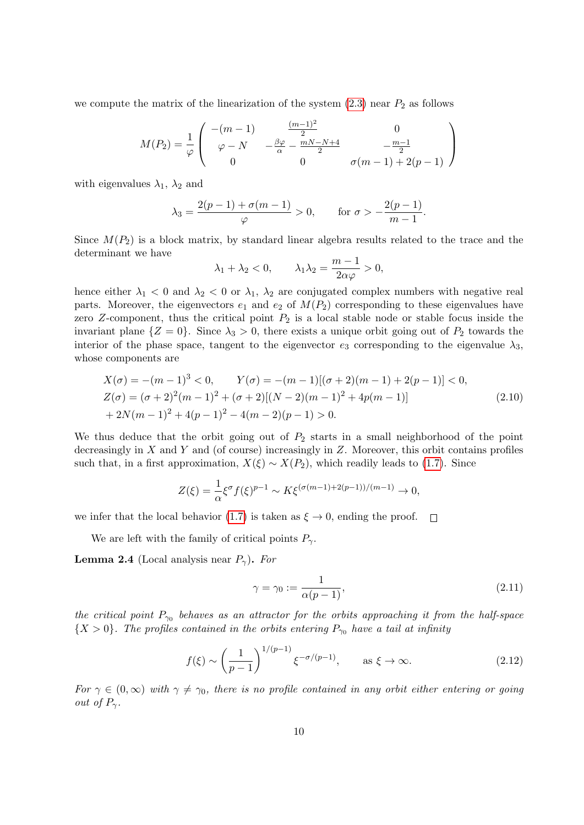we compute the matrix of the linearization of the system  $(2.3)$  near  $P_2$  as follows

$$
M(P_2) = \frac{1}{\varphi} \begin{pmatrix} -(m-1) & \frac{(m-1)^2}{2} & 0\\ \varphi - N & -\frac{\beta \varphi}{\alpha} - \frac{mN - N + 4}{2} & -\frac{m-1}{2} \\ 0 & 0 & \sigma(m-1) + 2(p-1) \end{pmatrix}
$$

with eigenvalues  $\lambda_1$ ,  $\lambda_2$  and

$$
\lambda_3 = \frac{2(p-1) + \sigma(m-1)}{\varphi} > 0, \quad \text{for } \sigma > -\frac{2(p-1)}{m-1}.
$$

Since  $M(P_2)$  is a block matrix, by standard linear algebra results related to the trace and the determinant we have

$$
\lambda_1 + \lambda_2 < 0
$$
,  $\lambda_1 \lambda_2 = \frac{m-1}{2\alpha\varphi} > 0$ ,

hence either  $\lambda_1 < 0$  and  $\lambda_2 < 0$  or  $\lambda_1$ ,  $\lambda_2$  are conjugated complex numbers with negative real parts. Moreover, the eigenvectors  $e_1$  and  $e_2$  of  $M(P_2)$  corresponding to these eigenvalues have zero Z-component, thus the critical point  $P_2$  is a local stable node or stable focus inside the invariant plane  $\{Z = 0\}$ . Since  $\lambda_3 > 0$ , there exists a unique orbit going out of  $P_2$  towards the interior of the phase space, tangent to the eigenvector  $e_3$  corresponding to the eigenvalue  $\lambda_3$ , whose components are

<span id="page-9-3"></span>
$$
X(\sigma) = -(m-1)^3 < 0, \qquad Y(\sigma) = -(m-1)[(\sigma+2)(m-1) + 2(p-1)] < 0,
$$
  
\n
$$
Z(\sigma) = (\sigma+2)^2(m-1)^2 + (\sigma+2)[(N-2)(m-1)^2 + 4p(m-1)]
$$
\n
$$
+ 2N(m-1)^2 + 4(p-1)^2 - 4(m-2)(p-1) > 0.
$$
\n(2.10)

We thus deduce that the orbit going out of  $P_2$  starts in a small neighborhood of the point decreasingly in  $X$  and  $Y$  and (of course) increasingly in  $Z$ . Moreover, this orbit contains profiles such that, in a first approximation,  $X(\xi) \sim X(P_2)$ , which readily leads to [\(1.7\)](#page-3-2). Since

$$
Z(\xi) = \frac{1}{\alpha} \xi^{\sigma} f(\xi)^{p-1} \sim K \xi^{(\sigma(m-1) + 2(p-1))/(m-1)} \to 0,
$$

we infer that the local behavior [\(1.7\)](#page-3-2) is taken as  $\xi \to 0$ , ending the proof.  $\Box$ 

We are left with the family of critical points  $P_{\gamma}$ .

<span id="page-9-2"></span>**Lemma 2.4** (Local analysis near  $P_{\gamma}$ ). For

<span id="page-9-0"></span>
$$
\gamma = \gamma_0 := \frac{1}{\alpha(p-1)},\tag{2.11}
$$

the critical point  $P_{\gamma_0}$  behaves as an attractor for the orbits approaching it from the half-space  ${X > 0}$ . The profiles contained in the orbits entering  $P_{\gamma_0}$  have a tail at infinity

<span id="page-9-1"></span>
$$
f(\xi) \sim \left(\frac{1}{p-1}\right)^{1/(p-1)} \xi^{-\sigma/(p-1)}, \qquad \text{as } \xi \to \infty.
$$
 (2.12)

For  $\gamma \in (0,\infty)$  with  $\gamma \neq \gamma_0$ , there is no profile contained in any orbit either entering or going out of  $P_{\gamma}$ .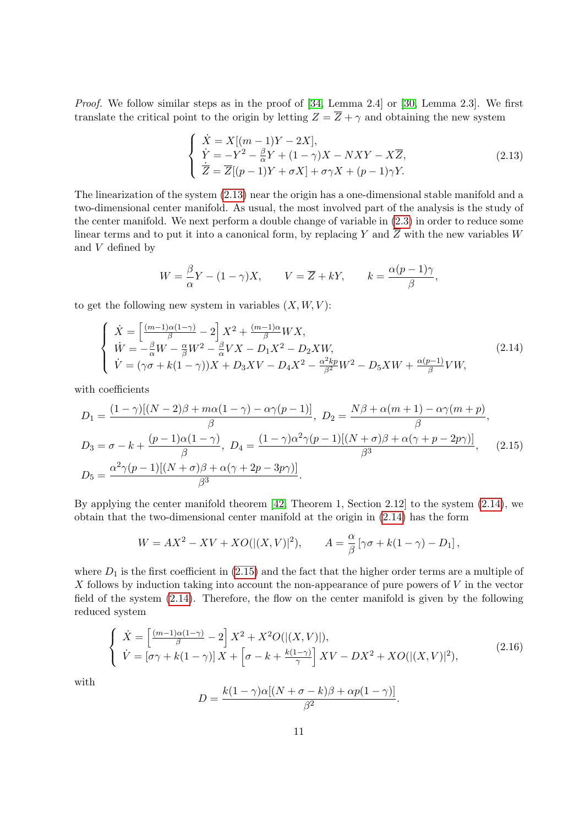Proof. We follow similar steps as in the proof of [\[34,](#page-45-0) Lemma 2.4] or [\[30,](#page-45-8) Lemma 2.3]. We first translate the critical point to the origin by letting  $Z = \overline{Z} + \gamma$  and obtaining the new system

<span id="page-10-0"></span>
$$
\begin{cases}\n\dot{X} = X[(m-1)Y - 2X],\\ \n\dot{Y} = -Y^2 - \frac{\beta}{\alpha}Y + (1 - \gamma)X - NXY - X\overline{Z},\\ \n\dot{\overline{Z}} = \overline{Z}[(p-1)Y + \sigma X] + \sigma \gamma X + (p-1)\gamma Y.\n\end{cases}
$$
\n(2.13)

The linearization of the system [\(2.13\)](#page-10-0) near the origin has a one-dimensional stable manifold and a two-dimensional center manifold. As usual, the most involved part of the analysis is the study of the center manifold. We next perform a double change of variable in [\(2.3\)](#page-6-2) in order to reduce some linear terms and to put it into a canonical form, by replacing Y and  $\overline{Z}$  with the new variables W and  $\boldsymbol{V}$  defined by

$$
W = \frac{\beta}{\alpha} Y - (1 - \gamma) X, \qquad V = \overline{Z} + kY, \qquad k = \frac{\alpha (p - 1)\gamma}{\beta},
$$

to get the following new system in variables  $(X, W, V)$ :

<span id="page-10-1"></span>
$$
\begin{cases}\n\dot{X} = \left[\frac{(m-1)\alpha(1-\gamma)}{\beta} - 2\right] X^2 + \frac{(m-1)\alpha}{\beta} W X, \\
\dot{W} = -\frac{\beta}{\alpha} W - \frac{\alpha}{\beta} W^2 - \frac{\beta}{\alpha} V X - D_1 X^2 - D_2 X W, \\
\dot{V} = (\gamma \sigma + k(1-\gamma))X + D_3 X V - D_4 X^2 - \frac{\alpha^2 k p}{\beta^2} W^2 - D_5 X W + \frac{\alpha(p-1)}{\beta} V W,\n\end{cases}
$$
\n(2.14)

with coefficients

<span id="page-10-2"></span>
$$
D_1 = \frac{(1-\gamma)[(N-2)\beta + m\alpha(1-\gamma) - \alpha\gamma(p-1)]}{\beta}, \ D_2 = \frac{N\beta + \alpha(m+1) - \alpha\gamma(m+p)}{\beta},
$$
  
\n
$$
D_3 = \sigma - k + \frac{(p-1)\alpha(1-\gamma)}{\beta}, \ D_4 = \frac{(1-\gamma)\alpha^2\gamma(p-1)[(N+\sigma)\beta + \alpha(\gamma+p-2p\gamma)]}{\beta^3}, \ (2.15)
$$
  
\n
$$
D_5 = \frac{\alpha^2\gamma(p-1)[(N+\sigma)\beta + \alpha(\gamma+2p-3p\gamma)]}{\beta^3}.
$$

By applying the center manifold theorem [\[42,](#page-46-12) Theorem 1, Section 2.12] to the system [\(2.14\)](#page-10-1), we obtain that the two-dimensional center manifold at the origin in [\(2.14\)](#page-10-1) has the form

$$
W = AX^2 - XV + XO(|(X, V)|^2), \qquad A = \frac{\alpha}{\beta} \left[ \gamma \sigma + k(1 - \gamma) - D_1 \right],
$$

where  $D_1$  is the first coefficient in [\(2.15\)](#page-10-2) and the fact that the higher order terms are a multiple of X follows by induction taking into account the non-appearance of pure powers of  $V$  in the vector field of the system [\(2.14\)](#page-10-1). Therefore, the flow on the center manifold is given by the following reduced system

<span id="page-10-3"></span>
$$
\begin{cases}\n\dot{X} = \left[\frac{(m-1)\alpha(1-\gamma)}{\beta} - 2\right]X^2 + X^2O(|(X,V)|),\\ \n\dot{V} = \left[\sigma\gamma + k(1-\gamma)\right]X + \left[\sigma - k + \frac{k(1-\gamma)}{\gamma}\right]XV - DX^2 + XO(|(X,V)|^2),\n\end{cases} (2.16)
$$

with

$$
D = \frac{k(1-\gamma)\alpha[(N+\sigma-k)\beta + \alpha p(1-\gamma)]}{\beta^2}.
$$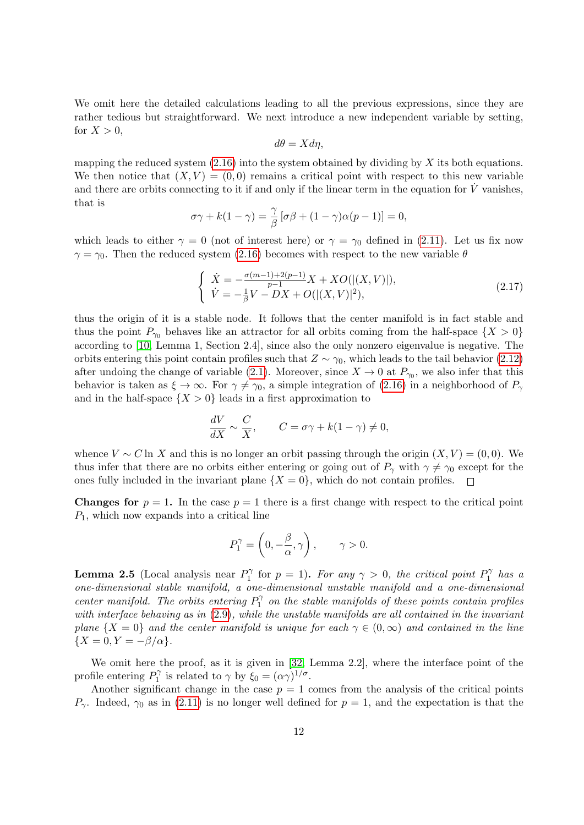We omit here the detailed calculations leading to all the previous expressions, since they are rather tedious but straightforward. We next introduce a new independent variable by setting, for  $X > 0$ ,

$$
d\theta = X d\eta,
$$

mapping the reduced system  $(2.16)$  into the system obtained by dividing by X its both equations. We then notice that  $(X, V) = (0, 0)$  remains a critical point with respect to this new variable and there are orbits connecting to it if and only if the linear term in the equation for  $\dot{V}$  vanishes, that is

$$
\sigma \gamma + k(1 - \gamma) = \frac{\gamma}{\beta} [\sigma \beta + (1 - \gamma)\alpha(p - 1)] = 0,
$$

which leads to either  $\gamma = 0$  (not of interest here) or  $\gamma = \gamma_0$  defined in [\(2.11\)](#page-9-0). Let us fix now  $\gamma = \gamma_0$ . Then the reduced system [\(2.16\)](#page-10-3) becomes with respect to the new variable  $\theta$ 

$$
\begin{cases}\n\dot{X} = -\frac{\sigma(m-1) + 2(p-1)}{p-1} X + XO(|(X, V)|), \\
\dot{V} = -\frac{1}{\beta} V - DX + O(|(X, V)|^2),\n\end{cases}
$$
\n(2.17)

thus the origin of it is a stable node. It follows that the center manifold is in fact stable and thus the point  $P_{\gamma_0}$  behaves like an attractor for all orbits coming from the half-space  $\{X > 0\}$ according to [\[10,](#page-44-16) Lemma 1, Section 2.4], since also the only nonzero eigenvalue is negative. The orbits entering this point contain profiles such that  $Z \sim \gamma_0$ , which leads to the tail behavior [\(2.12\)](#page-9-1) after undoing the change of variable [\(2.1\)](#page-6-1). Moreover, since  $X \to 0$  at  $P_{\gamma_0}$ , we also infer that this behavior is taken as  $\xi \to \infty$ . For  $\gamma \neq \gamma_0$ , a simple integration of [\(2.16\)](#page-10-3) in a neighborhood of  $P_\gamma$ and in the half-space  $\{X > 0\}$  leads in a first approximation to

$$
\frac{dV}{dX} \sim \frac{C}{X}, \qquad C = \sigma \gamma + k(1 - \gamma) \neq 0,
$$

whence  $V \sim C \ln X$  and this is no longer an orbit passing through the origin  $(X, V) = (0, 0)$ . We thus infer that there are no orbits either entering or going out of  $P_{\gamma}$  with  $\gamma \neq \gamma_0$  except for the ones fully included in the invariant plane  $\{X = 0\}$ , which do not contain profiles.

**Changes for**  $p = 1$ . In the case  $p = 1$  there is a first change with respect to the critical point  $P_1$ , which now expands into a critical line

$$
P_1^{\gamma} = \left(0, -\frac{\beta}{\alpha}, \gamma\right), \qquad \gamma > 0.
$$

**Lemma 2.5** (Local analysis near  $P_1^{\gamma}$  $p_1^{\gamma}$  for  $p = 1$ ). For any  $\gamma > 0$ , the critical point  $P_1^{\gamma}$  $\int_1^{\gamma}$  has a one-dimensional stable manifold, a one-dimensional unstable manifold and a one-dimensional center manifold. The orbits entering  $P_1^{\gamma}$  $\int_1^{\gamma}$  on the stable manifolds of these points contain profiles with interface behaving as in  $(2.9)$ , while the unstable manifolds are all contained in the invariant plane  $\{X = 0\}$  and the center manifold is unique for each  $\gamma \in (0, \infty)$  and contained in the line  ${X = 0, Y = -\beta/\alpha}.$ 

We omit here the proof, as it is given in [\[32,](#page-45-7) Lemma 2.2], where the interface point of the profile entering  $P_1^{\gamma}$  $Q_1^{\gamma}$  is related to  $\gamma$  by  $\xi_0 = (\alpha \gamma)^{1/\sigma}$ .

Another significant change in the case  $p = 1$  comes from the analysis of the critical points  $P_{\gamma}$ . Indeed,  $\gamma_0$  as in [\(2.11\)](#page-9-0) is no longer well defined for  $p=1$ , and the expectation is that the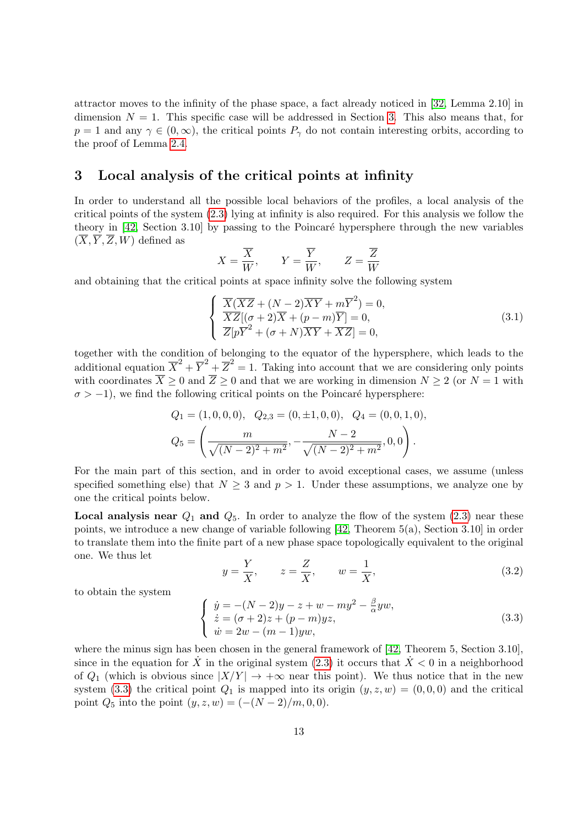attractor moves to the infinity of the phase space, a fact already noticed in [\[32,](#page-45-7) Lemma 2.10] in dimension  $N = 1$ . This specific case will be addressed in Section [3.](#page-12-0) This also means that, for  $p = 1$  and any  $\gamma \in (0, \infty)$ , the critical points  $P_{\gamma}$  do not contain interesting orbits, according to the proof of Lemma [2.4.](#page-9-2)

### <span id="page-12-0"></span>3 Local analysis of the critical points at infinity

In order to understand all the possible local behaviors of the profiles, a local analysis of the critical points of the system [\(2.3\)](#page-6-2) lying at infinity is also required. For this analysis we follow the theory in  $[42, Section 3.10]$  $[42, Section 3.10]$  by passing to the Poincaré hypersphere through the new variables  $(\overline{X}, \overline{Y}, \overline{Z}, W)$  defined as

$$
X=\frac{\overline{X}}{W},\qquad Y=\frac{\overline{Y}}{W},\qquad Z=\frac{\overline{Z}}{W}
$$

and obtaining that the critical points at space infinity solve the following system

$$
\begin{cases}\n\overline{X}(\overline{XZ} + (N-2)\overline{XY} + m\overline{Y}^2) = 0, \\
\overline{XZ}[(\sigma+2)\overline{X} + (p-m)\overline{Y}] = 0, \\
\overline{Z}[p\overline{Y}^2 + (\sigma+N)\overline{XY} + \overline{XZ}] = 0,\n\end{cases}
$$
\n(3.1)

together with the condition of belonging to the equator of the hypersphere, which leads to the additional equation  $\overline{X}^2 + \overline{Y}^2 + \overline{Z}^2 = 1$ . Taking into account that we are considering only points with coordinates  $\overline{X} \ge 0$  and  $\overline{Z} \ge 0$  and that we are working in dimension  $N \ge 2$  (or  $N = 1$  with  $\sigma > -1$ , we find the following critical points on the Poincaré hypersphere:

$$
Q_1 = (1, 0, 0, 0), \quad Q_{2,3} = (0, \pm 1, 0, 0), \quad Q_4 = (0, 0, 1, 0),
$$

$$
Q_5 = \left(\frac{m}{\sqrt{(N-2)^2 + m^2}}, -\frac{N-2}{\sqrt{(N-2)^2 + m^2}}, 0, 0\right).
$$

For the main part of this section, and in order to avoid exceptional cases, we assume (unless specified something else) that  $N \geq 3$  and  $p > 1$ . Under these assumptions, we analyze one by one the critical points below.

**Local analysis near**  $Q_1$  and  $Q_5$ . In order to analyze the flow of the system [\(2.3\)](#page-6-2) near these points, we introduce a new change of variable following [\[42,](#page-46-12) Theorem 5(a), Section 3.10] in order to translate them into the finite part of a new phase space topologically equivalent to the original one. We thus let

<span id="page-12-2"></span>
$$
y = \frac{Y}{X}, \qquad z = \frac{Z}{X}, \qquad w = \frac{1}{X}, \tag{3.2}
$$

to obtain the system

<span id="page-12-1"></span>
$$
\begin{cases}\n\dot{y} = -(N-2)y - z + w - my^2 - \frac{\beta}{\alpha}yw, \\
\dot{z} = (\sigma + 2)z + (p - m)yz, \\
\dot{w} = 2w - (m - 1)yw,\n\end{cases}
$$
\n(3.3)

where the minus sign has been chosen in the general framework of [\[42,](#page-46-12) Theorem 5, Section 3.10], since in the equation for  $\dot{X}$  in the original system [\(2.3\)](#page-6-2) it occurs that  $\dot{X} < 0$  in a neighborhood of  $Q_1$  (which is obvious since  $|X/Y| \to +\infty$  near this point). We thus notice that in the new system [\(3.3\)](#page-12-1) the critical point  $Q_1$  is mapped into its origin  $(y, z, w) = (0, 0, 0)$  and the critical point  $Q_5$  into the point  $(y, z, w) = (-(N-2)/m, 0, 0)$ .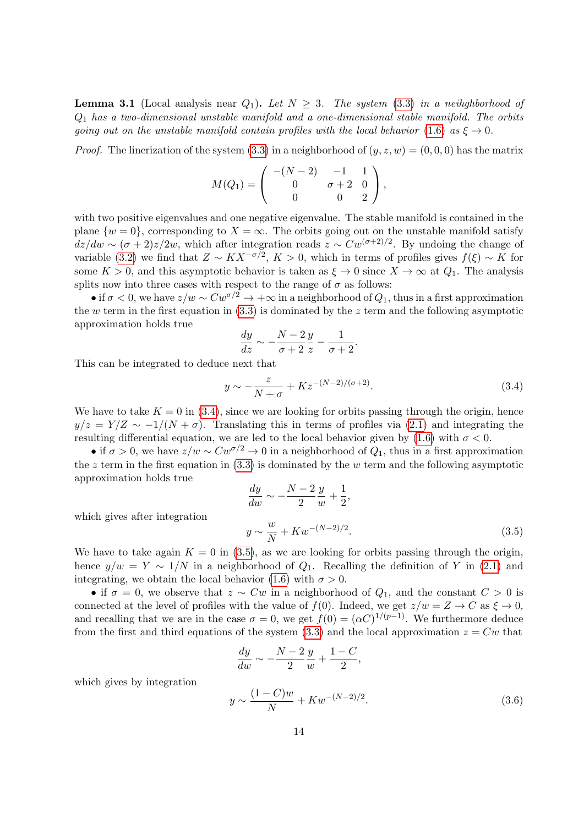<span id="page-13-3"></span>**Lemma 3.1** (Local analysis near  $Q_1$ ). Let  $N \geq 3$ . The system [\(3.3\)](#page-12-1) in a neihghborhood of  $Q_1$  has a two-dimensional unstable manifold and a one-dimensional stable manifold. The orbits going out on the unstable manifold contain profiles with the local behavior [\(1.6\)](#page-3-5) as  $\xi \to 0$ .

*Proof.* The linerization of the system [\(3.3\)](#page-12-1) in a neighborhood of  $(y, z, w) = (0, 0, 0)$  has the matrix

$$
M(Q_1) = \left( \begin{array}{rrr} -(N-2) & -1 & 1 \\ 0 & \sigma+2 & 0 \\ 0 & 0 & 2 \end{array} \right),
$$

with two positive eigenvalues and one negative eigenvalue. The stable manifold is contained in the plane  $\{w=0\}$ , corresponding to  $X=\infty$ . The orbits going out on the unstable manifold satisfy  $dz/dw \sim (\sigma + 2)z/2w$ , which after integration reads  $z \sim Cw^{(\sigma+2)/2}$ . By undoing the change of variable [\(3.2\)](#page-12-2) we find that  $Z \sim K X^{-\sigma/2}$ ,  $K > 0$ , which in terms of profiles gives  $f(\xi) \sim K$  for some  $K > 0$ , and this asymptotic behavior is taken as  $\xi \to 0$  since  $X \to \infty$  at  $Q_1$ . The analysis splits now into three cases with respect to the range of  $\sigma$  as follows:

• if  $\sigma < 0$ , we have  $z/w \sim Cw^{\sigma/2} \rightarrow +\infty$  in a neighborhood of  $Q_1$ , thus in a first approximation the w term in the first equation in  $(3.3)$  is dominated by the z term and the following asymptotic approximation holds true

$$
\frac{dy}{dz} \sim -\frac{N-2}{\sigma+2} \frac{y}{z} - \frac{1}{\sigma+2}.
$$

This can be integrated to deduce next that

<span id="page-13-0"></span>
$$
y \sim -\frac{z}{N+\sigma} + Kz^{-(N-2)/(\sigma+2)}.
$$
\n(3.4)

We have to take  $K = 0$  in [\(3.4\)](#page-13-0), since we are looking for orbits passing through the origin, hence  $y/z = Y/Z \sim -1/(N + \sigma)$ . Translating this in terms of profiles via [\(2.1\)](#page-6-1) and integrating the resulting differential equation, we are led to the local behavior given by [\(1.6\)](#page-3-5) with  $\sigma < 0$ .

• if  $\sigma > 0$ , we have  $z/w \sim Cw^{\sigma/2} \to 0$  in a neighborhood of  $Q_1$ , thus in a first approximation the z term in the first equation in  $(3.3)$  is dominated by the w term and the following asymptotic approximation holds true

<span id="page-13-1"></span>
$$
\frac{dy}{dw} \sim -\frac{N-2}{2} \frac{y}{w} + \frac{1}{2},
$$
  

$$
y \sim \frac{w}{N} + Kw^{-(N-2)/2}.
$$
 (3.5)

which gives after integration

We have to take again  $K = 0$  in [\(3.5\)](#page-13-1), as we are looking for orbits passing through the origin, hence  $y/w = Y \sim 1/N$  in a neighborhood of  $Q_1$ . Recalling the definition of Y in [\(2.1\)](#page-6-1) and integrating, we obtain the local behavior [\(1.6\)](#page-3-5) with  $\sigma > 0$ .

• if  $\sigma = 0$ , we observe that  $z \sim Cw$  in a neighborhood of  $Q_1$ , and the constant  $C > 0$  is connected at the level of profiles with the value of  $f(0)$ . Indeed, we get  $z/w = Z \rightarrow C$  as  $\xi \rightarrow 0$ , and recalling that we are in the case  $\sigma = 0$ , we get  $f(0) = (\alpha C)^{1/(p-1)}$ . We furthermore deduce from the first and third equations of the system [\(3.3\)](#page-12-1) and the local approximation  $z = Cw$  that

$$
\frac{dy}{dw} \sim -\frac{N-2}{2}\frac{y}{w} + \frac{1-C}{2},
$$

which gives by integration

<span id="page-13-2"></span>
$$
y \sim \frac{(1 - C)w}{N} + Kw^{-(N-2)/2}.
$$
\n(3.6)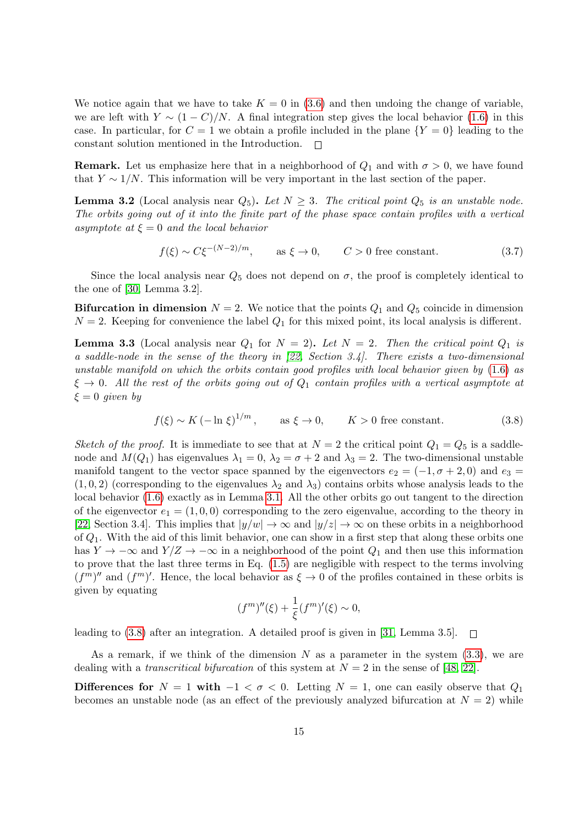We notice again that we have to take  $K = 0$  in [\(3.6\)](#page-13-2) and then undoing the change of variable, we are left with  $Y \sim (1 - C)/N$ . A final integration step gives the local behavior [\(1.6\)](#page-3-5) in this case. In particular, for  $C = 1$  we obtain a profile included in the plane  ${Y = 0}$  leading to the constant solution mentioned in the Introduction.  $\Box$ 

**Remark.** Let us emphasize here that in a neighborhood of  $Q_1$  and with  $\sigma > 0$ , we have found that  $Y \sim 1/N$ . This information will be very important in the last section of the paper.

**Lemma 3.2** (Local analysis near  $Q_5$ ). Let  $N \geq 3$ . The critical point  $Q_5$  is an unstable node. The orbits going out of it into the finite part of the phase space contain profiles with a vertical asymptote at  $\xi = 0$  and the local behavior

$$
f(\xi) \sim C\xi^{-(N-2)/m}, \qquad \text{as } \xi \to 0, \qquad C > 0 \text{ free constant.} \tag{3.7}
$$

Since the local analysis near  $Q_5$  does not depend on  $\sigma$ , the proof is completely identical to the one of [\[30,](#page-45-8) Lemma 3.2].

**Bifurcation in dimension**  $N = 2$ . We notice that the points  $Q_1$  and  $Q_5$  coincide in dimension  $N = 2$ . Keeping for convenience the label  $Q_1$  for this mixed point, its local analysis is different.

**Lemma 3.3** (Local analysis near  $Q_1$  for  $N = 2$ ). Let  $N = 2$ . Then the critical point  $Q_1$  is a saddle-node in the sense of the theory in [\[22,](#page-45-10) Section 3.4]. There exists a two-dimensional unstable manifold on which the orbits contain good profiles with local behavior given by  $(1.6)$  as  $\xi \to 0$ . All the rest of the orbits going out of  $Q_1$  contain profiles with a vertical asymptote at  $\xi = 0$  given by

<span id="page-14-0"></span>
$$
f(\xi) \sim K \left(-\ln \xi\right)^{1/m}, \quad \text{as } \xi \to 0, \quad K > 0 \text{ free constant.}
$$
 (3.8)

Sketch of the proof. It is immediate to see that at  $N = 2$  the critical point  $Q_1 = Q_5$  is a saddlenode and  $M(Q_1)$  has eigenvalues  $\lambda_1 = 0$ ,  $\lambda_2 = \sigma + 2$  and  $\lambda_3 = 2$ . The two-dimensional unstable manifold tangent to the vector space spanned by the eigenvectors  $e_2 = (-1, \sigma + 2, 0)$  and  $e_3 =$  $(1, 0, 2)$  (corresponding to the eigenvalues  $\lambda_2$  and  $\lambda_3$ ) contains orbits whose analysis leads to the local behavior [\(1.6\)](#page-3-5) exactly as in Lemma [3.1.](#page-13-3) All the other orbits go out tangent to the direction of the eigenvector  $e_1 = (1, 0, 0)$  corresponding to the zero eigenvalue, according to the theory in [\[22,](#page-45-10) Section 3.4]. This implies that  $|y/w| \to \infty$  and  $|y/z| \to \infty$  on these orbits in a neighborhood of  $Q_1$ . With the aid of this limit behavior, one can show in a first step that along these orbits one has  $Y \to -\infty$  and  $Y/Z \to -\infty$  in a neighborhood of the point  $Q_1$  and then use this information to prove that the last three terms in Eq. [\(1.5\)](#page-3-0) are negligible with respect to the terms involving  $(f<sup>m</sup>)''$  and  $(f<sup>m</sup>)'$ . Hence, the local behavior as  $\xi \to 0$  of the profiles contained in these orbits is given by equating

$$
(f^{m})''(\xi) + \frac{1}{\xi}(f^{m})'(\xi) \sim 0,
$$

leading to [\(3.8\)](#page-14-0) after an integration. A detailed proof is given in [\[31,](#page-45-12) Lemma 3.5].  $\Box$ 

As a remark, if we think of the dimension N as a parameter in the system  $(3.3)$ , we are dealing with a transcritical bifurcation of this system at  $N = 2$  in the sense of [\[48,](#page-46-13) [22\]](#page-45-10).

Differences for  $N = 1$  with  $-1 < \sigma < 0$ . Letting  $N = 1$ , one can easily observe that  $Q_1$ becomes an unstable node (as an effect of the previously analyzed bifurcation at  $N = 2$ ) while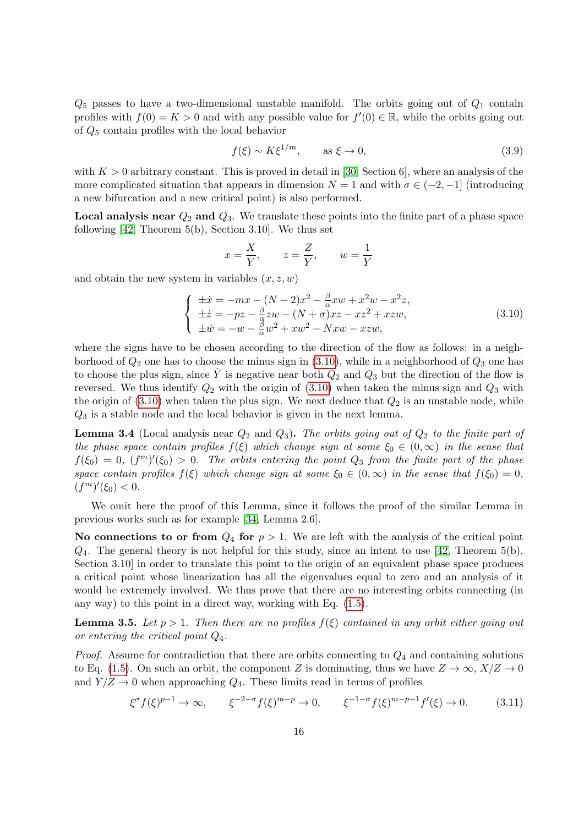$Q_5$  passes to have a two-dimensional unstable manifold. The orbits going out of  $Q_1$  contain profiles with  $f(0) = K > 0$  and with any possible value for  $f'(0) \in \mathbb{R}$ , while the orbits going out of Q<sup>5</sup> contain profiles with the local behavior

$$
f(\xi) \sim K \xi^{1/m}, \qquad \text{as } \xi \to 0,
$$
\n(3.9)

with  $K > 0$  arbitrary constant. This is proved in detail in [\[30,](#page-45-8) Section 6], where an analysis of the more complicated situation that appears in dimension  $N = 1$  and with  $\sigma \in (-2, -1]$  (introducing a new bifurcation and a new critical point) is also performed.

**Local analysis near**  $Q_2$  and  $Q_3$ . We translate these points into the finite part of a phase space following [\[42,](#page-46-12) Theorem 5(b), Section 3.10]. We thus set

$$
x = \frac{X}{Y}, \qquad z = \frac{Z}{Y}, \qquad w = \frac{1}{Y}
$$

and obtain the new system in variables  $(x, z, w)$ 

<span id="page-15-0"></span>
$$
\begin{cases}\n\pm \dot{x} = -mx - (N-2)x^2 - \frac{\beta}{\alpha}xw + x^2w - x^2z, \\
\pm \dot{z} = -pz - \frac{\beta}{\alpha}zw - (N+\sigma)xz - xz^2 + xzw, \\
\pm \dot{w} = -w - \frac{\beta}{\alpha}w^2 + xw^2 - Nxw - xzw,\n\end{cases}
$$
\n(3.10)

where the signs have to be chosen according to the direction of the flow as follows: in a neighborhood of  $Q_2$  one has to choose the minus sign in [\(3.10\)](#page-15-0), while in a neighborhood of  $Q_3$  one has to choose the plus sign, since  $\dot{Y}$  is negative near both  $Q_2$  and  $Q_3$  but the direction of the flow is reversed. We thus identify  $Q_2$  with the origin of  $(3.10)$  when taken the minus sign and  $Q_3$  with the origin of  $(3.10)$  when taken the plus sign. We next deduce that  $Q_2$  is an unstable node, while  $Q_3$  is a stable node and the local behavior is given in the next lemma.

**Lemma 3.4** (Local analysis near  $Q_2$  and  $Q_3$ ). The orbits going out of  $Q_2$  to the finite part of the phase space contain profiles  $f(\xi)$  which change sign at some  $\xi_0 \in (0,\infty)$  in the sense that  $f(\xi_0) = 0$ ,  $(f^m)'(\xi_0) > 0$ . The orbits entering the point  $Q_3$  from the finite part of the phase space contain profiles  $f(\xi)$  which change sign at some  $\xi_0 \in (0,\infty)$  in the sense that  $f(\xi_0) = 0$ ,  $(f^m)'(\xi_0) < 0.$ 

We omit here the proof of this Lemma, since it follows the proof of the similar Lemma in previous works such as for example [\[34,](#page-45-0) Lemma 2.6].

No connections to or from  $Q_4$  for  $p > 1$ . We are left with the analysis of the critical point  $Q_4$ . The general theory is not helpful for this study, since an intent to use [\[42,](#page-46-12) Theorem 5(b), Section 3.10] in order to translate this point to the origin of an equivalent phase space produces a critical point whose linearization has all the eigenvalues equal to zero and an analysis of it would be extremely involved. We thus prove that there are no interesting orbits connecting (in any way) to this point in a direct way, working with Eq. [\(1.5\)](#page-3-0).

**Lemma 3.5.** Let  $p > 1$ . Then there are no profiles  $f(\xi)$  contained in any orbit either going out or entering the critical point  $Q_4$ .

*Proof.* Assume for contradiction that there are orbits connecting to  $Q_4$  and containing solutions to Eq. [\(1.5\)](#page-3-0). On such an orbit, the component Z is dominating, thus we have  $Z \to \infty$ ,  $X/Z \to 0$ and  $Y/Z \rightarrow 0$  when approaching  $Q_4$ . These limits read in terms of profiles

<span id="page-15-1"></span>
$$
\xi^{\sigma} f(\xi)^{p-1} \to \infty, \qquad \xi^{-2-\sigma} f(\xi)^{m-p} \to 0, \qquad \xi^{-1-\sigma} f(\xi)^{m-p-1} f'(\xi) \to 0. \tag{3.11}
$$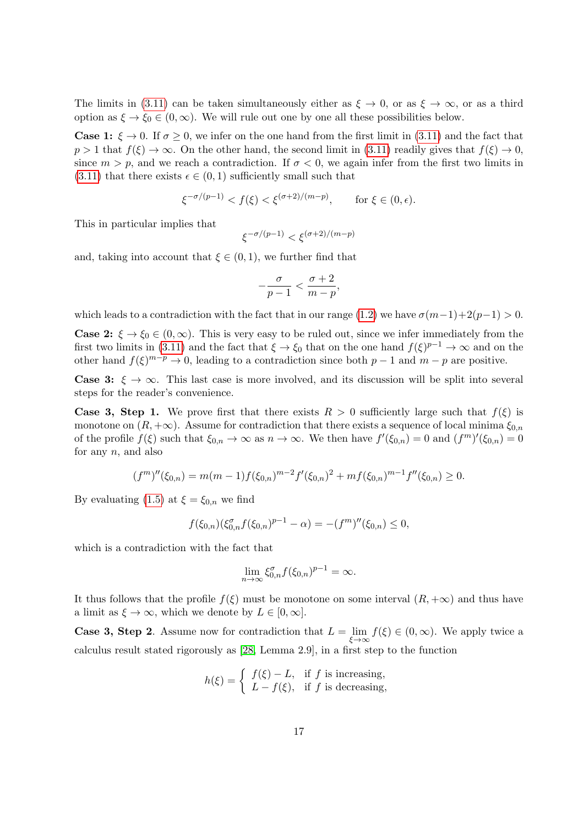The limits in [\(3.11\)](#page-15-1) can be taken simultaneously either as  $\xi \to 0$ , or as  $\xi \to \infty$ , or as a third option as  $\xi \to \xi_0 \in (0,\infty)$ . We will rule out one by one all these possibilities below.

**Case 1:**  $\xi \to 0$ . If  $\sigma \ge 0$ , we infer on the one hand from the first limit in [\(3.11\)](#page-15-1) and the fact that  $p > 1$  that  $f(\xi) \to \infty$ . On the other hand, the second limit in [\(3.11\)](#page-15-1) readily gives that  $f(\xi) \to 0$ , since  $m > p$ , and we reach a contradiction. If  $\sigma < 0$ , we again infer from the first two limits in [\(3.11\)](#page-15-1) that there exists  $\epsilon \in (0,1)$  sufficiently small such that

$$
\xi^{-\sigma/(p-1)} < f(\xi) < \xi^{(\sigma+2)/(m-p)}, \qquad \text{for } \xi \in (0, \epsilon).
$$

This in particular implies that

$$
\xi^{-\sigma/(p-1)}<\xi^{(\sigma+2)/(m-p)}
$$

and, taking into account that  $\xi \in (0,1)$ , we further find that

$$
-\frac{\sigma}{p-1} < \frac{\sigma+2}{m-p},
$$

which leads to a contradiction with the fact that in our range [\(1.2\)](#page-1-0) we have  $\sigma(m-1)+2(p-1) > 0$ .

**Case 2:**  $\xi \to \xi_0 \in (0,\infty)$ . This is very easy to be ruled out, since we infer immediately from the first two limits in [\(3.11\)](#page-15-1) and the fact that  $\xi \to \xi_0$  that on the one hand  $f(\xi)^{p-1} \to \infty$  and on the other hand  $f(\xi)^{m-p} \to 0$ , leading to a contradiction since both  $p-1$  and  $m-p$  are positive.

**Case 3:**  $\xi \to \infty$ . This last case is more involved, and its discussion will be split into several steps for the reader's convenience.

**Case 3, Step 1.** We prove first that there exists  $R > 0$  sufficiently large such that  $f(\xi)$  is monotone on  $(R, +\infty)$ . Assume for contradiction that there exists a sequence of local minima  $\xi_{0,n}$ of the profile  $f(\xi)$  such that  $\xi_{0,n} \to \infty$  as  $n \to \infty$ . We then have  $f'(\xi_{0,n}) = 0$  and  $(f^m)'(\xi_{0,n}) = 0$ for any  $n$ , and also

$$
(f^{m})''(\xi_{0,n}) = m(m-1)f(\xi_{0,n})^{m-2}f'(\xi_{0,n})^2 + mf(\xi_{0,n})^{m-1}f''(\xi_{0,n}) \ge 0.
$$

By evaluating [\(1.5\)](#page-3-0) at  $\xi = \xi_{0,n}$  we find

$$
f(\xi_{0,n})(\xi_{0,n}^{\sigma}f(\xi_{0,n})^{p-1}-\alpha) = -(f^m)''(\xi_{0,n}) \leq 0,
$$

which is a contradiction with the fact that

$$
\lim_{n \to \infty} \xi_{0,n}^{\sigma} f(\xi_{0,n})^{p-1} = \infty.
$$

It thus follows that the profile  $f(\xi)$  must be monotone on some interval  $(R, +\infty)$  and thus have a limit as  $\xi \to \infty$ , which we denote by  $L \in [0, \infty]$ .

**Case 3, Step 2**. Assume now for contradiction that  $L = \lim_{\xi \to \infty} f(\xi) \in (0, \infty)$ . We apply twice a calculus result stated rigorously as [\[28,](#page-45-11) Lemma 2.9], in a first step to the function

$$
h(\xi) = \begin{cases} f(\xi) - L, & \text{if } f \text{ is increasing,} \\ L - f(\xi), & \text{if } f \text{ is decreasing,} \end{cases}
$$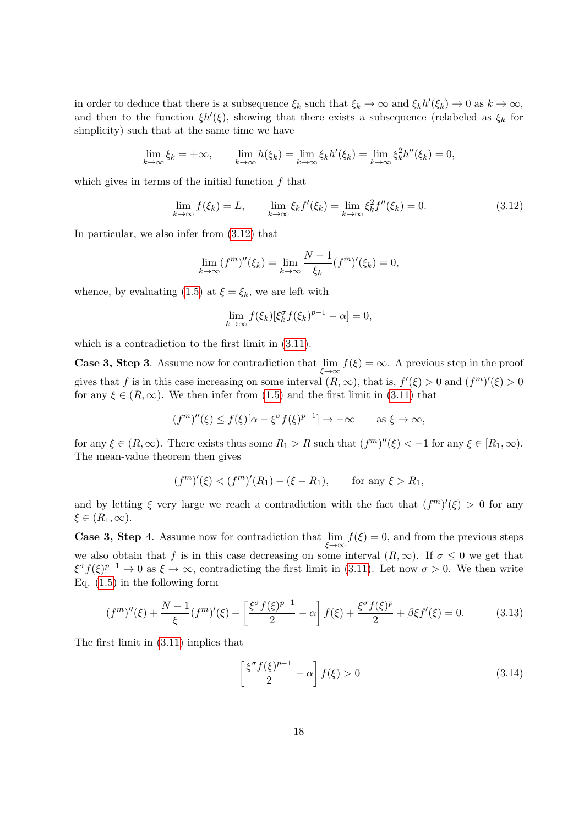in order to deduce that there is a subsequence  $\xi_k$  such that  $\xi_k \to \infty$  and  $\xi_k h'(\xi_k) \to 0$  as  $k \to \infty$ , and then to the function  $\xi h'(\xi)$ , showing that there exists a subsequence (relabeled as  $\xi_k$  for simplicity) such that at the same time we have

$$
\lim_{k \to \infty} \xi_k = +\infty, \qquad \lim_{k \to \infty} h(\xi_k) = \lim_{k \to \infty} \xi_k h'(\xi_k) = \lim_{k \to \infty} \xi_k^2 h''(\xi_k) = 0,
$$

which gives in terms of the initial function  $f$  that

<span id="page-17-0"></span>
$$
\lim_{k \to \infty} f(\xi_k) = L, \qquad \lim_{k \to \infty} \xi_k f'(\xi_k) = \lim_{k \to \infty} \xi_k^2 f''(\xi_k) = 0.
$$
\n(3.12)

In particular, we also infer from [\(3.12\)](#page-17-0) that

$$
\lim_{k \to \infty} (f^{m})''(\xi_k) = \lim_{k \to \infty} \frac{N-1}{\xi_k} (f^{m})'(\xi_k) = 0,
$$

whence, by evaluating [\(1.5\)](#page-3-0) at  $\xi = \xi_k$ , we are left with

$$
\lim_{k \to \infty} f(\xi_k) [\xi_k^{\sigma} f(\xi_k)^{p-1} - \alpha] = 0,
$$

which is a contradiction to the first limit in [\(3.11\)](#page-15-1).

**Case 3, Step 3**. Assume now for contradiction that  $\lim_{\xi \to \infty} f(\xi) = \infty$ . A previous step in the proof gives that f is in this case increasing on some interval  $(R, \infty)$ , that is,  $f'(\xi) > 0$  and  $(f^m)'(\xi) > 0$ for any  $\xi \in (R, \infty)$ . We then infer from [\(1.5\)](#page-3-0) and the first limit in [\(3.11\)](#page-15-1) that

$$
(f^{m})''(\xi) \le f(\xi)[\alpha - \xi^{\sigma}f(\xi)^{p-1}] \to -\infty \quad \text{as } \xi \to \infty,
$$

for any  $\xi \in (R, \infty)$ . There exists thus some  $R_1 > R$  such that  $(f^m)''(\xi) < -1$  for any  $\xi \in [R_1, \infty)$ . The mean-value theorem then gives

$$
(f^{m})'(\xi) < (f^{m})'(R_1) - (\xi - R_1),
$$
 for any  $\xi > R_1$ ,

and by letting  $\xi$  very large we reach a contradiction with the fact that  $(f^m)'(\xi) > 0$  for any  $\xi \in (R_1, \infty).$ 

**Case 3, Step 4**. Assume now for contradiction that  $\lim_{\xi \to \infty} f(\xi) = 0$ , and from the previous steps we also obtain that f is in this case decreasing on some interval  $(R, \infty)$ . If  $\sigma \leq 0$  we get that  $\xi^{\sigma} f(\xi)^{p-1} \to 0$  as  $\xi \to \infty$ , contradicting the first limit in [\(3.11\)](#page-15-1). Let now  $\sigma > 0$ . We then write Eq. [\(1.5\)](#page-3-0) in the following form

<span id="page-17-1"></span>
$$
(f^{m})''(\xi) + \frac{N-1}{\xi}(f^{m})'(\xi) + \left[\frac{\xi^{\sigma}f(\xi)^{p-1}}{2} - \alpha\right]f(\xi) + \frac{\xi^{\sigma}f(\xi)^{p}}{2} + \beta\xi f'(\xi) = 0.
$$
 (3.13)

The first limit in [\(3.11\)](#page-15-1) implies that

<span id="page-17-2"></span>
$$
\left[\frac{\xi^{\sigma} f(\xi)^{p-1}}{2} - \alpha\right] f(\xi) > 0
$$
\n(3.14)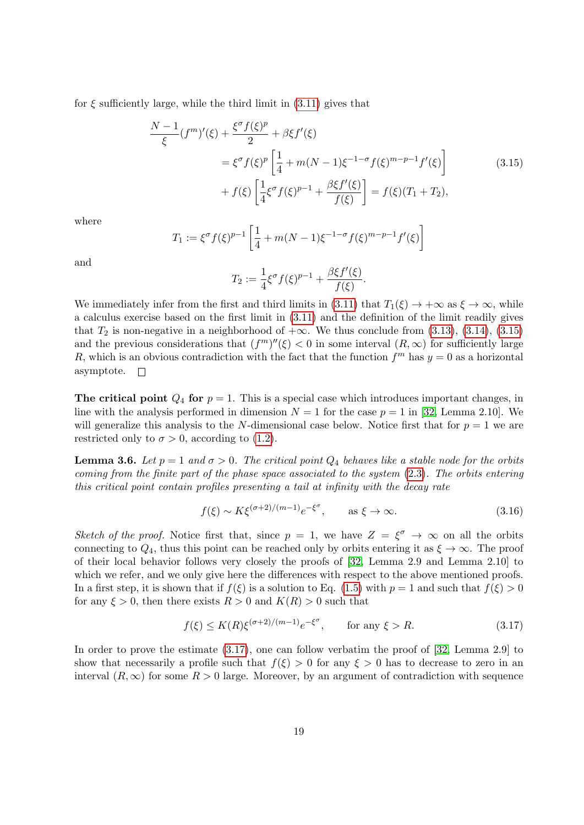<span id="page-18-0"></span>for  $\xi$  sufficiently large, while the third limit in  $(3.11)$  gives that

$$
\frac{N-1}{\xi}(f^{m})'(\xi) + \frac{\xi^{\sigma}f(\xi)^{p}}{2} + \beta\xi f'(\xi)
$$
\n
$$
= \xi^{\sigma}f(\xi)^{p} \left[ \frac{1}{4} + m(N-1)\xi^{-1-\sigma}f(\xi)^{m-p-1}f'(\xi) \right]
$$
\n
$$
+ f(\xi) \left[ \frac{1}{4}\xi^{\sigma}f(\xi)^{p-1} + \frac{\beta\xi f'(\xi)}{f(\xi)} \right] = f(\xi)(T_{1} + T_{2}),
$$
\n(3.15)

where

$$
T_1 := \xi^{\sigma} f(\xi)^{p-1} \left[ \frac{1}{4} + m(N-1)\xi^{-1-\sigma} f(\xi)^{m-p-1} f'(\xi) \right]
$$

and

$$
T_2 := \frac{1}{4} \xi^{\sigma} f(\xi)^{p-1} + \frac{\beta \xi f'(\xi)}{f(\xi)}.
$$

We immediately infer from the first and third limits in [\(3.11\)](#page-15-1) that  $T_1(\xi) \to +\infty$  as  $\xi \to \infty$ , while a calculus exercise based on the first limit in [\(3.11\)](#page-15-1) and the definition of the limit readily gives that  $T_2$  is non-negative in a neighborhood of  $+\infty$ . We thus conclude from [\(3.13\)](#page-17-1), [\(3.14\)](#page-17-2), [\(3.15\)](#page-18-0) and the previous considerations that  $(f<sup>m</sup>)''(\xi) < 0$  in some interval  $(R, \infty)$  for sufficiently large R, which is an obvious contradiction with the fact that the function  $f<sup>m</sup>$  has  $y = 0$  as a horizontal asymptote.  $\Box$ 

The critical point  $Q_4$  for  $p = 1$ . This is a special case which introduces important changes, in line with the analysis performed in dimension  $N = 1$  for the case  $p = 1$  in [\[32,](#page-45-7) Lemma 2.10]. We will generalize this analysis to the N-dimensional case below. Notice first that for  $p = 1$  we are restricted only to  $\sigma > 0$ , according to [\(1.2\)](#page-1-0).

**Lemma 3.6.** Let  $p = 1$  and  $\sigma > 0$ . The critical point  $Q_4$  behaves like a stable node for the orbits coming from the finite part of the phase space associated to the system [\(2.3\)](#page-6-2). The orbits entering this critical point contain profiles presenting a tail at infinity with the decay rate

<span id="page-18-2"></span>
$$
f(\xi) \sim K\xi^{(\sigma+2)/(m-1)}e^{-\xi^{\sigma}}, \qquad \text{as } \xi \to \infty.
$$
 (3.16)

Sketch of the proof. Notice first that, since  $p = 1$ , we have  $Z = \xi^{\sigma} \to \infty$  on all the orbits connecting to  $Q_4$ , thus this point can be reached only by orbits entering it as  $\xi \to \infty$ . The proof of their local behavior follows very closely the proofs of [\[32,](#page-45-7) Lemma 2.9 and Lemma 2.10] to which we refer, and we only give here the differences with respect to the above mentioned proofs. In a first step, it is shown that if  $f(\xi)$  is a solution to Eq. [\(1.5\)](#page-3-0) with  $p = 1$  and such that  $f(\xi) > 0$ for any  $\xi > 0$ , then there exists  $R > 0$  and  $K(R) > 0$  such that

<span id="page-18-1"></span>
$$
f(\xi) \le K(R)\xi^{(\sigma+2)/(m-1)}e^{-\xi^{\sigma}}, \qquad \text{for any } \xi > R. \tag{3.17}
$$

In order to prove the estimate  $(3.17)$ , one can follow verbatim the proof of [\[32,](#page-45-7) Lemma 2.9] to show that necessarily a profile such that  $f(\xi) > 0$  for any  $\xi > 0$  has to decrease to zero in an interval  $(R, \infty)$  for some  $R > 0$  large. Moreover, by an argument of contradiction with sequence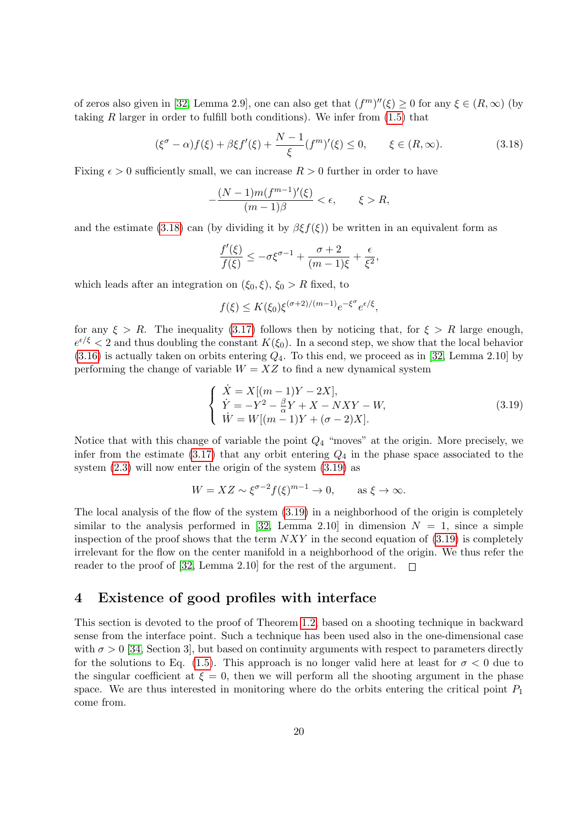of zeros also given in [\[32,](#page-45-7) Lemma 2.9], one can also get that  $(f<sup>m</sup>)''(\xi) \ge 0$  for any  $\xi \in (R, \infty)$  (by taking R larger in order to fulfill both conditions). We infer from [\(1.5\)](#page-3-0) that

<span id="page-19-1"></span>
$$
(\xi^{\sigma} - \alpha) f(\xi) + \beta \xi f'(\xi) + \frac{N - 1}{\xi} (f^{m})'(\xi) \le 0, \qquad \xi \in (R, \infty).
$$
 (3.18)

Fixing  $\epsilon > 0$  sufficiently small, we can increase  $R > 0$  further in order to have

$$
-\frac{(N-1)m(f^{m-1})'(\xi)}{(m-1)\beta} < \epsilon, \qquad \xi > R,
$$

and the estimate [\(3.18\)](#page-19-1) can (by dividing it by  $\beta \xi f(\xi)$ ) be written in an equivalent form as

$$
\frac{f'(\xi)}{f(\xi)} \le -\sigma \xi^{\sigma-1} + \frac{\sigma+2}{(m-1)\xi} + \frac{\epsilon}{\xi^2},
$$

which leads after an integration on  $(\xi_0, \xi)$ ,  $\xi_0 > R$  fixed, to

$$
f(\xi) \le K(\xi_0) \xi^{(\sigma+2)/(m-1)} e^{-\xi^{\sigma}} e^{\epsilon/\xi},
$$

for any  $\xi > R$ . The inequality [\(3.17\)](#page-18-1) follows then by noticing that, for  $\xi > R$  large enough,  $e^{\epsilon/\xi}$  < 2 and thus doubling the constant  $K(\xi_0)$ . In a second step, we show that the local behavior  $(3.16)$  is actually taken on orbits entering  $Q_4$ . To this end, we proceed as in [\[32,](#page-45-7) Lemma 2.10] by performing the change of variable  $W = XZ$  to find a new dynamical system

<span id="page-19-2"></span>
$$
\begin{cases}\n\dot{X} = X[(m-1)Y - 2X],\\ \n\dot{Y} = -Y^2 - \frac{\beta}{\alpha}Y + X - NXY - W,\\ \n\dot{W} = W[(m-1)Y + (\sigma - 2)X].\n\end{cases}
$$
\n(3.19)

Notice that with this change of variable the point  $Q_4$  "moves" at the origin. More precisely, we infer from the estimate  $(3.17)$  that any orbit entering  $Q_4$  in the phase space associated to the system [\(2.3\)](#page-6-2) will now enter the origin of the system [\(3.19\)](#page-19-2) as

$$
W = XZ \sim \xi^{\sigma - 2} f(\xi)^{m - 1} \to 0, \quad \text{as } \xi \to \infty.
$$

The local analysis of the flow of the system [\(3.19\)](#page-19-2) in a neighborhood of the origin is completely similar to the analysis performed in [\[32,](#page-45-7) Lemma 2.10] in dimension  $N = 1$ , since a simple inspection of the proof shows that the term  $NXY$  in the second equation of  $(3.19)$  is completely irrelevant for the flow on the center manifold in a neighborhood of the origin. We thus refer the reader to the proof of [\[32,](#page-45-7) Lemma 2.10] for the rest of the argument.  $\square$ 

## <span id="page-19-0"></span>4 Existence of good profiles with interface

This section is devoted to the proof of Theorem [1.2,](#page-3-4) based on a shooting technique in backward sense from the interface point. Such a technique has been used also in the one-dimensional case with  $\sigma > 0$  [\[34,](#page-45-0) Section 3], but based on continuity arguments with respect to parameters directly for the solutions to Eq. [\(1.5\)](#page-3-0). This approach is no longer valid here at least for  $\sigma < 0$  due to the singular coefficient at  $\xi = 0$ , then we will perform all the shooting argument in the phase space. We are thus interested in monitoring where do the orbits entering the critical point  $P_1$ come from.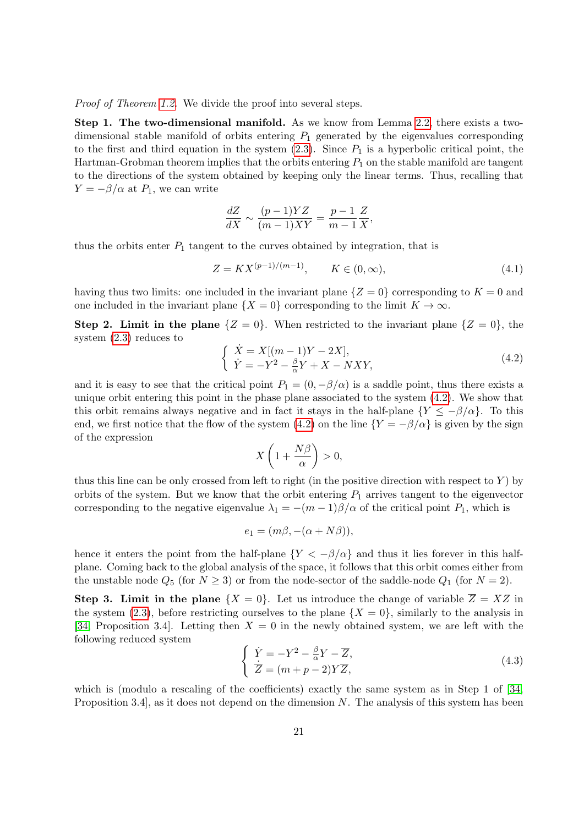Proof of Theorem [1.2.](#page-3-4) We divide the proof into several steps.

Step 1. The two-dimensional manifold. As we know from Lemma [2.2,](#page-8-1) there exists a twodimensional stable manifold of orbits entering  $P_1$  generated by the eigenvalues corresponding to the first and third equation in the system  $(2.3)$ . Since  $P_1$  is a hyperbolic critical point, the Hartman-Grobman theorem implies that the orbits entering  $P_1$  on the stable manifold are tangent to the directions of the system obtained by keeping only the linear terms. Thus, recalling that  $Y = -\beta/\alpha$  at  $P_1$ , we can write

$$
\frac{dZ}{dX} \sim \frac{(p-1)YZ}{(m-1)XY} = \frac{p-1}{m-1}\frac{Z}{X},
$$

thus the orbits enter  $P_1$  tangent to the curves obtained by integration, that is

<span id="page-20-2"></span>
$$
Z = K X^{(p-1)/(m-1)}, \qquad K \in (0, \infty), \tag{4.1}
$$

having thus two limits: one included in the invariant plane  $\{Z=0\}$  corresponding to  $K=0$  and one included in the invariant plane  $\{X = 0\}$  corresponding to the limit  $K \to \infty$ .

Step 2. Limit in the plane  $\{Z = 0\}$ . When restricted to the invariant plane  $\{Z = 0\}$ , the system [\(2.3\)](#page-6-2) reduces to

<span id="page-20-0"></span>
$$
\begin{cases}\n\dot{X} = X[(m-1)Y - 2X],\\ \n\dot{Y} = -Y^2 - \frac{\beta}{\alpha}Y + X - NXY,\n\end{cases}
$$
\n(4.2)

and it is easy to see that the critical point  $P_1 = (0, -\beta/\alpha)$  is a saddle point, thus there exists a unique orbit entering this point in the phase plane associated to the system [\(4.2\)](#page-20-0). We show that this orbit remains always negative and in fact it stays in the half-plane  $\{Y \leq -\beta/\alpha\}$ . To this end, we first notice that the flow of the system [\(4.2\)](#page-20-0) on the line  ${Y = -\beta/\alpha}$  is given by the sign of the expression

$$
X\left(1+\frac{N\beta}{\alpha}\right)>0,
$$

thus this line can be only crossed from left to right (in the positive direction with respect to  $Y$ ) by orbits of the system. But we know that the orbit entering  $P_1$  arrives tangent to the eigenvector corresponding to the negative eigenvalue  $\lambda_1 = -(m-1)\beta/\alpha$  of the critical point  $P_1$ , which is

$$
e_1 = (m\beta, -(\alpha + N\beta)),
$$

hence it enters the point from the half-plane  ${Y < -\beta/\alpha}$  and thus it lies forever in this halfplane. Coming back to the global analysis of the space, it follows that this orbit comes either from the unstable node  $Q_5$  (for  $N \geq 3$ ) or from the node-sector of the saddle-node  $Q_1$  (for  $N = 2$ ).

**Step 3. Limit in the plane**  $\{X = 0\}$ . Let us introduce the change of variable  $\overline{Z} = XZ$  in the system [\(2.3\)](#page-6-2), before restricting ourselves to the plane  $\{X = 0\}$ , similarly to the analysis in [\[34,](#page-45-0) Proposition 3.4]. Letting then  $X = 0$  in the newly obtained system, we are left with the following reduced system

<span id="page-20-1"></span>
$$
\begin{cases}\n\dot{Y} = -Y^2 - \frac{\beta}{\alpha}Y - \overline{Z}, \\
\dot{\overline{Z}} = (m+p-2)Y\overline{Z},\n\end{cases}
$$
\n(4.3)

which is (modulo a rescaling of the coefficients) exactly the same system as in Step 1 of [\[34,](#page-45-0) Proposition 3.4, as it does not depend on the dimension  $N$ . The analysis of this system has been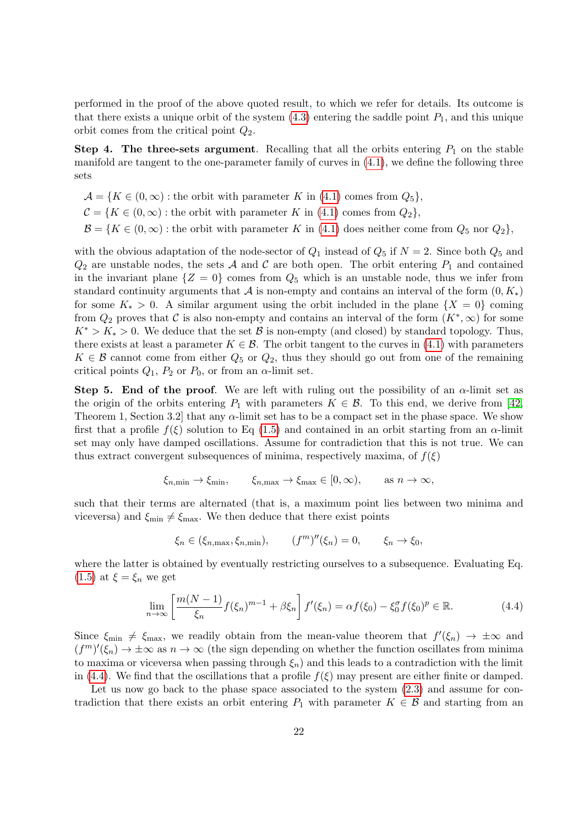performed in the proof of the above quoted result, to which we refer for details. Its outcome is that there exists a unique orbit of the system  $(4.3)$  entering the saddle point  $P_1$ , and this unique orbit comes from the critical point  $Q_2$ .

Step 4. The three-sets argument. Recalling that all the orbits entering  $P_1$  on the stable manifold are tangent to the one-parameter family of curves in [\(4.1\)](#page-20-2), we define the following three sets

 $\mathcal{A} = \{K \in (0, \infty) : \text{the orbit with parameter } K \text{ in (4.1) comes from } Q_5\},\$  $\mathcal{A} = \{K \in (0, \infty) : \text{the orbit with parameter } K \text{ in (4.1) comes from } Q_5\},\$  $\mathcal{A} = \{K \in (0, \infty) : \text{the orbit with parameter } K \text{ in (4.1) comes from } Q_5\},\$ 

 $\mathcal{C} = \{K \in (0, \infty) : \text{the orbit with parameter } K \text{ in (4.1) comes from } Q_2\},\$  $\mathcal{C} = \{K \in (0, \infty) : \text{the orbit with parameter } K \text{ in (4.1) comes from } Q_2\},\$  $\mathcal{C} = \{K \in (0, \infty) : \text{the orbit with parameter } K \text{ in (4.1) comes from } Q_2\},\$ 

 $\mathcal{B} = \{K \in (0, \infty) : \text{the orbit with parameter } K \text{ in (4.1) does neither come from } Q_5 \text{ nor } Q_2\},\$  $\mathcal{B} = \{K \in (0, \infty) : \text{the orbit with parameter } K \text{ in (4.1) does neither come from } Q_5 \text{ nor } Q_2\},\$  $\mathcal{B} = \{K \in (0, \infty) : \text{the orbit with parameter } K \text{ in (4.1) does neither come from } Q_5 \text{ nor } Q_2\},\$ 

with the obvious adaptation of the node-sector of  $Q_1$  instead of  $Q_5$  if  $N = 2$ . Since both  $Q_5$  and  $Q_2$  are unstable nodes, the sets A and C are both open. The orbit entering  $P_1$  and contained in the invariant plane  $\{Z = 0\}$  comes from  $Q_5$  which is an unstable node, thus we infer from standard continuity arguments that A is non-empty and contains an interval of the form  $(0, K_*)$ for some  $K_* > 0$ . A similar argument using the orbit included in the plane  $\{X = 0\}$  coming from  $Q_2$  proves that C is also non-empty and contains an interval of the form  $(K^*,\infty)$  for some  $K^* > K_* > 0$ . We deduce that the set B is non-empty (and closed) by standard topology. Thus, there exists at least a parameter  $K \in \mathcal{B}$ . The orbit tangent to the curves in [\(4.1\)](#page-20-2) with parameters  $K \in \mathcal{B}$  cannot come from either  $Q_5$  or  $Q_2$ , thus they should go out from one of the remaining critical points  $Q_1$ ,  $P_2$  or  $P_0$ , or from an  $\alpha$ -limit set.

Step 5. End of the proof. We are left with ruling out the possibility of an  $\alpha$ -limit set as the origin of the orbits entering  $P_1$  with parameters  $K \in \mathcal{B}$ . To this end, we derive from [\[42,](#page-46-12) Theorem 1, Section 3.2 that any  $\alpha$ -limit set has to be a compact set in the phase space. We show first that a profile  $f(\xi)$  solution to Eq [\(1.5\)](#page-3-0) and contained in an orbit starting from an  $\alpha$ -limit set may only have damped oscillations. Assume for contradiction that this is not true. We can thus extract convergent subsequences of minima, respectively maxima, of  $f(\xi)$ 

$$
\xi_{n,\min} \to \xi_{\min}, \qquad \xi_{n,\max} \to \xi_{\max} \in [0,\infty), \qquad \text{as } n \to \infty,
$$

such that their terms are alternated (that is, a maximum point lies between two minima and viceversa) and  $\xi_{\text{min}} \neq \xi_{\text{max}}$ . We then deduce that there exist points

$$
\xi_n \in (\xi_{n,\max}, \xi_{n,\min}), \qquad (f^m)''(\xi_n) = 0, \qquad \xi_n \to \xi_0,
$$

where the latter is obtained by eventually restricting ourselves to a subsequence. Evaluating Eq.  $(1.5)$  at  $\xi = \xi_n$  we get

<span id="page-21-0"></span>
$$
\lim_{n \to \infty} \left[ \frac{m(N-1)}{\xi_n} f(\xi_n)^{m-1} + \beta \xi_n \right] f'(\xi_n) = \alpha f(\xi_0) - \xi_0^{\sigma} f(\xi_0)^p \in \mathbb{R}.
$$
 (4.4)

Since  $\xi_{\text{min}} \neq \xi_{\text{max}}$ , we readily obtain from the mean-value theorem that  $f'(\xi_n) \to \pm \infty$  and  $(f<sup>m</sup>)<sup>'</sup>(\xi_n) \to \pm \infty$  as  $n \to \infty$  (the sign depending on whether the function oscillates from minima to maxima or viceversa when passing through  $\xi_n$ ) and this leads to a contradiction with the limit in [\(4.4\)](#page-21-0). We find that the oscillations that a profile  $f(\xi)$  may present are either finite or damped.

Let us now go back to the phase space associated to the system  $(2.3)$  and assume for contradiction that there exists an orbit entering  $P_1$  with parameter  $K \in \mathcal{B}$  and starting from an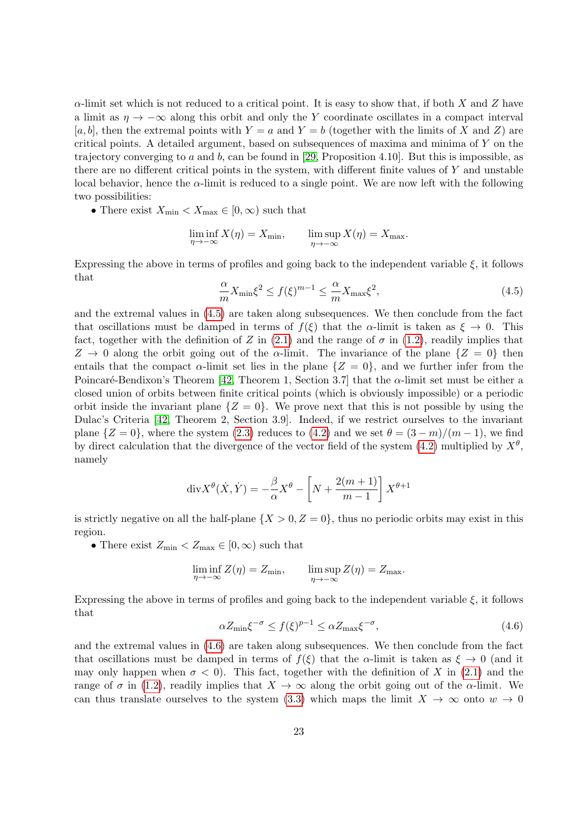$\alpha$ -limit set which is not reduced to a critical point. It is easy to show that, if both X and Z have a limit as  $\eta \to -\infty$  along this orbit and only the Y coordinate oscillates in a compact interval [a, b], then the extremal points with  $Y = a$  and  $Y = b$  (together with the limits of X and Z) are critical points. A detailed argument, based on subsequences of maxima and minima of Y on the trajectory converging to a and b, can be found in [\[29,](#page-45-13) Proposition 4.10]. But this is impossible, as there are no different critical points in the system, with different finite values of Y and unstable local behavior, hence the  $\alpha$ -limit is reduced to a single point. We are now left with the following two possibilities:

• There exist  $X_{\text{min}} < X_{\text{max}} \in [0, \infty)$  such that

$$
\liminf_{\eta \to -\infty} X(\eta) = X_{\min}, \qquad \limsup_{\eta \to -\infty} X(\eta) = X_{\max}.
$$

Expressing the above in terms of profiles and going back to the independent variable  $\xi$ , it follows that

<span id="page-22-0"></span>
$$
\frac{\alpha}{m}X_{\min}\xi^2 \le f(\xi)^{m-1} \le \frac{\alpha}{m}X_{\max}\xi^2,\tag{4.5}
$$

and the extremal values in [\(4.5\)](#page-22-0) are taken along subsequences. We then conclude from the fact that oscillations must be damped in terms of  $f(\xi)$  that the  $\alpha$ -limit is taken as  $\xi \to 0$ . This fact, together with the definition of Z in [\(2.1\)](#page-6-1) and the range of  $\sigma$  in [\(1.2\)](#page-1-0), readily implies that  $Z \to 0$  along the orbit going out of the α-limit. The invariance of the plane  $\{Z = 0\}$  then entails that the compact  $\alpha$ -limit set lies in the plane  $\{Z = 0\}$ , and we further infer from the Poincaré-Bendixon's Theorem [\[42,](#page-46-12) Theorem 1, Section 3.7] that the  $\alpha$ -limit set must be either a closed union of orbits between finite critical points (which is obviously impossible) or a periodic orbit inside the invariant plane  $\{Z = 0\}$ . We prove next that this is not possible by using the Dulac's Criteria [\[42,](#page-46-12) Theorem 2, Section 3.9]. Indeed, if we restrict ourselves to the invariant plane  $\{Z=0\}$ , where the system [\(2.3\)](#page-6-2) reduces to [\(4.2\)](#page-20-0) and we set  $\theta = (3-m)/(m-1)$ , we find by direct calculation that the divergence of the vector field of the system [\(4.2\)](#page-20-0) multiplied by  $X^{\theta}$ , namely

$$
\operatorname{div} X^{\theta}(\dot{X}, \dot{Y}) = -\frac{\beta}{\alpha} X^{\theta} - \left[ N + \frac{2(m+1)}{m-1} \right] X^{\theta+1}
$$

is strictly negative on all the half-plane  $\{X > 0, Z = 0\}$ , thus no periodic orbits may exist in this region.

• There exist  $Z_{\text{min}} < Z_{\text{max}} \in [0, \infty)$  such that

$$
\liminf_{\eta \to -\infty} Z(\eta) = Z_{\min}, \qquad \limsup_{\eta \to -\infty} Z(\eta) = Z_{\max}.
$$

Expressing the above in terms of profiles and going back to the independent variable  $\xi$ , it follows that

<span id="page-22-1"></span>
$$
\alpha Z_{\min} \xi^{-\sigma} \le f(\xi)^{p-1} \le \alpha Z_{\max} \xi^{-\sigma},\tag{4.6}
$$

and the extremal values in [\(4.6\)](#page-22-1) are taken along subsequences. We then conclude from the fact that oscillations must be damped in terms of  $f(\xi)$  that the  $\alpha$ -limit is taken as  $\xi \to 0$  (and it may only happen when  $\sigma < 0$ ). This fact, together with the definition of X in [\(2.1\)](#page-6-1) and the range of  $\sigma$  in [\(1.2\)](#page-1-0), readily implies that  $X \to \infty$  along the orbit going out of the  $\alpha$ -limit. We can thus translate ourselves to the system [\(3.3\)](#page-12-1) which maps the limit  $X \to \infty$  onto  $w \to 0$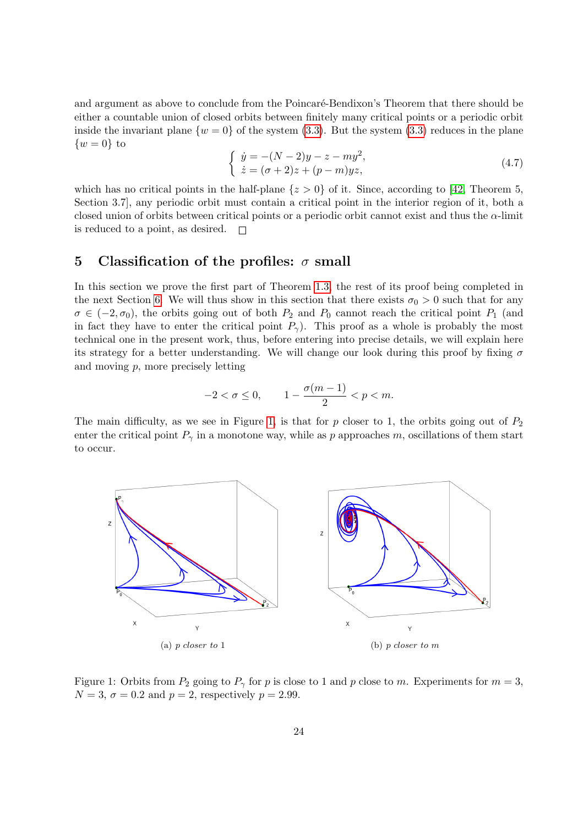and argument as above to conclude from the Poincaré-Bendixon's Theorem that there should be either a countable union of closed orbits between finitely many critical points or a periodic orbit inside the invariant plane  $\{w = 0\}$  of the system [\(3.3\)](#page-12-1). But the system (3.3) reduces in the plane  $\{w=0\}$  to

$$
\begin{cases} \n\dot{y} = -(N-2)y - z - my^2, \\ \n\dot{z} = (\sigma + 2)z + (p - m)yz, \n\end{cases} \n\tag{4.7}
$$

which has no critical points in the half-plane  $\{z > 0\}$  of it. Since, according to [\[42,](#page-46-12) Theorem 5, Section 3.7], any periodic orbit must contain a critical point in the interior region of it, both a closed union of orbits between critical points or a periodic orbit cannot exist and thus the  $\alpha$ -limit is reduced to a point, as desired.  $\Box$ 

#### <span id="page-23-0"></span>5 Classification of the profiles:  $\sigma$  small

In this section we prove the first part of Theorem [1.3,](#page-4-0) the rest of its proof being completed in the next Section [6.](#page-37-0) We will thus show in this section that there exists  $\sigma_0 > 0$  such that for any  $\sigma \in (-2, \sigma_0)$ , the orbits going out of both  $P_2$  and  $P_0$  cannot reach the critical point  $P_1$  (and in fact they have to enter the critical point  $P_{\gamma}$ ). This proof as a whole is probably the most technical one in the present work, thus, before entering into precise details, we will explain here its strategy for a better understanding. We will change our look during this proof by fixing  $\sigma$ and moving  $p$ , more precisely letting

$$
-2 < \sigma \le 0, \qquad 1 - \frac{\sigma(m-1)}{2} < p < m.
$$

The main difficulty, as we see in Figure [1,](#page-23-1) is that for p closer to 1, the orbits going out of  $P_2$ enter the critical point  $P_{\gamma}$  in a monotone way, while as p approaches m, oscillations of them start to occur.



<span id="page-23-1"></span>Figure 1: Orbits from  $P_2$  going to  $P_\gamma$  for p is close to 1 and p close to m. Experiments for  $m=3$ ,  $N = 3, \sigma = 0.2$  and  $p = 2$ , respectively  $p = 2.99$ .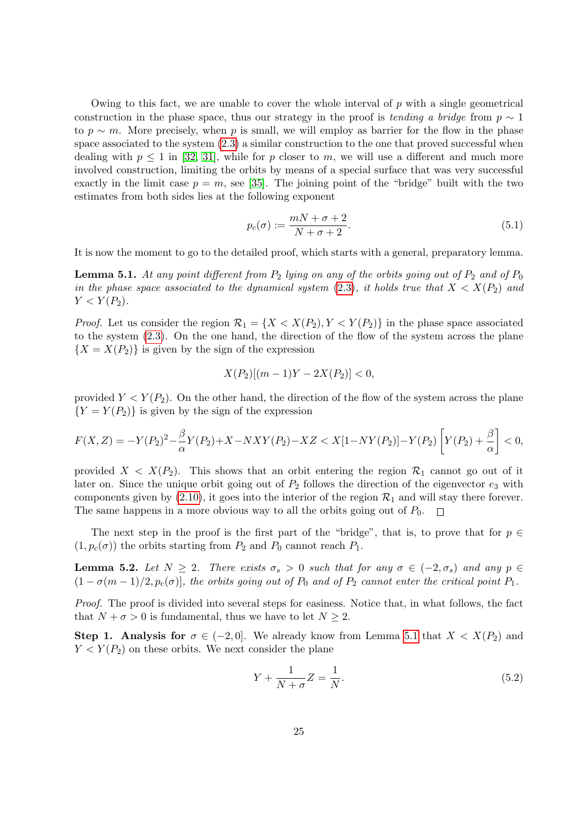Owing to this fact, we are unable to cover the whole interval of  $p$  with a single geometrical construction in the phase space, thus our strategy in the proof is tending a bridge from  $p \sim 1$ to  $p \sim m$ . More precisely, when p is small, we will employ as barrier for the flow in the phase space associated to the system [\(2.3\)](#page-6-2) a similar construction to the one that proved successful when dealing with  $p \leq 1$  in [\[32,](#page-45-7) [31\]](#page-45-12), while for p closer to m, we will use a different and much more involved construction, limiting the orbits by means of a special surface that was very successful exactly in the limit case  $p = m$ , see [\[35\]](#page-45-14). The joining point of the "bridge" built with the two estimates from both sides lies at the following exponent

<span id="page-24-2"></span>
$$
p_c(\sigma) := \frac{mN + \sigma + 2}{N + \sigma + 2}.
$$
\n(5.1)

It is now the moment to go to the detailed proof, which starts with a general, preparatory lemma.

<span id="page-24-0"></span>**Lemma 5.1.** At any point different from  $P_2$  lying on any of the orbits going out of  $P_2$  and of  $P_0$ in the phase space associated to the dynamical system  $(2.3)$ , it holds true that  $X < X(P_2)$  and  $Y < Y(P_2)$ .

*Proof.* Let us consider the region  $\mathcal{R}_1 = \{X < X(P_2), Y < Y(P_2)\}$  in the phase space associated to the system  $(2.3)$ . On the one hand, the direction of the flow of the system across the plane  ${X = X(P_2)}$  is given by the sign of the expression

$$
X(P_2)[(m-1)Y - 2X(P_2)] < 0,
$$

provided  $Y \lt Y(P_2)$ . On the other hand, the direction of the flow of the system across the plane  ${Y = Y(P_2)}$  is given by the sign of the expression

$$
F(X,Z) = -Y(P_2)^2 - \frac{\beta}{\alpha}Y(P_2) + X - NXY(P_2) - XZ < X[1 - NY(P_2)] - Y(P_2)\left[Y(P_2) + \frac{\beta}{\alpha}\right] < 0,
$$

provided  $X < X(P_2)$ . This shows that an orbit entering the region  $\mathcal{R}_1$  cannot go out of it later on. Since the unique orbit going out of  $P_2$  follows the direction of the eigenvector  $e_3$  with components given by  $(2.10)$ , it goes into the interior of the region  $\mathcal{R}_1$  and will stay there forever. The same happens in a more obvious way to all the orbits going out of  $P_0$ .  $\overline{\phantom{a}}$ 

The next step in the proof is the first part of the "bridge", that is, to prove that for  $p \in \mathbb{R}$  $(1, p_c(\sigma))$  the orbits starting from  $P_2$  and  $P_0$  cannot reach  $P_1$ .

<span id="page-24-3"></span>**Lemma 5.2.** Let  $N \geq 2$ . There exists  $\sigma_s > 0$  such that for any  $\sigma \in (-2, \sigma_s)$  and any  $p \in$  $(1 - \sigma(m-1)/2, p_c(\sigma))$ , the orbits going out of  $P_0$  and of  $P_2$  cannot enter the critical point  $P_1$ .

Proof. The proof is divided into several steps for easiness. Notice that, in what follows, the fact that  $N + \sigma > 0$  is fundamental, thus we have to let  $N \geq 2$ .

**Step 1. Analysis for**  $\sigma \in (-2, 0]$ . We already know from Lemma [5.1](#page-24-0) that  $X < X(P_2)$  and  $Y < Y(P_2)$  on these orbits. We next consider the plane

<span id="page-24-1"></span>
$$
Y + \frac{1}{N + \sigma} Z = \frac{1}{N}.\tag{5.2}
$$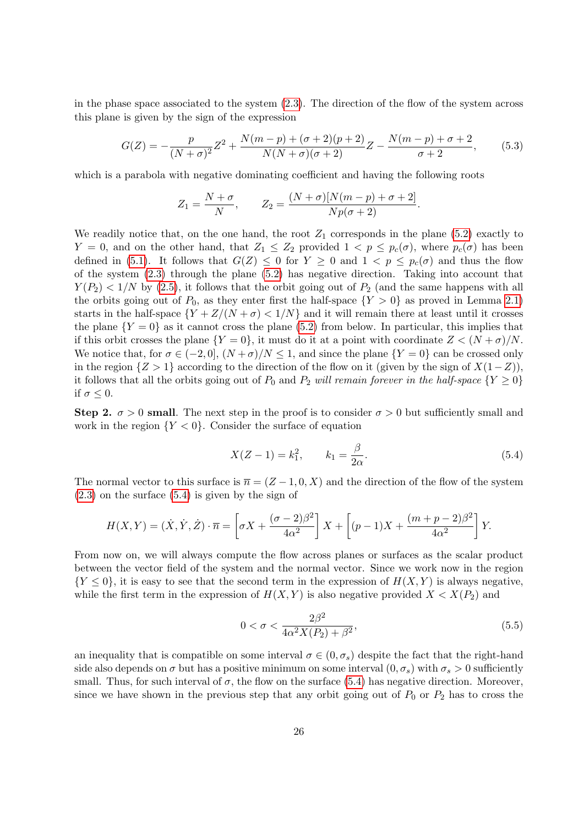in the phase space associated to the system  $(2.3)$ . The direction of the flow of the system across this plane is given by the sign of the expression

$$
G(Z) = -\frac{p}{(N+\sigma)^2}Z^2 + \frac{N(m-p) + (\sigma+2)(p+2)}{N(N+\sigma)(\sigma+2)}Z - \frac{N(m-p) + \sigma+2}{\sigma+2},
$$
(5.3)

which is a parabola with negative dominating coefficient and having the following roots

$$
Z_1 = \frac{N+\sigma}{N}, \qquad Z_2 = \frac{(N+\sigma)[N(m-p)+\sigma+2]}{Np(\sigma+2)}.
$$

We readily notice that, on the one hand, the root  $Z_1$  corresponds in the plane [\(5.2\)](#page-24-1) exactly to Y = 0, and on the other hand, that  $Z_1 \leq Z_2$  provided  $1 < p \leq p_c(\sigma)$ , where  $p_c(\sigma)$  has been defined in [\(5.1\)](#page-24-2). It follows that  $G(Z) \leq 0$  for  $Y \geq 0$  and  $1 < p \leq p_c(\sigma)$  and thus the flow of the system  $(2.3)$  through the plane  $(5.2)$  has negative direction. Taking into account that  $Y(P_2) < 1/N$  by [\(2.5\)](#page-6-3), it follows that the orbit going out of  $P_2$  (and the same happens with all the orbits going out of  $P_0$ , as they enter first the half-space  $\{Y > 0\}$  as proved in Lemma [2.1\)](#page-7-2) starts in the half-space  ${Y + Z/(N + \sigma) < 1/N}$  and it will remain there at least until it crosses the plane  ${Y = 0}$  as it cannot cross the plane [\(5.2\)](#page-24-1) from below. In particular, this implies that if this orbit crosses the plane  ${Y = 0}$ , it must do it at a point with coordinate  $Z < (N + \sigma)/N$ . We notice that, for  $\sigma \in (-2,0]$ ,  $(N+\sigma)/N \leq 1$ , and since the plane  $\{Y=0\}$  can be crossed only in the region  $\{Z > 1\}$  according to the direction of the flow on it (given by the sign of  $X(1-Z)$ ), it follows that all the orbits going out of  $P_0$  and  $P_2$  will remain forever in the half-space  $\{Y \geq 0\}$ if  $\sigma \leq 0$ .

Step 2.  $\sigma > 0$  small. The next step in the proof is to consider  $\sigma > 0$  but sufficiently small and work in the region  ${Y < 0}$ . Consider the surface of equation

<span id="page-25-0"></span>
$$
X(Z-1) = k_1^2, \qquad k_1 = \frac{\beta}{2\alpha}.
$$
\n(5.4)

The normal vector to this surface is  $\bar{n} = (Z-1,0,X)$  and the direction of the flow of the system [\(2.3\)](#page-6-2) on the surface [\(5.4\)](#page-25-0) is given by the sign of

$$
H(X,Y) = (\dot{X}, \dot{Y}, \dot{Z}) \cdot \overline{n} = \left[\sigma X + \frac{(\sigma - 2)\beta^2}{4\alpha^2}\right]X + \left[(p - 1)X + \frac{(m + p - 2)\beta^2}{4\alpha^2}\right]Y.
$$

From now on, we will always compute the flow across planes or surfaces as the scalar product between the vector field of the system and the normal vector. Since we work now in the region  ${Y \leq 0}$ , it is easy to see that the second term in the expression of  $H(X, Y)$  is always negative, while the first term in the expression of  $H(X, Y)$  is also negative provided  $X < X(P_2)$  and

<span id="page-25-1"></span>
$$
0 < \sigma < \frac{2\beta^2}{4\alpha^2 X(P_2) + \beta^2},\tag{5.5}
$$

an inequality that is compatible on some interval  $\sigma \in (0, \sigma_s)$  despite the fact that the right-hand side also depends on  $\sigma$  but has a positive minimum on some interval  $(0, \sigma_s)$  with  $\sigma_s > 0$  sufficiently small. Thus, for such interval of  $\sigma$ , the flow on the surface [\(5.4\)](#page-25-0) has negative direction. Moreover, since we have shown in the previous step that any orbit going out of  $P_0$  or  $P_2$  has to cross the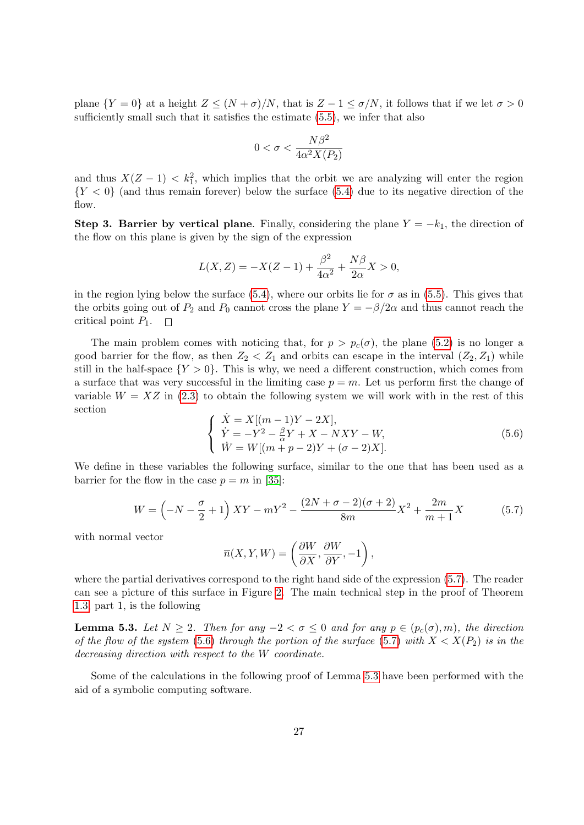plane  ${Y = 0}$  at a height  $Z \le (N + \sigma)/N$ , that is  $Z - 1 \le \sigma/N$ , it follows that if we let  $\sigma > 0$ sufficiently small such that it satisfies the estimate [\(5.5\)](#page-25-1), we infer that also

$$
0<\sigma<\frac{N\beta^2}{4\alpha^2X(P_2)}
$$

and thus  $X(Z-1) < k_1^2$ , which implies that the orbit we are analyzing will enter the region  ${Y < 0}$  (and thus remain forever) below the surface [\(5.4\)](#page-25-0) due to its negative direction of the flow.

Step 3. Barrier by vertical plane. Finally, considering the plane  $Y = -k_1$ , the direction of the flow on this plane is given by the sign of the expression

$$
L(X, Z) = -X(Z - 1) + \frac{\beta^2}{4\alpha^2} + \frac{N\beta}{2\alpha}X > 0,
$$

in the region lying below the surface [\(5.4\)](#page-25-0), where our orbits lie for  $\sigma$  as in [\(5.5\)](#page-25-1). This gives that the orbits going out of  $P_2$  and  $P_0$  cannot cross the plane  $Y = -\beta/2\alpha$  and thus cannot reach the critical point  $P_1$ .  $\Box$ 

The main problem comes with noticing that, for  $p > p_c(\sigma)$ , the plane [\(5.2\)](#page-24-1) is no longer a good barrier for the flow, as then  $Z_2 < Z_1$  and orbits can escape in the interval  $(Z_2, Z_1)$  while still in the half-space  ${Y > 0}$ . This is why, we need a different construction, which comes from a surface that was very successful in the limiting case  $p = m$ . Let us perform first the change of variable  $W = XZ$  in [\(2.3\)](#page-6-2) to obtain the following system we will work with in the rest of this section

<span id="page-26-1"></span>
$$
\begin{cases}\n\dot{X} = X[(m-1)Y - 2X], \\
\dot{Y} = -Y^2 - \frac{\beta}{\alpha}Y + X - NXY - W, \\
\dot{W} = W[(m+p-2)Y + (\sigma - 2)X].\n\end{cases}
$$
\n(5.6)

We define in these variables the following surface, similar to the one that has been used as a barrier for the flow in the case  $p = m$  in [\[35\]](#page-45-14):

<span id="page-26-0"></span>
$$
W = \left(-N - \frac{\sigma}{2} + 1\right)XY - mY^2 - \frac{(2N + \sigma - 2)(\sigma + 2)}{8m}X^2 + \frac{2m}{m+1}X\tag{5.7}
$$

with normal vector

$$
\overline{n}(X,Y,W)=\left(\frac{\partial W}{\partial X},\frac{\partial W}{\partial Y},-1\right),
$$

where the partial derivatives correspond to the right hand side of the expression [\(5.7\)](#page-26-0). The reader can see a picture of this surface in Figure [2.](#page-36-0) The main technical step in the proof of Theorem [1.3,](#page-4-0) part 1, is the following

<span id="page-26-2"></span>**Lemma 5.3.** Let  $N \geq 2$ . Then for any  $-2 < \sigma \leq 0$  and for any  $p \in (p_c(\sigma), m)$ , the direction of the flow of the system [\(5.6\)](#page-26-1) through the portion of the surface [\(5.7\)](#page-26-0) with  $X < X(P_2)$  is in the decreasing direction with respect to the W coordinate.

Some of the calculations in the following proof of Lemma [5.3](#page-26-2) have been performed with the aid of a symbolic computing software.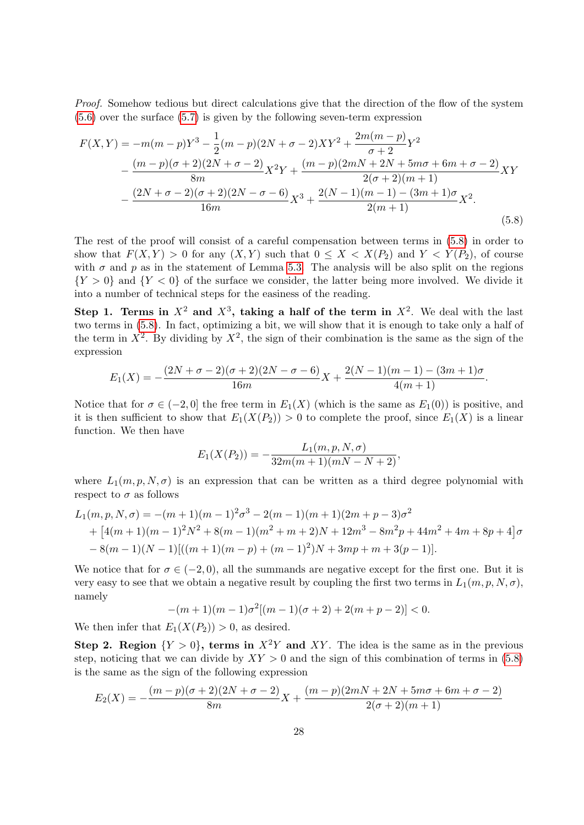Proof. Somehow tedious but direct calculations give that the direction of the flow of the system [\(5.6\)](#page-26-1) over the surface [\(5.7\)](#page-26-0) is given by the following seven-term expression

<span id="page-27-0"></span>
$$
F(X,Y) = -m(m-p)Y^3 - \frac{1}{2}(m-p)(2N+\sigma-2)XY^2 + \frac{2m(m-p)}{\sigma+2}Y^2
$$
  
 
$$
- \frac{(m-p)(\sigma+2)(2N+\sigma-2)}{8m}X^2Y + \frac{(m-p)(2mN+2N+5m\sigma+6m+\sigma-2)}{2(\sigma+2)(m+1)}XY
$$
  
 
$$
- \frac{(2N+\sigma-2)(\sigma+2)(2N-\sigma-6)}{16m}X^3 + \frac{2(N-1)(m-1)-(3m+1)\sigma}{2(m+1)}X^2.
$$
 (5.8)

The rest of the proof will consist of a careful compensation between terms in [\(5.8\)](#page-27-0) in order to show that  $F(X, Y) > 0$  for any  $(X, Y)$  such that  $0 \leq X < X(P_2)$  and  $Y < Y(P_2)$ , of course with  $\sigma$  and  $p$  as in the statement of Lemma [5.3.](#page-26-2) The analysis will be also split on the regions  ${Y > 0}$  and  ${Y < 0}$  of the surface we consider, the latter being more involved. We divide it into a number of technical steps for the easiness of the reading.

Step 1. Terms in  $X^2$  and  $X^3$ , taking a half of the term in  $X^2$ . We deal with the last two terms in [\(5.8\)](#page-27-0). In fact, optimizing a bit, we will show that it is enough to take only a half of the term in  $X^2$ . By dividing by  $X^2$ , the sign of their combination is the same as the sign of the expression

$$
E_1(X) = -\frac{(2N + \sigma - 2)(\sigma + 2)(2N - \sigma - 6)}{16m}X + \frac{2(N-1)(m-1) - (3m+1)\sigma}{4(m+1)}.
$$

Notice that for  $\sigma \in (-2,0]$  the free term in  $E_1(X)$  (which is the same as  $E_1(0)$ ) is positive, and it is then sufficient to show that  $E_1(X(P_2)) > 0$  to complete the proof, since  $E_1(X)$  is a linear function. We then have

$$
E_1(X(P_2)) = -\frac{L_1(m, p, N, \sigma)}{32m(m+1)(mN-N+2)},
$$

where  $L_1(m, p, N, \sigma)$  is an expression that can be written as a third degree polynomial with respect to  $\sigma$  as follows

$$
L_1(m, p, N, \sigma) = -(m+1)(m-1)^2 \sigma^3 - 2(m-1)(m+1)(2m+p-3)\sigma^2
$$
  
+ 
$$
[4(m+1)(m-1)^2 N^2 + 8(m-1)(m^2+m+2)N + 12m^3 - 8m^2p + 44m^2 + 4m + 8p + 4]\sigma
$$
  
- 
$$
8(m-1)(N-1)[((m+1)(m-p) + (m-1)^2)N + 3mp + m + 3(p-1)].
$$

We notice that for  $\sigma \in (-2, 0)$ , all the summands are negative except for the first one. But it is very easy to see that we obtain a negative result by coupling the first two terms in  $L_1(m, p, N, \sigma)$ , namely

$$
-(m+1)(m-1)\sigma^2[(m-1)(\sigma+2)+2(m+p-2)] < 0.
$$

We then infer that  $E_1(X(P_2)) > 0$ , as desired.

Step 2. Region  $\{Y > 0\}$ , terms in  $X^2Y$  and XY. The idea is the same as in the previous step, noticing that we can divide by  $XY > 0$  and the sign of this combination of terms in [\(5.8\)](#page-27-0) is the same as the sign of the following expression

$$
E_2(X) = -\frac{(m-p)(\sigma+2)(2N+\sigma-2)}{8m}X + \frac{(m-p)(2mN+2N+5m\sigma+6m+\sigma-2)}{2(\sigma+2)(m+1)}
$$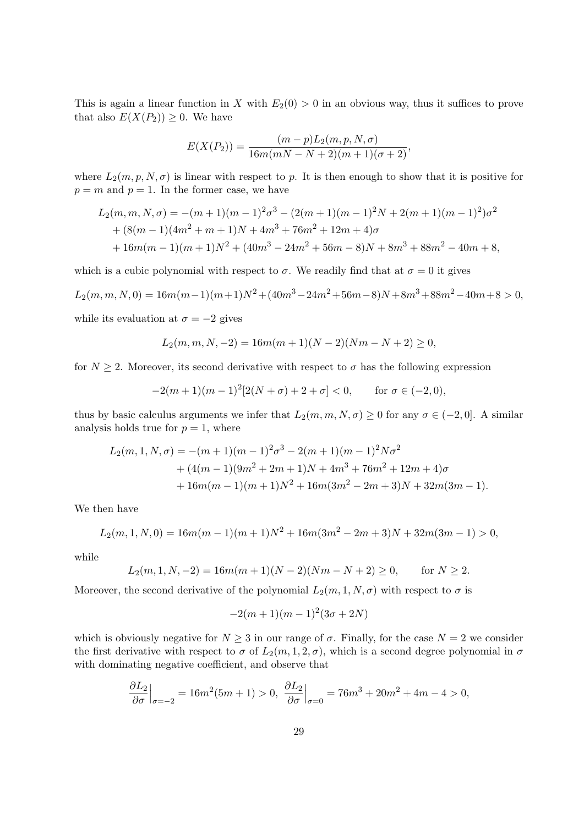This is again a linear function in X with  $E_2(0) > 0$  in an obvious way, thus it suffices to prove that also  $E(X(P_2)) \geq 0$ . We have

$$
E(X(P_2)) = \frac{(m-p)L_2(m, p, N, \sigma)}{16m(mN - N + 2)(m+1)(\sigma+2)},
$$

where  $L_2(m, p, N, \sigma)$  is linear with respect to p. It is then enough to show that it is positive for  $p = m$  and  $p = 1$ . In the former case, we have

$$
L_2(m, m, N, \sigma) = -(m+1)(m-1)^2 \sigma^3 - (2(m+1)(m-1)^2 N + 2(m+1)(m-1)^2) \sigma^2
$$
  
+  $(8(m-1)(4m^2 + m + 1)N + 4m^3 + 76m^2 + 12m + 4)\sigma$   
+  $16m(m-1)(m+1)N^2 + (40m^3 - 24m^2 + 56m - 8)N + 8m^3 + 88m^2 - 40m + 8,$ 

which is a cubic polynomial with respect to  $\sigma$ . We readily find that at  $\sigma = 0$  it gives

$$
L_2(m, m, N, 0) = 16m(m-1)(m+1)N^2 + (40m^3 - 24m^2 + 56m - 8)N + 8m^3 + 88m^2 - 40m + 8 > 0,
$$

while its evaluation at  $\sigma = -2$  gives

$$
L_2(m, m, N, -2) = 16m(m + 1)(N - 2)(Nm - N + 2) \ge 0,
$$

for  $N \geq 2$ . Moreover, its second derivative with respect to  $\sigma$  has the following expression

$$
-2(m+1)(m-1)^{2}[2(N+\sigma)+2+\sigma] < 0, \quad \text{for } \sigma \in (-2,0),
$$

thus by basic calculus arguments we infer that  $L_2(m, m, N, \sigma) \geq 0$  for any  $\sigma \in (-2, 0]$ . A similar analysis holds true for  $p = 1$ , where

$$
L_2(m, 1, N, \sigma) = -(m+1)(m-1)^2 \sigma^3 - 2(m+1)(m-1)^2 N \sigma^2
$$
  
+ 
$$
(4(m-1)(9m^2 + 2m + 1)N + 4m^3 + 76m^2 + 12m + 4)\sigma
$$
  
+ 
$$
16m(m-1)(m+1)N^2 + 16m(3m^2 - 2m + 3)N + 32m(3m - 1).
$$

We then have

$$
L_2(m, 1, N, 0) = 16m(m - 1)(m + 1)N^2 + 16m(3m^2 - 2m + 3)N + 32m(3m - 1) > 0,
$$

while

$$
L_2(m, 1, N, -2) = 16m(m+1)(N-2)(Nm - N + 2) \ge 0, \quad \text{for } N \ge 2.
$$

Moreover, the second derivative of the polynomial  $L_2(m, 1, N, \sigma)$  with respect to  $\sigma$  is

$$
-2(m+1)(m-1)^2(3\sigma+2N)
$$

which is obviously negative for  $N \geq 3$  in our range of  $\sigma$ . Finally, for the case  $N = 2$  we consider the first derivative with respect to  $\sigma$  of  $L_2(m, 1, 2, \sigma)$ , which is a second degree polynomial in  $\sigma$ with dominating negative coefficient, and observe that

$$
\frac{\partial L_2}{\partial \sigma}\Big|_{\sigma=-2} = 16m^2(5m+1) > 0, \ \frac{\partial L_2}{\partial \sigma}\Big|_{\sigma=0} = 76m^3 + 20m^2 + 4m - 4 > 0,
$$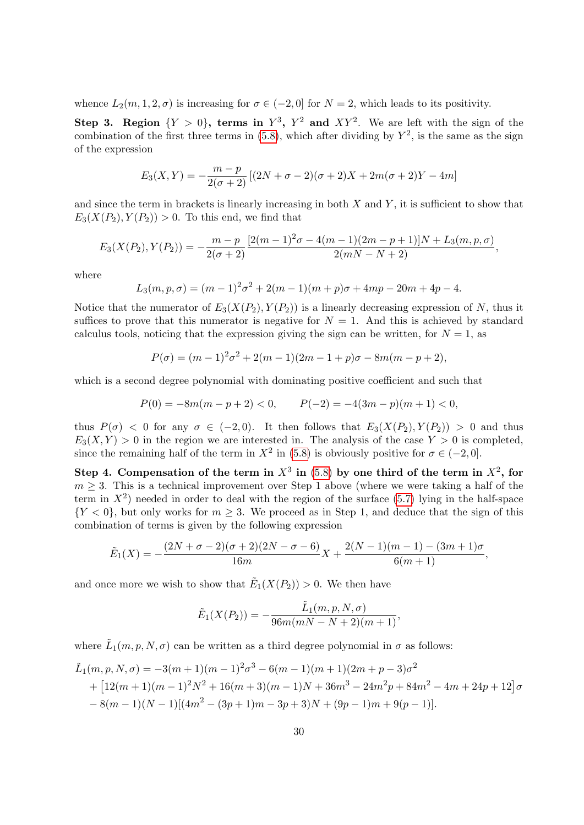whence  $L_2(m, 1, 2, \sigma)$  is increasing for  $\sigma \in (-2, 0]$  for  $N = 2$ , which leads to its positivity.

Step 3. Region  $\{Y > 0\}$ , terms in  $Y^3$ ,  $Y^2$  and  $XY^2$ . We are left with the sign of the combination of the first three terms in  $(5.8)$ , which after dividing by  $Y^2$ , is the same as the sign of the expression

$$
E_3(X,Y) = -\frac{m-p}{2(\sigma+2)}[(2N+\sigma-2)(\sigma+2)X + 2m(\sigma+2)Y - 4m]
$$

and since the term in brackets is linearly increasing in both  $X$  and  $Y$ , it is sufficient to show that  $E_3(X(P_2), Y(P_2)) > 0$ . To this end, we find that

$$
E_3(X(P_2), Y(P_2)) = -\frac{m-p}{2(\sigma+2)} \frac{[2(m-1)^2\sigma - 4(m-1)(2m-p+1)]N + L_3(m, p, \sigma)}{2(mN-N+2)},
$$

where

$$
L_3(m, p, \sigma) = (m-1)^2 \sigma^2 + 2(m-1)(m+p)\sigma + 4mp - 20m + 4p - 4.
$$

Notice that the numerator of  $E_3(X(P_2), Y(P_2))$  is a linearly decreasing expression of N, thus it suffices to prove that this numerator is negative for  $N = 1$ . And this is achieved by standard calculus tools, noticing that the expression giving the sign can be written, for  $N = 1$ , as

$$
P(\sigma) = (m-1)^2 \sigma^2 + 2(m-1)(2m-1+p)\sigma - 8m(m-p+2),
$$

which is a second degree polynomial with dominating positive coefficient and such that

$$
P(0) = -8m(m - p + 2) < 0, \qquad P(-2) = -4(3m - p)(m + 1) < 0,
$$

thus  $P(\sigma) < 0$  for any  $\sigma \in (-2, 0)$ . It then follows that  $E_3(X(P_2), Y(P_2)) > 0$  and thus  $E_3(X, Y) > 0$  in the region we are interested in. The analysis of the case  $Y > 0$  is completed, since the remaining half of the term in  $X^2$  in [\(5.8\)](#page-27-0) is obviously positive for  $\sigma \in (-2,0]$ .

Step 4. Compensation of the term in  $X^3$  in [\(5.8\)](#page-27-0) by one third of the term in  $X^2$ , for  $m \geq 3$ . This is a technical improvement over Step 1 above (where we were taking a half of the term in  $X^2$ ) needed in order to deal with the region of the surface [\(5.7\)](#page-26-0) lying in the half-space  ${Y < 0}$ , but only works for  $m \geq 3$ . We proceed as in Step 1, and deduce that the sign of this combination of terms is given by the following expression

$$
\tilde{E}_1(X) = -\frac{(2N + \sigma - 2)(\sigma + 2)(2N - \sigma - 6)}{16m}X + \frac{2(N - 1)(m - 1) - (3m + 1)\sigma}{6(m + 1)},
$$

and once more we wish to show that  $\tilde{E}_1(X(P_2)) > 0$ . We then have

$$
\tilde{E}_1(X(P_2)) = -\frac{\tilde{L}_1(m, p, N, \sigma)}{96m(mN - N + 2)(m + 1)},
$$

where  $\tilde{L}_1(m, p, N, \sigma)$  can be written as a third degree polynomial in  $\sigma$  as follows:

$$
\tilde{L}_1(m, p, N, \sigma) = -3(m+1)(m-1)^2 \sigma^3 - 6(m-1)(m+1)(2m+p-3)\sigma^2 \n+ [12(m+1)(m-1)^2 N^2 + 16(m+3)(m-1)N + 36m^3 - 24m^2 p + 84m^2 - 4m + 24p + 12]\sigma \n- 8(m-1)(N-1)[(4m^2 - (3p+1)m - 3p + 3)N + (9p-1)m + 9(p-1)].
$$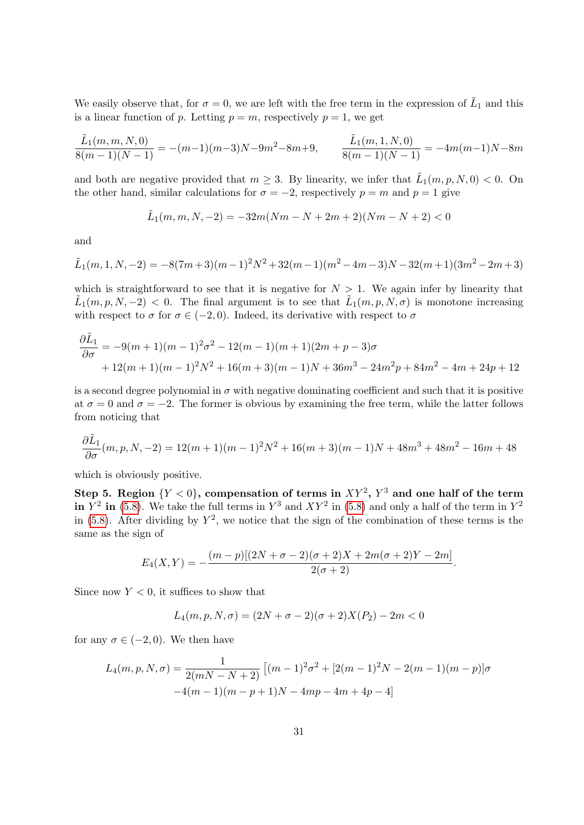We easily observe that, for  $\sigma = 0$ , we are left with the free term in the expression of  $\tilde{L}_1$  and this is a linear function of p. Letting  $p = m$ , respectively  $p = 1$ , we get

$$
\frac{\tilde{L}_1(m,m,N,0)}{8(m-1)(N-1)} = -(m-1)(m-3)N - 9m^2 - 8m + 9, \qquad \frac{\tilde{L}_1(m,1,N,0)}{8(m-1)(N-1)} = -4m(m-1)N - 8m
$$

and both are negative provided that  $m \geq 3$ . By linearity, we infer that  $\tilde{L}_1(m, p, N, 0) < 0$ . On the other hand, similar calculations for  $\sigma = -2$ , respectively  $p = m$  and  $p = 1$  give

$$
\tilde{L}_1(m, m, N, -2) = -32m(Nm - N + 2m + 2)(Nm - N + 2) < 0
$$

and

$$
\tilde{L}_1(m,1,N,-2) = -8(7m+3)(m-1)^2N^2 + 32(m-1)(m^2 - 4m - 3)N - 32(m+1)(3m^2 - 2m + 3)
$$

which is straightforward to see that it is negative for  $N > 1$ . We again infer by linearity that  $\tilde{L}_1(m,p,N,-2) < 0$ . The final argument is to see that  $\tilde{L}_1(m,p,N,\sigma)$  is monotone increasing with respect to  $\sigma$  for  $\sigma \in (-2, 0)$ . Indeed, its derivative with respect to  $\sigma$ 

$$
\frac{\partial \tilde{L}_1}{\partial \sigma} = -9(m+1)(m-1)^2 \sigma^2 - 12(m-1)(m+1)(2m+p-3)\sigma + 12(m+1)(m-1)^2 N^2 + 16(m+3)(m-1)N + 36m^3 - 24m^2p + 84m^2 - 4m + 24p + 12
$$

is a second degree polynomial in  $\sigma$  with negative dominating coefficient and such that it is positive at  $\sigma = 0$  and  $\sigma = -2$ . The former is obvious by examining the free term, while the latter follows from noticing that

$$
\frac{\partial \tilde{L}_1}{\partial \sigma}(m, p, N, -2) = 12(m + 1)(m - 1)^2 N^2 + 16(m + 3)(m - 1)N + 48m^3 + 48m^2 - 16m + 48
$$

which is obviously positive.

Step 5. Region  $\{Y < 0\}$ , compensation of terms in  $XY^2$ ,  $Y^3$  and one half of the term in  $Y^2$  in [\(5.8\)](#page-27-0). We take the full terms in  $Y^3$  and  $XY^2$  in (5.8) and only a half of the term in  $Y^2$ in [\(5.8\)](#page-27-0). After dividing by  $Y^2$ , we notice that the sign of the combination of these terms is the same as the sign of

$$
E_4(X,Y) = -\frac{(m-p)[(2N+\sigma-2)(\sigma+2)X+2m(\sigma+2)Y-2m]}{2(\sigma+2)}.
$$

Since now  $Y < 0$ , it suffices to show that

$$
L_4(m, p, N, \sigma) = (2N + \sigma - 2)(\sigma + 2)X(P_2) - 2m < 0
$$

for any  $\sigma \in (-2,0)$ . We then have

$$
L_4(m, p, N, \sigma) = \frac{1}{2(mN - N + 2)} [(m - 1)^2 \sigma^2 + [2(m - 1)^2 N - 2(m - 1)(m - p)] \sigma
$$
  
-4(m - 1)(m - p + 1)N - 4mp - 4m + 4p - 4]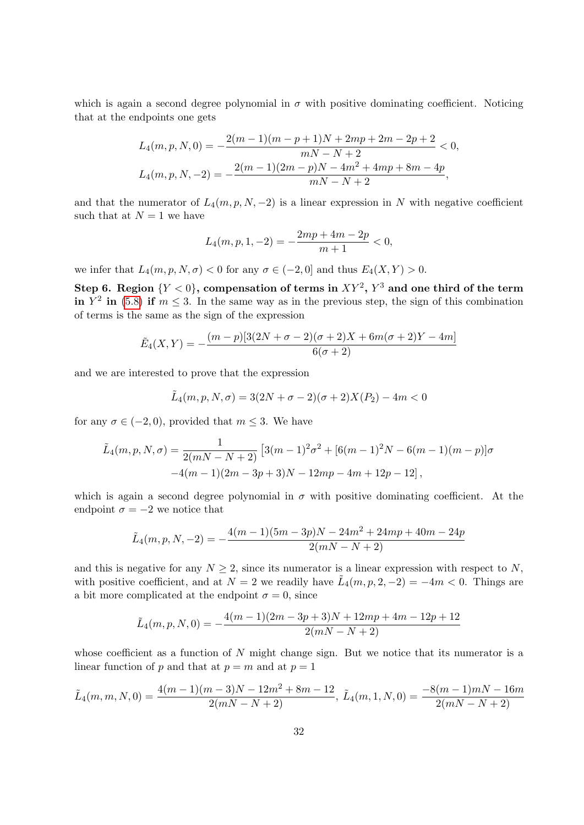which is again a second degree polynomial in  $\sigma$  with positive dominating coefficient. Noticing that at the endpoints one gets

$$
L_4(m, p, N, 0) = -\frac{2(m-1)(m-p+1)N + 2mp + 2m - 2p + 2}{mN - N + 2} < 0,
$$
  

$$
L_4(m, p, N, -2) = -\frac{2(m-1)(2m-p)N - 4m^2 + 4mp + 8m - 4p}{mN - N + 2},
$$

and that the numerator of  $L_4(m, p, N, -2)$  is a linear expression in N with negative coefficient such that at  $N = 1$  we have

$$
L_4(m, p, 1, -2) = -\frac{2mp + 4m - 2p}{m + 1} < 0,
$$

we infer that  $L_4(m, p, N, \sigma) < 0$  for any  $\sigma \in (-2, 0]$  and thus  $E_4(X, Y) > 0$ .

Step 6. Region  $\{Y < 0\},$  compensation of terms in  $XY^2,$   $Y^3$  and one third of the term in  $Y^2$  in [\(5.8\)](#page-27-0) if  $m \leq 3$ . In the same way as in the previous step, the sign of this combination of terms is the same as the sign of the expression

$$
\tilde{E}_4(X,Y) = -\frac{(m-p)[3(2N+\sigma-2)(\sigma+2)X+6m(\sigma+2)Y-4m]}{6(\sigma+2)}
$$

and we are interested to prove that the expression

$$
\tilde{L}_4(m, p, N, \sigma) = 3(2N + \sigma - 2)(\sigma + 2)X(P_2) - 4m < 0
$$

for any  $\sigma \in (-2,0)$ , provided that  $m \leq 3$ . We have

$$
\tilde{L}_4(m, p, N, \sigma) = \frac{1}{2(mN - N + 2)} \left[ 3(m - 1)^2 \sigma^2 + [6(m - 1)^2 N - 6(m - 1)(m - p)] \sigma \right. \\
\left. -4(m - 1)(2m - 3p + 3)N - 12mp - 4m + 12p - 12 \right],
$$

which is again a second degree polynomial in  $\sigma$  with positive dominating coefficient. At the endpoint  $\sigma = -2$  we notice that

$$
\tilde{L}_4(m, p, N, -2) = -\frac{4(m-1)(5m-3p)N - 24m^2 + 24mp + 40m - 24p}{2(mN - N + 2)}
$$

and this is negative for any  $N \geq 2$ , since its numerator is a linear expression with respect to N, with positive coefficient, and at  $N=2$  we readily have  $\tilde{L}_4(m,p,2,-2) = -4m < 0$ . Things are a bit more complicated at the endpoint  $\sigma = 0$ , since

$$
\tilde{L}_4(m, p, N, 0) = -\frac{4(m-1)(2m-3p+3)N + 12mp + 4m - 12p + 12}{2(mN - N + 2)}
$$

whose coefficient as a function of  $N$  might change sign. But we notice that its numerator is a linear function of p and that at  $p = m$  and at  $p = 1$ 

$$
\tilde{L}_4(m,m,N,0) = \frac{4(m-1)(m-3)N - 12m^2 + 8m - 12}{2(mN - N + 2)}, \ \tilde{L}_4(m,1,N,0) = \frac{-8(m-1)mN - 16m}{2(mN - N + 2)}
$$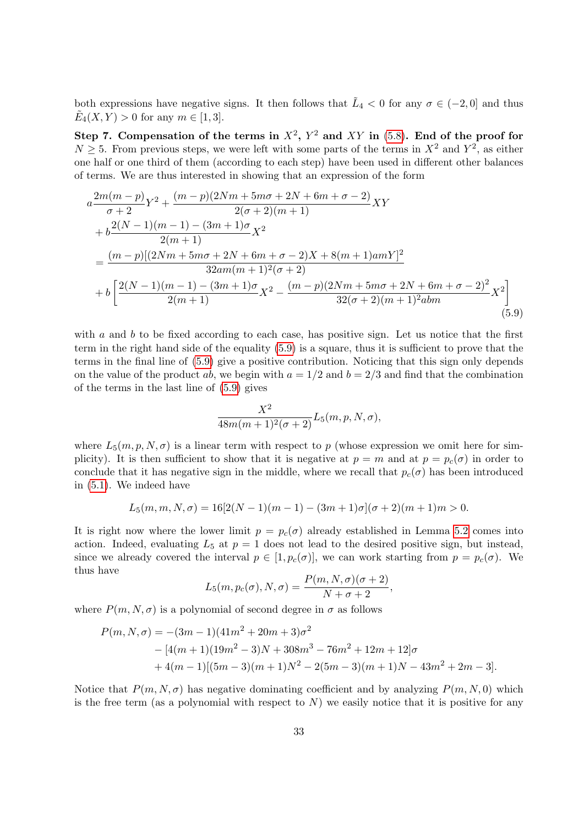both expressions have negative signs. It then follows that  $\tilde{L}_4 < 0$  for any  $\sigma \in (-2, 0]$  and thus  $\tilde{E}_4(X, Y) > 0$  for any  $m \in [1, 3]$ .

Step 7. Compensation of the terms in  $X^2$ ,  $Y^2$  and  $XY$  in [\(5.8\)](#page-27-0). End of the proof for  $N \geq 5$ . From previous steps, we were left with some parts of the terms in  $X^2$  and  $Y^2$ , as either one half or one third of them (according to each step) have been used in different other balances of terms. We are thus interested in showing that an expression of the form

<span id="page-32-0"></span>
$$
a \frac{2m(m-p)}{\sigma+2} Y^2 + \frac{(m-p)(2Nm+5m\sigma+2N+6m+\sigma-2)}{2(\sigma+2)(m+1)} XY + b \frac{2(N-1)(m-1)-(3m+1)\sigma}{2(m+1)} X^2 = \frac{(m-p)[(2Nm+5m\sigma+2N+6m+\sigma-2)X+8(m+1)amY]^2}{32am(m+1)^2(\sigma+2)} + b \left[ \frac{2(N-1)(m-1)-(3m+1)\sigma}{2(m+1)} X^2 - \frac{(m-p)(2Nm+5m\sigma+2N+6m+\sigma-2)^2}{32(\sigma+2)(m+1)^2 abm} X^2 \right] (5.9)
$$

with a and b to be fixed according to each case, has positive sign. Let us notice that the first term in the right hand side of the equality [\(5.9\)](#page-32-0) is a square, thus it is sufficient to prove that the terms in the final line of [\(5.9\)](#page-32-0) give a positive contribution. Noticing that this sign only depends on the value of the product ab, we begin with  $a = 1/2$  and  $b = 2/3$  and find that the combination of the terms in the last line of [\(5.9\)](#page-32-0) gives

$$
\frac{X^2}{48m(m+1)^2(\sigma+2)}L_5(m,p,N,\sigma),
$$

where  $L_5(m, p, N, \sigma)$  is a linear term with respect to p (whose expression we omit here for simplicity). It is then sufficient to show that it is negative at  $p = m$  and at  $p = p_c(\sigma)$  in order to conclude that it has negative sign in the middle, where we recall that  $p_c(\sigma)$  has been introduced in [\(5.1\)](#page-24-2). We indeed have

$$
L_5(m, m, N, \sigma) = 16[2(N-1)(m-1) - (3m+1)\sigma](\sigma + 2)(m+1)m > 0.
$$

It is right now where the lower limit  $p = p_c(\sigma)$  already established in Lemma [5.2](#page-24-3) comes into action. Indeed, evaluating  $L_5$  at  $p = 1$  does not lead to the desired positive sign, but instead, since we already covered the interval  $p \in [1, p_c(\sigma)]$ , we can work starting from  $p = p_c(\sigma)$ . We thus have

$$
L_5(m, p_c(\sigma), N, \sigma) = \frac{P(m, N, \sigma)(\sigma + 2)}{N + \sigma + 2},
$$

where  $P(m, N, \sigma)$  is a polynomial of second degree in  $\sigma$  as follows

$$
P(m, N, \sigma) = -(3m - 1)(41m^{2} + 20m + 3)\sigma^{2}
$$
  
- 
$$
[4(m + 1)(19m^{2} - 3)N + 308m^{3} - 76m^{2} + 12m + 12]\sigma
$$
  
+ 
$$
4(m - 1)[(5m - 3)(m + 1)N^{2} - 2(5m - 3)(m + 1)N - 43m^{2} + 2m - 3].
$$

Notice that  $P(m, N, \sigma)$  has negative dominating coefficient and by analyzing  $P(m, N, 0)$  which is the free term (as a polynomial with respect to  $N$ ) we easily notice that it is positive for any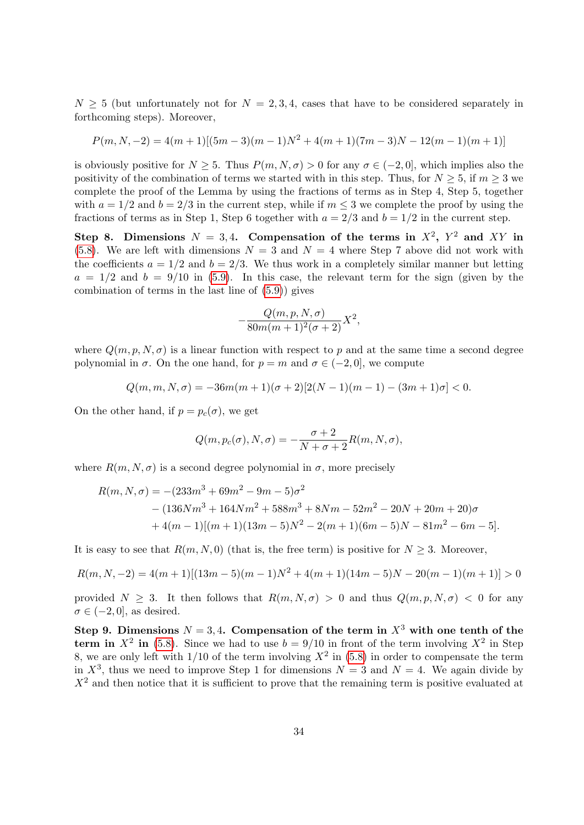$N > 5$  (but unfortunately not for  $N = 2, 3, 4$ , cases that have to be considered separately in forthcoming steps). Moreover,

$$
P(m, N, -2) = 4(m + 1)[(5m - 3)(m - 1)N2 + 4(m + 1)(7m - 3)N - 12(m - 1)(m + 1)]
$$

is obviously positive for  $N > 5$ . Thus  $P(m, N, \sigma) > 0$  for any  $\sigma \in (-2, 0]$ , which implies also the positivity of the combination of terms we started with in this step. Thus, for  $N \geq 5$ , if  $m \geq 3$  we complete the proof of the Lemma by using the fractions of terms as in Step 4, Step 5, together with  $a = 1/2$  and  $b = 2/3$  in the current step, while if  $m \leq 3$  we complete the proof by using the fractions of terms as in Step 1, Step 6 together with  $a = 2/3$  and  $b = 1/2$  in the current step.

Step 8. Dimensions  $N = 3, 4$ . Compensation of the terms in  $X^2$ ,  $Y^2$  and XY in [\(5.8\)](#page-27-0). We are left with dimensions  $N = 3$  and  $N = 4$  where Step 7 above did not work with the coefficients  $a = 1/2$  and  $b = 2/3$ . We thus work in a completely similar manner but letting  $a = 1/2$  and  $b = 9/10$  in [\(5.9\)](#page-32-0). In this case, the relevant term for the sign (given by the combination of terms in the last line of [\(5.9\)](#page-32-0)) gives

$$
-\frac{Q(m,p,N,\sigma)}{80m(m+1)^2(\sigma+2)}X^2,
$$

where  $Q(m, p, N, \sigma)$  is a linear function with respect to p and at the same time a second degree polynomial in  $\sigma$ . On the one hand, for  $p = m$  and  $\sigma \in (-2, 0]$ , we compute

$$
Q(m, m, N, \sigma) = -36m(m+1)(\sigma+2)[2(N-1)(m-1) - (3m+1)\sigma] < 0.
$$

On the other hand, if  $p = p_c(\sigma)$ , we get

$$
Q(m, p_c(\sigma), N, \sigma) = -\frac{\sigma + 2}{N + \sigma + 2} R(m, N, \sigma),
$$

where  $R(m, N, \sigma)$  is a second degree polynomial in  $\sigma$ , more precisely

$$
R(m, N, \sigma) = -(233m^3 + 69m^2 - 9m - 5)\sigma^2
$$
  
– (136Nm<sup>3</sup> + 164Nm<sup>2</sup> + 588m<sup>3</sup> + 8Nm - 52m<sup>2</sup> - 20N + 20m + 20)\sigma  
+ 4(m - 1)[(m + 1)(13m - 5)N<sup>2</sup> - 2(m + 1)(6m - 5)N - 81m<sup>2</sup> - 6m - 5].

It is easy to see that  $R(m, N, 0)$  (that is, the free term) is positive for  $N \geq 3$ . Moreover,

$$
R(m, N, -2) = 4(m + 1)[(13m - 5)(m - 1)N2 + 4(m + 1)(14m - 5)N - 20(m - 1)(m + 1)] > 0
$$

provided  $N > 3$ . It then follows that  $R(m, N, \sigma) > 0$  and thus  $Q(m, p, N, \sigma) < 0$  for any  $\sigma \in (-2,0]$ , as desired.

Step 9. Dimensions  $N = 3, 4$ . Compensation of the term in  $X<sup>3</sup>$  with one tenth of the term in  $X^2$  in [\(5.8\)](#page-27-0). Since we had to use  $b = 9/10$  in front of the term involving  $X^2$  in Step 8, we are only left with  $1/10$  of the term involving  $X^2$  in  $(5.8)$  in order to compensate the term in  $X^3$ , thus we need to improve Step 1 for dimensions  $N = 3$  and  $N = 4$ . We again divide by  $X<sup>2</sup>$  and then notice that it is sufficient to prove that the remaining term is positive evaluated at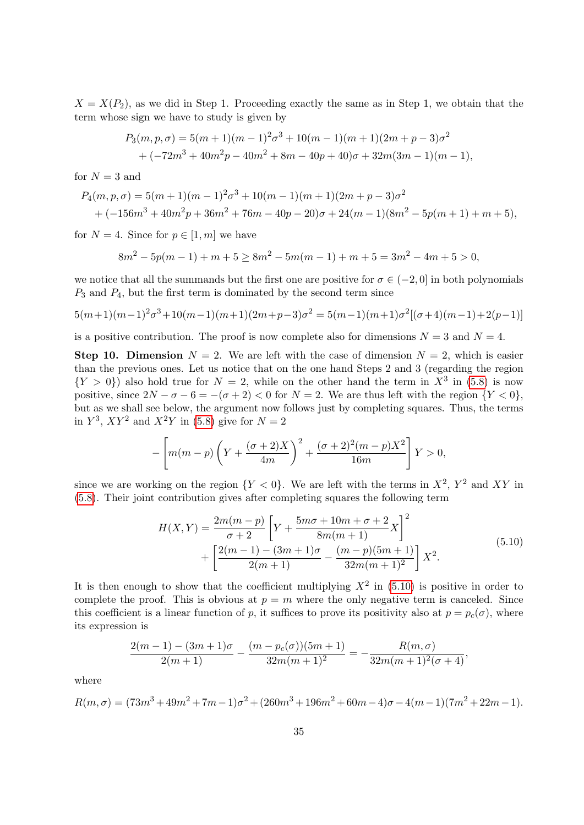$X = X(P_2)$ , as we did in Step 1. Proceeding exactly the same as in Step 1, we obtain that the term whose sign we have to study is given by

$$
P_3(m, p, \sigma) = 5(m+1)(m-1)^2 \sigma^3 + 10(m-1)(m+1)(2m+p-3)\sigma^2
$$
  
+  $(-72m^3 + 40m^2p - 40m^2 + 8m - 40p + 40)\sigma + 32m(3m-1)(m-1),$ 

for  $N = 3$  and

$$
P_4(m, p, \sigma) = 5(m+1)(m-1)^2 \sigma^3 + 10(m-1)(m+1)(2m+p-3)\sigma^2
$$
  
+ (-156m<sup>3</sup> + 40m<sup>2</sup>p + 36m<sup>2</sup> + 76m - 40p - 20)\sigma + 24(m-1)(8m<sup>2</sup> - 5p(m+1) + m + 5),

for  $N = 4$ . Since for  $p \in [1, m]$  we have

$$
8m2 - 5p(m - 1) + m + 5 \ge 8m2 - 5m(m - 1) + m + 5 = 3m2 - 4m + 5 > 0,
$$

we notice that all the summands but the first one are positive for  $\sigma \in (-2, 0]$  in both polynomials  $P_3$  and  $P_4$ , but the first term is dominated by the second term since

$$
5(m+1)(m-1)^{2}\sigma^{3} + 10(m-1)(m+1)(2m+p-3)\sigma^{2} = 5(m-1)(m+1)\sigma^{2}[(\sigma+4)(m-1)+2(p-1)]
$$

is a positive contribution. The proof is now complete also for dimensions  $N = 3$  and  $N = 4$ .

**Step 10. Dimension**  $N = 2$ . We are left with the case of dimension  $N = 2$ , which is easier than the previous ones. Let us notice that on the one hand Steps 2 and 3 (regarding the region  $\{Y > 0\}$  also hold true for  $N = 2$ , while on the other hand the term in  $X^3$  in [\(5.8\)](#page-27-0) is now positive, since  $2N - \sigma - 6 = -(\sigma + 2) < 0$  for  $N = 2$ . We are thus left with the region  $\{Y < 0\}$ , but as we shall see below, the argument now follows just by completing squares. Thus, the terms in  $Y^3$ ,  $XY^2$  and  $X^2Y$  in [\(5.8\)](#page-27-0) give for  $N=2$ 

$$
-\left[m(m-p)\left(Y + \frac{(\sigma+2)X}{4m}\right)^2 + \frac{(\sigma+2)^2(m-p)X^2}{16m}\right]Y > 0,
$$

since we are working on the region  ${Y < 0}$ . We are left with the terms in  $X^2$ ,  $Y^2$  and XY in [\(5.8\)](#page-27-0). Their joint contribution gives after completing squares the following term

$$
H(X,Y) = \frac{2m(m-p)}{\sigma+2} \left[ Y + \frac{5m\sigma + 10m + \sigma + 2}{8m(m+1)} X \right]^2 + \left[ \frac{2(m-1) - (3m+1)\sigma}{2(m+1)} - \frac{(m-p)(5m+1)}{32m(m+1)^2} \right] X^2.
$$
 (5.10)

<span id="page-34-0"></span>It is then enough to show that the coefficient multiplying  $X^2$  in [\(5.10\)](#page-34-0) is positive in order to complete the proof. This is obvious at  $p = m$  where the only negative term is canceled. Since this coefficient is a linear function of p, it suffices to prove its positivity also at  $p = p_c(\sigma)$ , where its expression is

$$
\frac{2(m-1)-(3m+1)\sigma}{2(m+1)}-\frac{(m-p_c(\sigma))(5m+1)}{32m(m+1)^2}=-\frac{R(m,\sigma)}{32m(m+1)^2(\sigma+4)},
$$

where

$$
R(m,\sigma) = (73m^3 + 49m^2 + 7m - 1)\sigma^2 + (260m^3 + 196m^2 + 60m - 4)\sigma - 4(m-1)(7m^2 + 22m - 1).
$$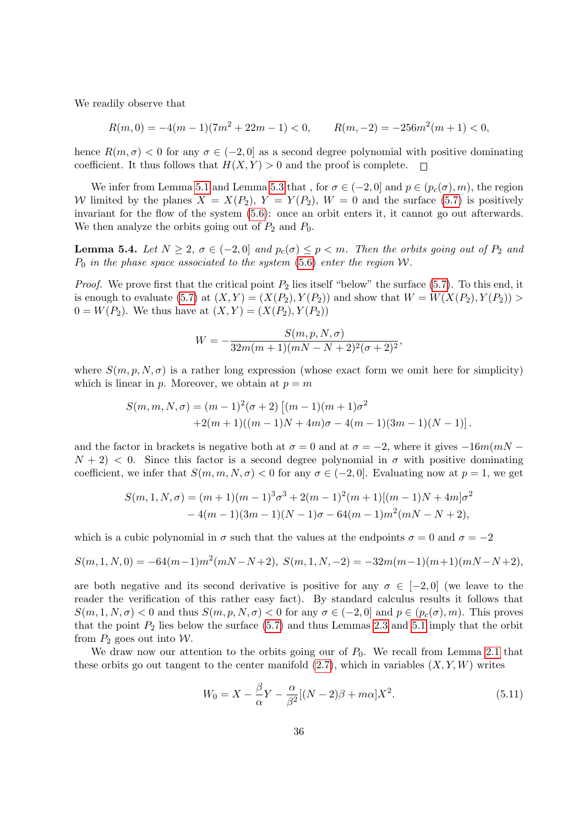We readily observe that

$$
R(m,0) = -4(m-1)(7m^2 + 22m - 1) < 0, \qquad R(m,-2) = -256m^2(m+1) < 0,
$$

hence  $R(m, \sigma) < 0$  for any  $\sigma \in (-2, 0]$  as a second degree polynomial with positive dominating coefficient. It thus follows that  $H(X, Y) > 0$  and the proof is complete.  $\Box$ 

We infer from Lemma [5.1](#page-24-0) and Lemma [5.3](#page-26-2) that, for  $\sigma \in (-2,0]$  and  $p \in (p_c(\sigma),m)$ , the region W limited by the planes  $X = X(P_2)$ ,  $Y = Y(P_2)$ ,  $W = 0$  and the surface [\(5.7\)](#page-26-0) is positively invariant for the flow of the system [\(5.6\)](#page-26-1): once an orbit enters it, it cannot go out afterwards. We then analyze the orbits going out of  $P_2$  and  $P_0$ .

<span id="page-35-1"></span>**Lemma 5.4.** Let  $N \geq 2$ ,  $\sigma \in (-2,0]$  and  $p_c(\sigma) \leq p < m$ . Then the orbits going out of  $P_2$  and  $P_0$  in the phase space associated to the system [\(5.6\)](#page-26-1) enter the region W.

*Proof.* We prove first that the critical point  $P_2$  lies itself "below" the surface [\(5.7\)](#page-26-0). To this end, it is enough to evaluate [\(5.7\)](#page-26-0) at  $(X, Y) = (X(P_2), Y(P_2))$  and show that  $W = W(X(P_2), Y(P_2)) >$  $0 = W(P_2)$ . We thus have at  $(X, Y) = (X(P_2), Y(P_2))$ 

$$
W = -\frac{S(m, p, N, \sigma)}{32m(m+1)(mN-N+2)^2(\sigma+2)^2},
$$

where  $S(m, p, N, \sigma)$  is a rather long expression (whose exact form we omit here for simplicity) which is linear in p. Moreover, we obtain at  $p = m$ 

$$
S(m, m, N, \sigma) = (m-1)^2(\sigma+2) [(m-1)(m+1)\sigma^2 +2(m+1)((m-1)N+4m)\sigma-4(m-1)(3m-1)(N-1)].
$$

and the factor in brackets is negative both at  $\sigma = 0$  and at  $\sigma = -2$ , where it gives  $-16m(mN - 1)$  $N + 2$  < 0. Since this factor is a second degree polynomial in  $\sigma$  with positive dominating coefficient, we infer that  $S(m, m, N, \sigma) < 0$  for any  $\sigma \in (-2, 0]$ . Evaluating now at  $p = 1$ , we get

$$
S(m, 1, N, \sigma) = (m+1)(m-1)^3 \sigma^3 + 2(m-1)^2 (m+1)[(m-1)N + 4m] \sigma^2
$$
  
- 4(m-1)(3m-1)(N-1)\sigma - 64(m-1)m^2(mN - N + 2),

which is a cubic polynomial in  $\sigma$  such that the values at the endpoints  $\sigma = 0$  and  $\sigma = -2$ 

$$
S(m,1,N,0) = -64(m-1)m^2(mN-N+2), S(m,1,N,-2) = -32m(m-1)(m+1)(mN-N+2),
$$

are both negative and its second derivative is positive for any  $\sigma \in [-2,0]$  (we leave to the reader the verification of this rather easy fact). By standard calculus results it follows that  $S(m, 1, N, \sigma) < 0$  and thus  $S(m, p, N, \sigma) < 0$  for any  $\sigma \in (-2, 0]$  and  $p \in (p_c(\sigma), m)$ . This proves that the point  $P_2$  lies below the surface [\(5.7\)](#page-26-0) and thus Lemmas [2.3](#page-8-2) and [5.1](#page-24-0) imply that the orbit from  $P_2$  goes out into W.

We draw now our attention to the orbits going our of  $P_0$ . We recall from Lemma [2.1](#page-7-2) that these orbits go out tangent to the center manifold  $(2.7)$ , which in variables  $(X, Y, W)$  writes

<span id="page-35-0"></span>
$$
W_0 = X - \frac{\beta}{\alpha} Y - \frac{\alpha}{\beta^2} [(N-2)\beta + m\alpha] X^2.
$$
\n(5.11)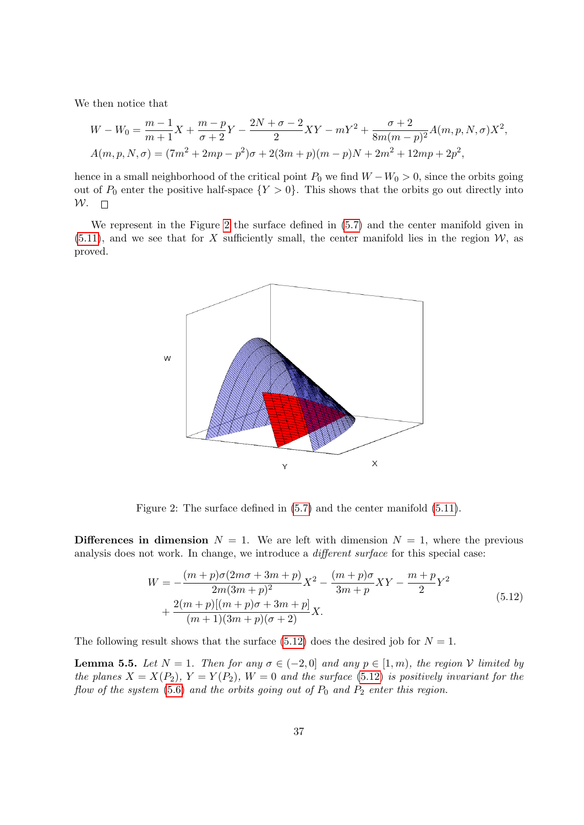We then notice that

$$
W - W_0 = \frac{m-1}{m+1}X + \frac{m-p}{\sigma+2}Y - \frac{2N+\sigma-2}{2}XY - mY^2 + \frac{\sigma+2}{8m(m-p)^2}A(m, p, N, \sigma)X^2,
$$
  

$$
A(m, p, N, \sigma) = (7m^2 + 2mp - p^2)\sigma + 2(3m+p)(m-p)N + 2m^2 + 12mp + 2p^2,
$$

hence in a small neighborhood of the critical point  $P_0$  we find  $W - W_0 > 0$ , since the orbits going out of  $P_0$  enter the positive half-space  $\{Y > 0\}$ . This shows that the orbits go out directly into  $W.$   $\Box$ 

We represent in the Figure [2](#page-36-0) the surface defined in [\(5.7\)](#page-26-0) and the center manifold given in  $(5.11)$ , and we see that for X sufficiently small, the center manifold lies in the region  $\mathcal{W}$ , as proved.



<span id="page-36-0"></span>Figure 2: The surface defined in [\(5.7\)](#page-26-0) and the center manifold [\(5.11\)](#page-35-0).

**Differences in dimension**  $N = 1$ . We are left with dimension  $N = 1$ , where the previous analysis does not work. In change, we introduce a different surface for this special case:

$$
W = -\frac{(m+p)\sigma(2m\sigma+3m+p)}{2m(3m+p)^2}X^2 - \frac{(m+p)\sigma}{3m+p}XY - \frac{m+p}{2}Y^2
$$
  
+ 
$$
\frac{2(m+p)[(m+p)\sigma+3m+p]}{(m+1)(3m+p)(\sigma+2)}X.
$$
 (5.12)

<span id="page-36-1"></span>The following result shows that the surface  $(5.12)$  does the desired job for  $N = 1$ .

<span id="page-36-2"></span>**Lemma 5.5.** Let  $N = 1$ . Then for any  $\sigma \in (-2, 0]$  and any  $p \in [1, m)$ , the region V limited by the planes  $X = X(P_2)$ ,  $Y = Y(P_2)$ ,  $W = 0$  and the surface [\(5.12\)](#page-36-1) is positively invariant for the flow of the system [\(5.6\)](#page-26-1) and the orbits going out of  $P_0$  and  $P_2$  enter this region.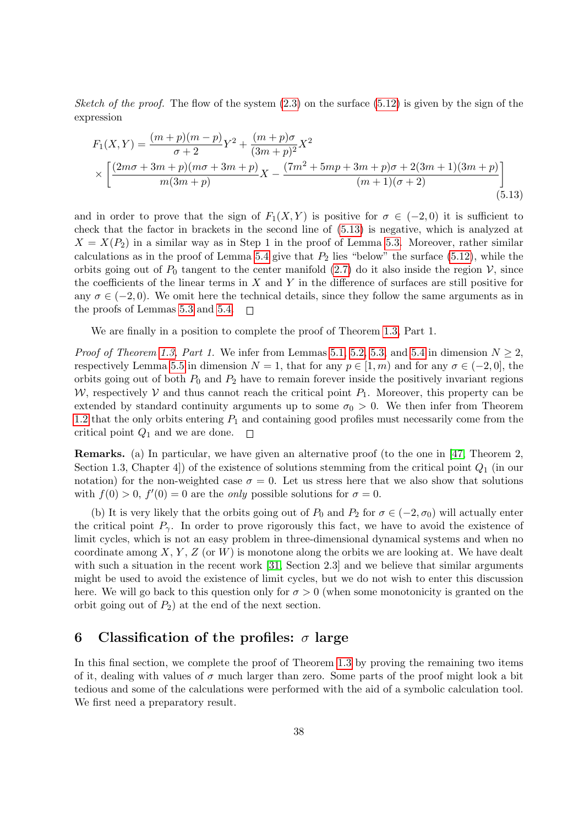Sketch of the proof. The flow of the system  $(2.3)$  on the surface  $(5.12)$  is given by the sign of the expression

<span id="page-37-1"></span>
$$
F_1(X,Y) = \frac{(m+p)(m-p)}{\sigma+2}Y^2 + \frac{(m+p)\sigma}{(3m+p)^2}X^2
$$
  
 
$$
\times \left[ \frac{(2m\sigma+3m+p)(m\sigma+3m+p)}{m(3m+p)}X - \frac{(7m^2+5mp+3m+p)\sigma+2(3m+1)(3m+p)}{(m+1)(\sigma+2)} \right]
$$
(5.13)

and in order to prove that the sign of  $F_1(X, Y)$  is positive for  $\sigma \in (-2, 0)$  it is sufficient to check that the factor in brackets in the second line of [\(5.13\)](#page-37-1) is negative, which is analyzed at  $X = X(P_2)$  in a similar way as in Step 1 in the proof of Lemma [5.3.](#page-26-2) Moreover, rather similar calculations as in the proof of Lemma [5.4](#page-35-1) give that  $P_2$  lies "below" the surface [\(5.12\)](#page-36-1), while the orbits going out of  $P_0$  tangent to the center manifold [\(2.7\)](#page-7-3) do it also inside the region  $\mathcal{V}$ , since the coefficients of the linear terms in  $X$  and  $Y$  in the difference of surfaces are still positive for any  $\sigma \in (-2, 0)$ . We omit here the technical details, since they follow the same arguments as in the proofs of Lemmas [5.3](#page-26-2) and [5.4.](#page-35-1)  $\Box$ 

We are finally in a position to complete the proof of Theorem [1.3,](#page-4-0) Part 1.

*Proof of Theorem [1.3,](#page-4-0) Part 1.* We infer from Lemmas [5.1,](#page-24-0) [5.2,](#page-24-3) [5.3,](#page-26-2) and [5.4](#page-35-1) in dimension  $N \geq 2$ , respectively Lemma [5.5](#page-36-2) in dimension  $N = 1$ , that for any  $p \in [1, m)$  and for any  $\sigma \in (-2, 0]$ , the orbits going out of both  $P_0$  and  $P_2$  have to remain forever inside the positively invariant regions W, respectively V and thus cannot reach the critical point  $P_1$ . Moreover, this property can be extended by standard continuity arguments up to some  $\sigma_0 > 0$ . We then infer from Theorem [1.2](#page-3-4) that the only orbits entering  $P_1$  and containing good profiles must necessarily come from the critical point  $Q_1$  and we are done.  $\Box$ 

Remarks. (a) In particular, we have given an alternative proof (to the one in [\[47,](#page-46-1) Theorem 2, Section 1.3, Chapter 4. of the existence of solutions stemming from the critical point  $Q_1$  (in our notation) for the non-weighted case  $\sigma = 0$ . Let us stress here that we also show that solutions with  $f(0) > 0$ ,  $f'(0) = 0$  are the *only* possible solutions for  $\sigma = 0$ .

(b) It is very likely that the orbits going out of  $P_0$  and  $P_2$  for  $\sigma \in (-2, \sigma_0)$  will actually enter the critical point  $P_{\gamma}$ . In order to prove rigorously this fact, we have to avoid the existence of limit cycles, which is not an easy problem in three-dimensional dynamical systems and when no coordinate among  $X, Y, Z$  (or W) is monotone along the orbits we are looking at. We have dealt with such a situation in the recent work [\[31,](#page-45-12) Section 2.3] and we believe that similar arguments might be used to avoid the existence of limit cycles, but we do not wish to enter this discussion here. We will go back to this question only for  $\sigma > 0$  (when some monotonicity is granted on the orbit going out of  $P_2$ ) at the end of the next section.

### <span id="page-37-0"></span>6 Classification of the profiles:  $\sigma$  large

In this final section, we complete the proof of Theorem [1.3](#page-4-0) by proving the remaining two items of it, dealing with values of  $\sigma$  much larger than zero. Some parts of the proof might look a bit tedious and some of the calculations were performed with the aid of a symbolic calculation tool. We first need a preparatory result.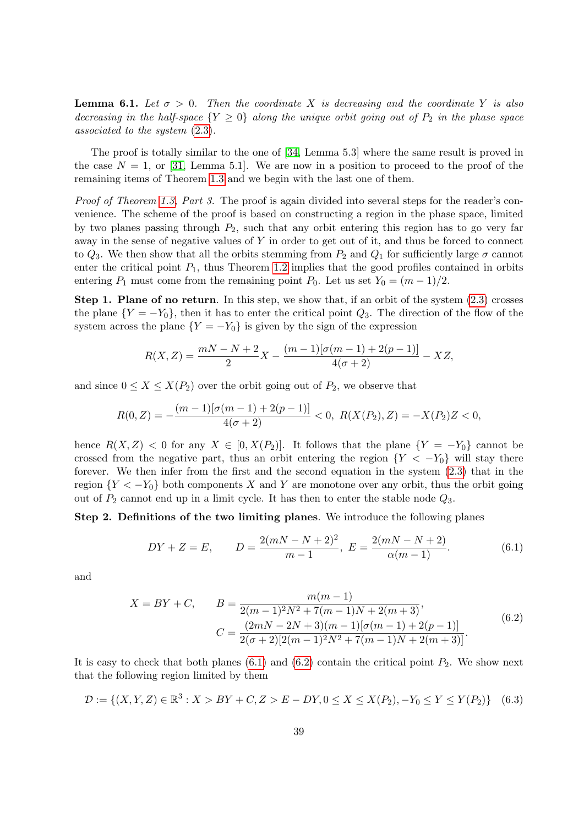<span id="page-38-3"></span>**Lemma 6.1.** Let  $\sigma > 0$ . Then the coordinate X is decreasing and the coordinate Y is also decreasing in the half-space  ${Y \geq 0}$  along the unique orbit going out of  $P_2$  in the phase space associated to the system [\(2.3\)](#page-6-2).

The proof is totally similar to the one of [\[34,](#page-45-0) Lemma 5.3] where the same result is proved in the case  $N = 1$ , or [\[31,](#page-45-12) Lemma 5.1]. We are now in a position to proceed to the proof of the remaining items of Theorem [1.3](#page-4-0) and we begin with the last one of them.

Proof of Theorem [1.3,](#page-4-0) Part 3. The proof is again divided into several steps for the reader's convenience. The scheme of the proof is based on constructing a region in the phase space, limited by two planes passing through  $P_2$ , such that any orbit entering this region has to go very far away in the sense of negative values of Y in order to get out of it, and thus be forced to connect to  $Q_3$ . We then show that all the orbits stemming from  $P_2$  and  $Q_1$  for sufficiently large  $\sigma$  cannot enter the critical point  $P_1$ , thus Theorem [1.2](#page-3-4) implies that the good profiles contained in orbits entering  $P_1$  must come from the remaining point  $P_0$ . Let us set  $Y_0 = (m-1)/2$ .

Step 1. Plane of no return. In this step, we show that, if an orbit of the system  $(2.3)$  crosses the plane  $\{Y = -Y_0\}$ , then it has to enter the critical point  $Q_3$ . The direction of the flow of the system across the plane  ${Y = -Y_0}$  is given by the sign of the expression

$$
R(X,Z) = \frac{mN - N + 2}{2}X - \frac{(m-1)[\sigma(m-1) + 2(p-1)]}{4(\sigma+2)} - XZ,
$$

and since  $0 \leq X \leq X(P_2)$  over the orbit going out of  $P_2$ , we observe that

$$
R(0,Z) = -\frac{(m-1)[\sigma(m-1) + 2(p-1)]}{4(\sigma+2)} < 0, \ R(X(P_2),Z) = -X(P_2)Z < 0,
$$

hence  $R(X, Z) < 0$  for any  $X \in [0, X(P_2)]$ . It follows that the plane  $\{Y = -Y_0\}$  cannot be crossed from the negative part, thus an orbit entering the region  ${Y < -Y_0}$  will stay there forever. We then infer from the first and the second equation in the system [\(2.3\)](#page-6-2) that in the region  ${Y < -Y_0}$  both components X and Y are monotone over any orbit, thus the orbit going out of  $P_2$  cannot end up in a limit cycle. It has then to enter the stable node  $Q_3$ .

Step 2. Definitions of the two limiting planes. We introduce the following planes

<span id="page-38-0"></span>
$$
DY + Z = E, \qquad D = \frac{2(mN - N + 2)^2}{m - 1}, \ E = \frac{2(mN - N + 2)}{\alpha(m - 1)}.
$$
 (6.1)

<span id="page-38-1"></span>and

$$
X = BY + C, \qquad B = \frac{m(m-1)}{2(m-1)^2 N^2 + 7(m-1)N + 2(m+3)},
$$
  

$$
C = \frac{(2mN - 2N + 3)(m-1)[\sigma(m-1) + 2(p-1)]}{2(\sigma + 2)[2(m-1)^2 N^2 + 7(m-1)N + 2(m+3)]}.
$$
(6.2)

It is easy to check that both planes  $(6.1)$  and  $(6.2)$  contain the critical point  $P_2$ . We show next that the following region limited by them

<span id="page-38-2"></span>
$$
\mathcal{D} := \{ (X, Y, Z) \in \mathbb{R}^3 : X > BY + C, Z > E - DY, 0 \le X \le X(P_2), -Y_0 \le Y \le Y(P_2) \} \tag{6.3}
$$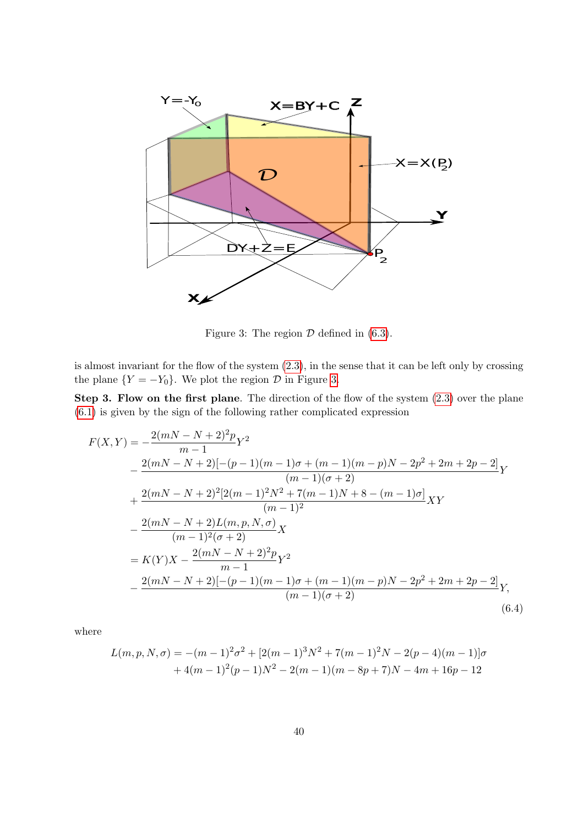

<span id="page-39-0"></span>Figure 3: The region  $D$  defined in [\(6.3\)](#page-38-2).

is almost invariant for the flow of the system [\(2.3\)](#page-6-2), in the sense that it can be left only by crossing the plane  $\{Y = -Y_0\}$ . We plot the region  $D$  in Figure [3.](#page-39-0)

Step 3. Flow on the first plane. The direction of the flow of the system  $(2.3)$  over the plane [\(6.1\)](#page-38-0) is given by the sign of the following rather complicated expression

<span id="page-39-1"></span>
$$
F(X,Y) = -\frac{2(mN - N + 2)^2 p}{m - 1} Y^2
$$
  
\n
$$
-\frac{2(mN - N + 2)[-(p - 1)(m - 1)\sigma + (m - 1)(m - p)N - 2p^2 + 2m + 2p - 2]}{(m - 1)(\sigma + 2)}Y
$$
  
\n
$$
+\frac{2(mN - N + 2)^2 [2(m - 1)^2 N^2 + 7(m - 1)N + 8 - (m - 1)\sigma]}{(m - 1)^2} XY
$$
  
\n
$$
-\frac{2(mN - N + 2)L(m, p, N, \sigma)}{(m - 1)^2 (\sigma + 2)} X
$$
  
\n
$$
= K(Y)X - \frac{2(mN - N + 2)^2 p}{m - 1} Y^2
$$
  
\n
$$
-\frac{2(mN - N + 2)[-(p - 1)(m - 1)\sigma + (m - 1)(m - p)N - 2p^2 + 2m + 2p - 2]}{(m - 1)(\sigma + 2)}Y,
$$
  
\n(6.4)

where

$$
L(m, p, N, \sigma) = -(m-1)^2 \sigma^2 + [2(m-1)^3 N^2 + 7(m-1)^2 N - 2(p-4)(m-1)]\sigma
$$
  
+4(m-1)<sup>2</sup>(p-1)N<sup>2</sup> - 2(m-1)(m-8p+7)N - 4m + 16p - 12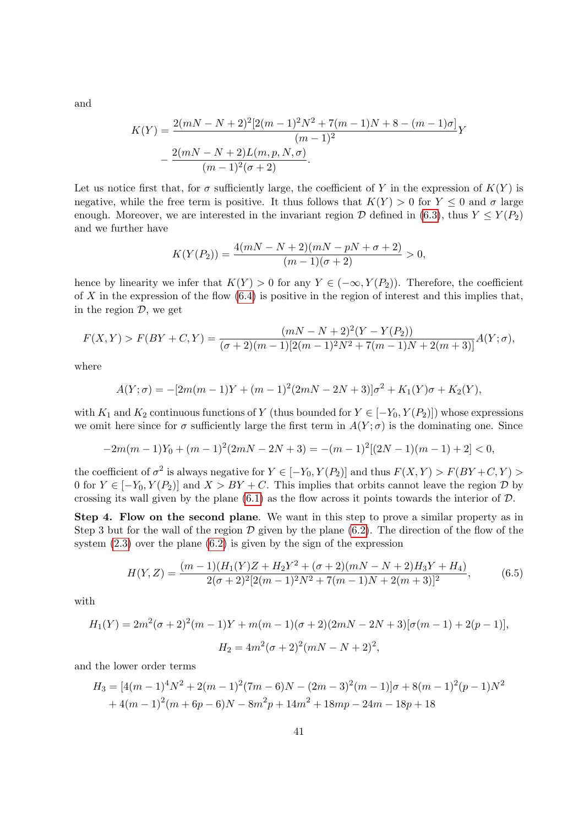and

$$
K(Y) = \frac{2(mN - N + 2)^2 [2(m - 1)^2 N^2 + 7(m - 1)N + 8 - (m - 1)\sigma]}{(m - 1)^2} Y
$$

$$
- \frac{2(mN - N + 2)L(m, p, N, \sigma)}{(m - 1)^2 (\sigma + 2)}.
$$

Let us notice first that, for  $\sigma$  sufficiently large, the coefficient of Y in the expression of  $K(Y)$  is negative, while the free term is positive. It thus follows that  $K(Y) > 0$  for  $Y \leq 0$  and  $\sigma$  large enough. Moreover, we are interested in the invariant region  $\mathcal D$  defined in [\(6.3\)](#page-38-2), thus  $Y \leq Y(P_2)$ and we further have

$$
K(Y(P_2)) = \frac{4(mN - N + 2)(mN - pN + \sigma + 2)}{(m - 1)(\sigma + 2)} > 0,
$$

hence by linearity we infer that  $K(Y) > 0$  for any  $Y \in (-\infty, Y(P_2))$ . Therefore, the coefficient of X in the expression of the flow  $(6.4)$  is positive in the region of interest and this implies that, in the region  $\mathcal{D}$ , we get

$$
F(X,Y) > F(BY+C,Y) = \frac{(mN-N+2)^2(Y-Y(P_2))}{(\sigma+2)(m-1)[2(m-1)^2N^2+7(m-1)N+2(m+3)]}A(Y;\sigma),
$$

where

$$
A(Y; \sigma) = -[2m(m-1)Y + (m-1)^2(2mN - 2N + 3)]\sigma^2 + K_1(Y)\sigma + K_2(Y),
$$

with  $K_1$  and  $K_2$  continuous functions of Y (thus bounded for  $Y \in [-Y_0, Y(P_2)]$ ) whose expressions we omit here since for  $\sigma$  sufficiently large the first term in  $A(Y;\sigma)$  is the dominating one. Since

$$
-2m(m-1)Y_0 + (m-1)^2(2mN - 2N + 3) = -(m-1)^2[(2N-1)(m-1) + 2] < 0,
$$

the coefficient of  $\sigma^2$  is always negative for  $Y \in [-Y_0, Y(P_2)]$  and thus  $F(X, Y) > F(BY+C, Y) >$ 0 for  $Y \in [-Y_0, Y(P_2)]$  and  $X > BY + C$ . This implies that orbits cannot leave the region  $D$  by crossing its wall given by the plane  $(6.1)$  as the flow across it points towards the interior of  $\mathcal{D}$ .

Step 4. Flow on the second plane. We want in this step to prove a similar property as in Step 3 but for the wall of the region  $\mathcal D$  given by the plane [\(6.2\)](#page-38-1). The direction of the flow of the system [\(2.3\)](#page-6-2) over the plane [\(6.2\)](#page-38-1) is given by the sign of the expression

<span id="page-40-0"></span>
$$
H(Y,Z) = \frac{(m-1)(H_1(Y)Z + H_2Y^2 + (\sigma + 2)(mN - N + 2)H_3Y + H_4)}{2(\sigma + 2)^2[2(m-1)^2N^2 + 7(m-1)N + 2(m+3)]^2},
$$
(6.5)

with

$$
H_1(Y) = 2m^2(\sigma + 2)^2(m - 1)Y + m(m - 1)(\sigma + 2)(2mN - 2N + 3)[\sigma(m - 1) + 2(p - 1)],
$$
  

$$
H_2 = 4m^2(\sigma + 2)^2(mN - N + 2)^2,
$$

and the lower order terms

$$
H_3 = [4(m-1)^4 N^2 + 2(m-1)^2 (7m-6)N - (2m-3)^2 (m-1)] \sigma + 8(m-1)^2 (p-1)N^2
$$
  
+4(m-1)<sup>2</sup>(m+6p-6)N - 8m<sup>2</sup>p + 14m<sup>2</sup> + 18mp - 24m - 18p + 18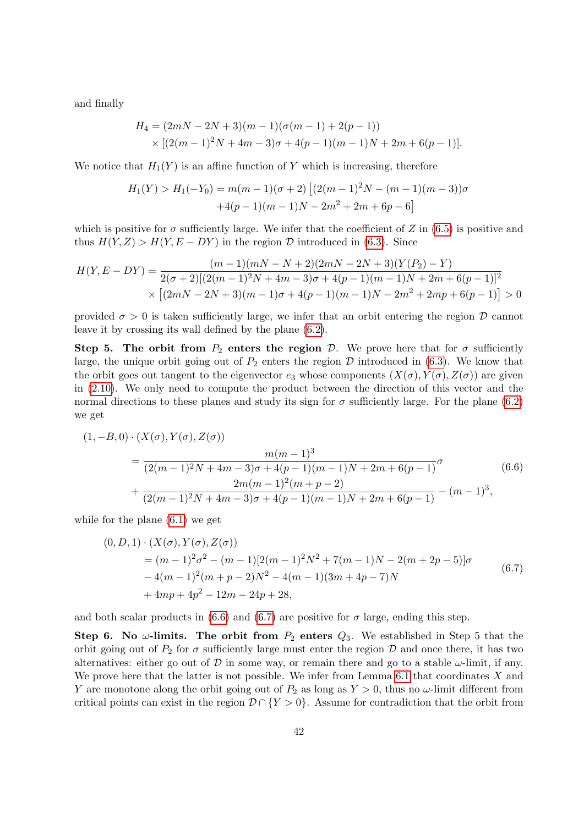and finally

$$
H_4 = (2mN - 2N + 3)(m - 1)(\sigma(m - 1) + 2(p - 1))
$$
  
× [(2(m - 1)<sup>2</sup>N + 4m - 3)\sigma + 4(p - 1)(m - 1)N + 2m + 6(p - 1)].

We notice that  $H_1(Y)$  is an affine function of Y which is increasing, therefore

$$
H_1(Y) > H_1(-Y_0) = m(m-1)(\sigma+2) \left[ (2(m-1)^2 N - (m-1)(m-3))\sigma + 4(p-1)(m-1)N - 2m^2 + 2m + 6p - 6 \right]
$$

which is positive for  $\sigma$  sufficiently large. We infer that the coefficient of Z in [\(6.5\)](#page-40-0) is positive and thus  $H(Y, Z) > H(Y, E - DY)$  in the region  $D$  introduced in [\(6.3\)](#page-38-2). Since

$$
H(Y, E - DY) = \frac{(m-1)(mN - N + 2)(2mN - 2N + 3)(Y(P_2) - Y)}{2(\sigma + 2)[(2(m-1)^2N + 4m - 3)\sigma + 4(p-1)(m-1)N + 2m + 6(p-1)]^2}
$$
  
 
$$
\times \left[ (2mN - 2N + 3)(m-1)\sigma + 4(p-1)(m-1)N - 2m^2 + 2mp + 6(p-1) \right] > 0
$$

provided  $\sigma > 0$  is taken sufficiently large, we infer that an orbit entering the region D cannot leave it by crossing its wall defined by the plane [\(6.2\)](#page-38-1).

Step 5. The orbit from  $P_2$  enters the region D. We prove here that for  $\sigma$  sufficiently large, the unique orbit going out of  $P_2$  enters the region  $\mathcal D$  introduced in [\(6.3\)](#page-38-2). We know that the orbit goes out tangent to the eigenvector  $e_3$  whose components  $(X(\sigma), Y(\sigma), Z(\sigma))$  are given in [\(2.10\)](#page-9-3). We only need to compute the product between the direction of this vector and the normal directions to these planes and study its sign for  $\sigma$  sufficiently large. For the plane [\(6.2\)](#page-38-1) we get

<span id="page-41-0"></span>
$$
(1, -B, 0) \cdot (X(\sigma), Y(\sigma), Z(\sigma))
$$
  
= 
$$
\frac{m(m-1)^3}{(2(m-1)^2N + 4m - 3)\sigma + 4(p-1)(m-1)N + 2m + 6(p-1)}\sigma
$$
  
+ 
$$
\frac{2m(m-1)^2(m+p-2)}{(2(m-1)^2N + 4m - 3)\sigma + 4(p-1)(m-1)N + 2m + 6(p-1)} - (m-1)^3,
$$
 (6.6)

while for the plane [\(6.1\)](#page-38-0) we get

<span id="page-41-1"></span>
$$
(0, D, 1) \cdot (X(\sigma), Y(\sigma), Z(\sigma))
$$
  
=  $(m-1)^2 \sigma^2 - (m-1)[2(m-1)^2 N^2 + 7(m-1)N - 2(m+2p-5)]\sigma$   
 $-4(m-1)^2(m+p-2)N^2 - 4(m-1)(3m+4p-7)N$   
 $+4mp+4p^2 - 12m - 24p + 28,$  (6.7)

and both scalar products in [\(6.6\)](#page-41-0) and [\(6.7\)](#page-41-1) are positive for  $\sigma$  large, ending this step.

Step 6. No  $\omega$ -limits. The orbit from  $P_2$  enters  $Q_3$ . We established in Step 5 that the orbit going out of  $P_2$  for  $\sigma$  sufficiently large must enter the region  $\mathcal D$  and once there, it has two alternatives: either go out of  $\mathcal D$  in some way, or remain there and go to a stable  $\omega$ -limit, if any. We prove here that the latter is not possible. We infer from Lemma [6.1](#page-38-3) that coordinates  $X$  and Y are monotone along the orbit going out of  $P_2$  as long as  $Y > 0$ , thus no  $\omega$ -limit different from critical points can exist in the region  $\mathcal{D} \cap \{Y > 0\}$ . Assume for contradiction that the orbit from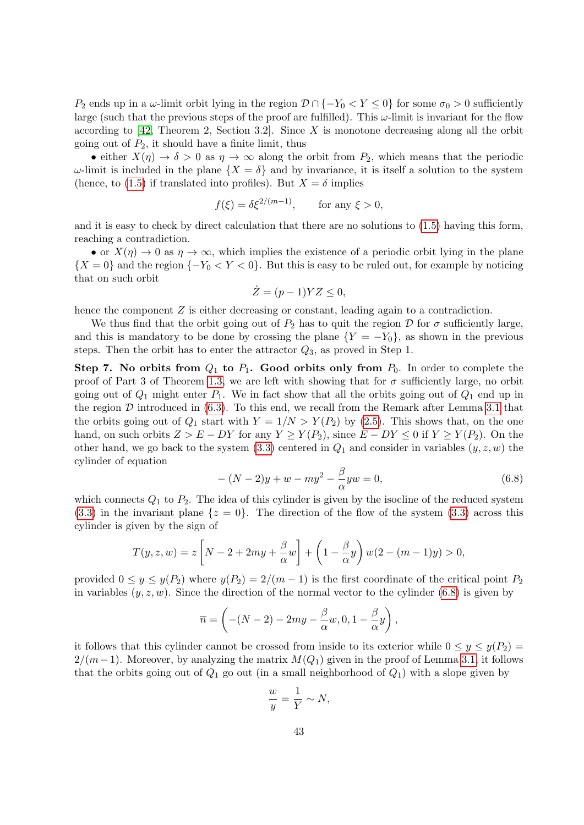P<sub>2</sub> ends up in a  $\omega$ -limit orbit lying in the region  $\mathcal{D} \cap \{-Y_0 < Y < 0\}$  for some  $\sigma_0 > 0$  sufficiently large (such that the previous steps of the proof are fulfilled). This  $\omega$ -limit is invariant for the flow according to  $[42,$  Theorem 2, Section 3.2. Since X is monotone decreasing along all the orbit going out of  $P_2$ , it should have a finite limit, thus

• either  $X(\eta) \to \delta > 0$  as  $\eta \to \infty$  along the orbit from  $P_2$ , which means that the periodic  $\omega$ -limit is included in the plane  $\{X = \delta\}$  and by invariance, it is itself a solution to the system (hence, to [\(1.5\)](#page-3-0) if translated into profiles). But  $X = \delta$  implies

$$
f(\xi) = \delta \xi^{2/(m-1)}, \quad \text{for any } \xi > 0,
$$

and it is easy to check by direct calculation that there are no solutions to [\(1.5\)](#page-3-0) having this form, reaching a contradiction.

• or  $X(\eta) \to 0$  as  $\eta \to \infty$ , which implies the existence of a periodic orbit lying in the plane  ${X = 0}$  and the region  ${-Y_0 < Y < 0}$ . But this is easy to be ruled out, for example by noticing that on such orbit

$$
\dot{Z} = (p-1)YZ \le 0,
$$

hence the component  $Z$  is either decreasing or constant, leading again to a contradiction.

We thus find that the orbit going out of  $P_2$  has to quit the region D for  $\sigma$  sufficiently large, and this is mandatory to be done by crossing the plane  ${Y = -Y_0}$ , as shown in the previous steps. Then the orbit has to enter the attractor  $Q_3$ , as proved in Step 1.

Step 7. No orbits from  $Q_1$  to  $P_1$ . Good orbits only from  $P_0$ . In order to complete the proof of Part 3 of Theorem [1.3,](#page-4-0) we are left with showing that for  $\sigma$  sufficiently large, no orbit going out of  $Q_1$  might enter  $P_1$ . We in fact show that all the orbits going out of  $Q_1$  end up in the region  $D$  introduced in  $(6.3)$ . To this end, we recall from the Remark after Lemma [3.1](#page-13-3) that the orbits going out of  $Q_1$  start with  $Y = 1/N > Y(P_2)$  by [\(2.5\)](#page-6-3). This shows that, on the one hand, on such orbits  $Z > E - DY$  for any  $Y \geq Y(P_2)$ , since  $E - DY \leq 0$  if  $Y \geq Y(P_2)$ . On the other hand, we go back to the system  $(3.3)$  centered in  $Q_1$  and consider in variables  $(y, z, w)$  the cylinder of equation

<span id="page-42-0"></span>
$$
-(N-2)y + w - my^{2} - \frac{\beta}{\alpha}yw = 0,
$$
\n(6.8)

which connects  $Q_1$  to  $P_2$ . The idea of this cylinder is given by the isocline of the reduced system  $(3.3)$  in the invariant plane  $\{z=0\}$ . The direction of the flow of the system  $(3.3)$  across this cylinder is given by the sign of

$$
T(y, z, w) = z \left[ N - 2 + 2my + \frac{\beta}{\alpha} w \right] + \left( 1 - \frac{\beta}{\alpha} y \right) w(2 - (m - 1)y) > 0,
$$

provided  $0 \le y \le y(P_2)$  where  $y(P_2) = 2/(m-1)$  is the first coordinate of the critical point  $P_2$ in variables  $(y, z, w)$ . Since the direction of the normal vector to the cylinder [\(6.8\)](#page-42-0) is given by

$$
\overline{n} = \left( -(N-2) - 2my - \frac{\beta}{\alpha}w, 0, 1 - \frac{\beta}{\alpha}y \right),
$$

it follows that this cylinder cannot be crossed from inside to its exterior while  $0 \le y \le y(P_2)$  $2/(m-1)$ . Moreover, by analyzing the matrix  $M(Q_1)$  given in the proof of Lemma [3.1,](#page-13-3) it follows that the orbits going out of  $Q_1$  go out (in a small neighborhood of  $Q_1$ ) with a slope given by

$$
\frac{w}{y} = \frac{1}{Y} \sim N,
$$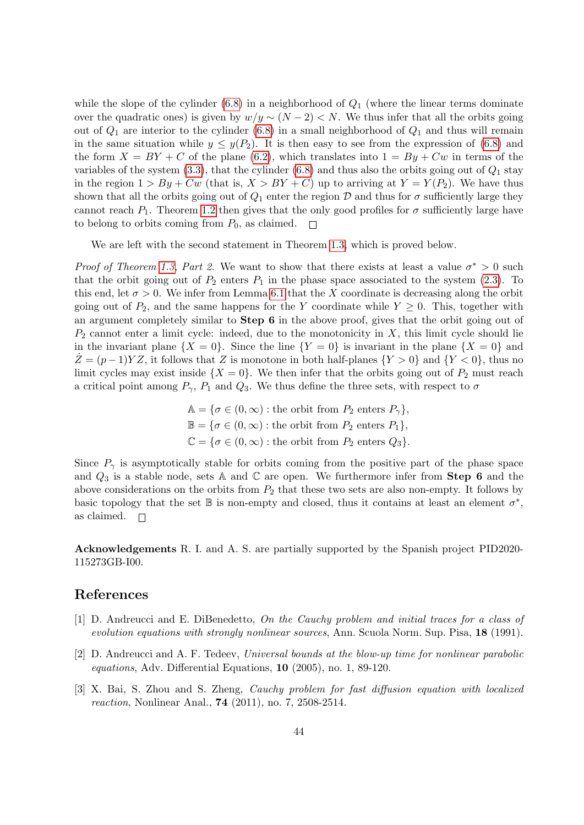while the slope of the cylinder  $(6.8)$  in a neighborhood of  $Q_1$  (where the linear terms dominate over the quadratic ones) is given by  $w/y \sim (N-2) < N$ . We thus infer that all the orbits going out of  $Q_1$  are interior to the cylinder [\(6.8\)](#page-42-0) in a small neighborhood of  $Q_1$  and thus will remain in the same situation while  $y \leq y(P_2)$ . It is then easy to see from the expression of [\(6.8\)](#page-42-0) and the form  $X = BY + C$  of the plane [\(6.2\)](#page-38-1), which translates into  $1 = By + Cw$  in terms of the variables of the system  $(3.3)$ , that the cylinder  $(6.8)$  and thus also the orbits going out of  $Q_1$  stay in the region  $1 > By + Cw$  (that is,  $X > BY + C$ ) up to arriving at  $Y = Y(P_2)$ . We have thus shown that all the orbits going out of  $Q_1$  enter the region D and thus for  $\sigma$  sufficiently large they cannot reach  $P_1$ . Theorem [1.2](#page-3-4) then gives that the only good profiles for  $\sigma$  sufficiently large have to belong to orbits coming from  $P_0$ , as claimed.  $\Box$ 

We are left with the second statement in Theorem [1.3,](#page-4-0) which is proved below.

*Proof of Theorem [1.3,](#page-4-0) Part 2.* We want to show that there exists at least a value  $\sigma^* > 0$  such that the orbit going out of  $P_2$  enters  $P_1$  in the phase space associated to the system [\(2.3\)](#page-6-2). To this end, let  $\sigma > 0$ . We infer from Lemma [6.1](#page-38-3) that the X coordinate is decreasing along the orbit going out of  $P_2$ , and the same happens for the Y coordinate while  $Y \geq 0$ . This, together with an argument completely similar to Step 6 in the above proof, gives that the orbit going out of  $P_2$  cannot enter a limit cycle: indeed, due to the monotonicity in X, this limit cycle should lie in the invariant plane  $\{X = 0\}$ . Since the line  $\{Y = 0\}$  is invariant in the plane  $\{X = 0\}$  and  $Z = (p-1)YZ$ , it follows that Z is monotone in both half-planes  $\{Y > 0\}$  and  $\{Y < 0\}$ , thus no limit cycles may exist inside  $\{X = 0\}$ . We then infer that the orbits going out of  $P_2$  must reach a critical point among  $P_{\gamma}$ ,  $P_1$  and  $Q_3$ . We thus define the three sets, with respect to  $\sigma$ 

$$
\mathbb{A} = \{ \sigma \in (0, \infty) : \text{the orbit from } P_2 \text{ enters } P_\gamma \},
$$
  

$$
\mathbb{B} = \{ \sigma \in (0, \infty) : \text{the orbit from } P_2 \text{ enters } P_1 \},
$$
  

$$
\mathbb{C} = \{ \sigma \in (0, \infty) : \text{the orbit from } P_2 \text{ enters } Q_3 \}.
$$

Since  $P_{\gamma}$  is asymptotically stable for orbits coming from the positive part of the phase space and  $Q_3$  is a stable node, sets A and C are open. We furthermore infer from Step 6 and the above considerations on the orbits from  $P_2$  that these two sets are also non-empty. It follows by basic topology that the set  $\mathbb B$  is non-empty and closed, thus it contains at least an element  $\sigma^*$ , as claimed.  $\Box$ 

Acknowledgements R. I. and A. S. are partially supported by the Spanish project PID2020- 115273GB-I00.

#### References

- <span id="page-43-0"></span>[1] D. Andreucci and E. DiBenedetto, On the Cauchy problem and initial traces for a class of evolution equations with strongly nonlinear sources, Ann. Scuola Norm. Sup. Pisa, 18 (1991).
- <span id="page-43-1"></span>[2] D. Andreucci and A. F. Tedeev, Universal bounds at the blow-up time for nonlinear parabolic equations, Adv. Differential Equations, 10 (2005), no. 1, 89-120.
- <span id="page-43-2"></span>[3] X. Bai, S. Zhou and S. Zheng, Cauchy problem for fast diffusion equation with localized reaction, Nonlinear Anal., 74 (2011), no. 7, 2508-2514.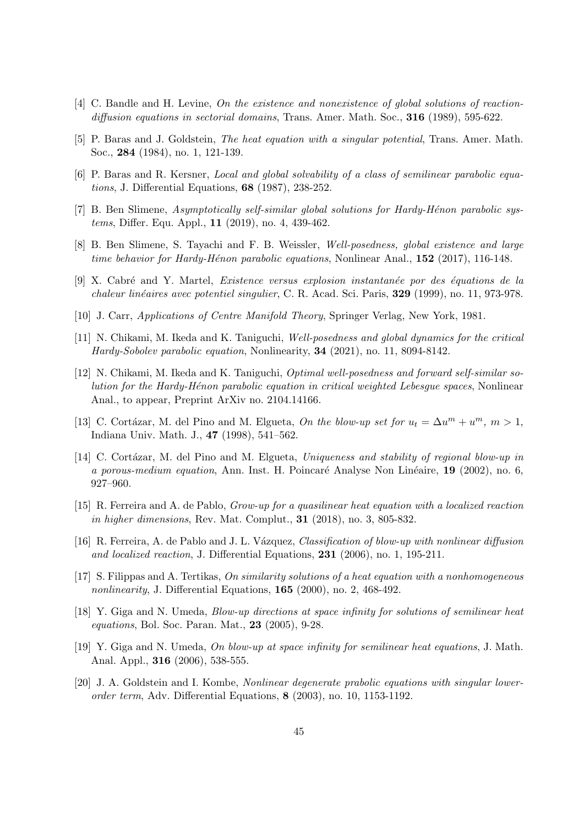- <span id="page-44-3"></span>[4] C. Bandle and H. Levine, On the existence and nonexistence of global solutions of reactiondiffusion equations in sectorial domains, Trans. Amer. Math. Soc.,  $316$  (1989), 595-622.
- <span id="page-44-6"></span>[5] P. Baras and J. Goldstein, The heat equation with a singular potential, Trans. Amer. Math. Soc., 284 (1984), no. 1, 121-139.
- <span id="page-44-2"></span>[6] P. Baras and R. Kersner, Local and global solvability of a class of semilinear parabolic equations, J. Differential Equations, 68 (1987), 238-252.
- <span id="page-44-10"></span>[7] B. Ben Slimene, Asymptotically self-similar global solutions for Hardy-Hénon parabolic systems, Differ. Equ. Appl., 11 (2019), no. 4, 439-462.
- <span id="page-44-9"></span>[8] B. Ben Slimene, S. Tayachi and F. B. Weissler, Well-posedness, global existence and large time behavior for Hardy-Hénon parabolic equations, Nonlinear Anal.,  $152$  (2017), 116-148.
- <span id="page-44-7"></span>[9] X. Cabré and Y. Martel, *Existence versus explosion instantanée por des équations de la* chaleur linéaires avec potentiel singulier, C. R. Acad. Sci. Paris, 329 (1999), no. 11, 973-978.
- <span id="page-44-16"></span>[10] J. Carr, Applications of Centre Manifold Theory, Springer Verlag, New York, 1981.
- <span id="page-44-11"></span>[11] N. Chikami, M. Ikeda and K. Taniguchi, Well-posedness and global dynamics for the critical Hardy-Sobolev parabolic equation, Nonlinearity, 34 (2021), no. 11, 8094-8142.
- <span id="page-44-12"></span>[12] N. Chikami, M. Ikeda and K. Taniguchi, Optimal well-posedness and forward self-similar solution for the Hardy-H´enon parabolic equation in critical weighted Lebesgue spaces, Nonlinear Anal., to appear, Preprint ArXiv no. 2104.14166.
- <span id="page-44-0"></span>[13] C. Cortázar, M. del Pino and M. Elgueta, On the blow-up set for  $u_t = \Delta u^m + u^m$ ,  $m > 1$ , Indiana Univ. Math. J., 47 (1998), 541–562.
- <span id="page-44-1"></span>[14] C. Cortázar, M. del Pino and M. Elgueta, Uniqueness and stability of regional blow-up in a porous-medium equation, Ann. Inst. H. Poincaré Analyse Non Linéaire, 19 (2002), no. 6, 927–960.
- <span id="page-44-5"></span>[15] R. Ferreira and A. de Pablo, Grow-up for a quasilinear heat equation with a localized reaction in higher dimensions, Rev. Mat. Complut., 31 (2018), no. 3, 805-832.
- <span id="page-44-4"></span>[16] R. Ferreira, A. de Pablo and J. L. Vázquez, Classification of blow-up with nonlinear diffusion and localized reaction, J. Differential Equations, 231 (2006), no. 1, 195-211.
- <span id="page-44-13"></span>[17] S. Filippas and A. Tertikas, On similarity solutions of a heat equation with a nonhomogeneous nonlinearity, J. Differential Equations, 165 (2000), no. 2, 468-492.
- <span id="page-44-14"></span>[18] Y. Giga and N. Umeda, Blow-up directions at space infinity for solutions of semilinear heat equations, Bol. Soc. Paran. Mat., 23 (2005), 9-28.
- <span id="page-44-15"></span>[19] Y. Giga and N. Umeda, On blow-up at space infinity for semilinear heat equations, J. Math. Anal. Appl., 316 (2006), 538-555.
- <span id="page-44-8"></span>[20] J. A. Goldstein and I. Kombe, Nonlinear degenerate prabolic equations with singular lowerorder term, Adv. Differential Equations, 8 (2003), no. 10, 1153-1192.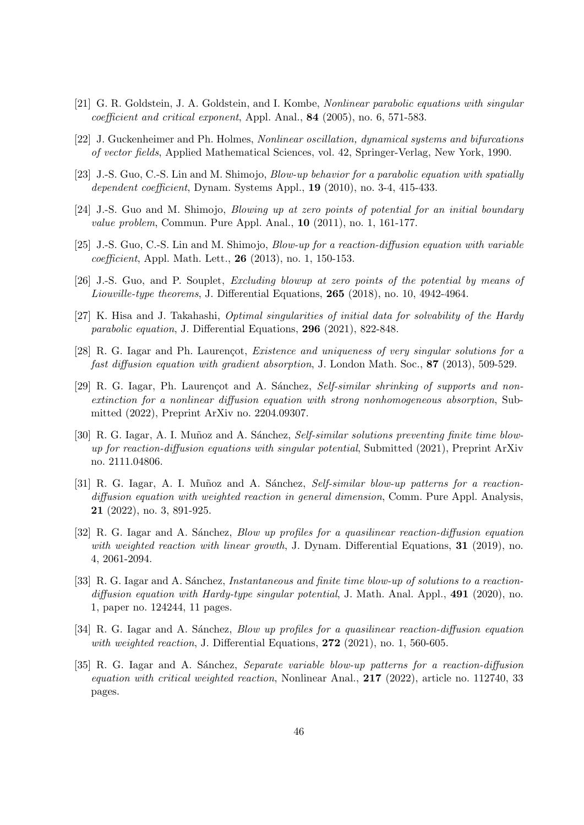- <span id="page-45-5"></span>[21] G. R. Goldstein, J. A. Goldstein, and I. Kombe, Nonlinear parabolic equations with singular coefficient and critical exponent, Appl. Anal., 84 (2005), no. 6, 571-583.
- <span id="page-45-10"></span>[22] J. Guckenheimer and Ph. Holmes, Nonlinear oscillation, dynamical systems and bifurcations of vector fields, Applied Mathematical Sciences, vol. 42, Springer-Verlag, New York, 1990.
- <span id="page-45-1"></span>[23] J.-S. Guo, C.-S. Lin and M. Shimojo, Blow-up behavior for a parabolic equation with spatially dependent coefficient, Dynam. Systems Appl., 19 (2010), no. 3-4, 415-433.
- <span id="page-45-2"></span>[24] J.-S. Guo and M. Shimojo, Blowing up at zero points of potential for an initial boundary value problem, Commun. Pure Appl. Anal., 10 (2011), no. 1, 161-177.
- <span id="page-45-3"></span>[25] J.-S. Guo, C.-S. Lin and M. Shimojo, *Blow-up for a reaction-diffusion equation with variable* coefficient, Appl. Math. Lett., 26 (2013), no. 1, 150-153.
- <span id="page-45-4"></span>[26] J.-S. Guo, and P. Souplet, Excluding blowup at zero points of the potential by means of Liouville-type theorems, J. Differential Equations, 265 (2018), no. 10, 4942-4964.
- <span id="page-45-6"></span>[27] K. Hisa and J. Takahashi, Optimal singularities of initial data for solvability of the Hardy parabolic equation, J. Differential Equations, 296 (2021), 822-848.
- <span id="page-45-11"></span>[28] R. G. Iagar and Ph. Laurençot, *Existence and uniqueness of very singular solutions for a* fast diffusion equation with gradient absorption, J. London Math. Soc., 87 (2013), 509-529.
- <span id="page-45-13"></span>[29] R. G. Iagar, Ph. Laurençot and A. Sánchez, Self-similar shrinking of supports and nonextinction for a nonlinear diffusion equation with strong nonhomogeneous absorption, Submitted (2022), Preprint ArXiv no. 2204.09307.
- <span id="page-45-8"></span>[30] R. G. Iagar, A. I. Muñoz and A. Sánchez, Self-similar solutions preventing finite time blowup for reaction-diffusion equations with singular potential, Submitted (2021), Preprint ArXiv no. 2111.04806.
- <span id="page-45-12"></span>[31] R. G. Iagar, A. I. Muñoz and A. Sánchez, Self-similar blow-up patterns for a reactiondiffusion equation with weighted reaction in general dimension, Comm. Pure Appl. Analysis, 21 (2022), no. 3, 891-925.
- <span id="page-45-7"></span>[32] R. G. Iagar and A. Sánchez, *Blow up profiles for a quasilinear reaction-diffusion equation* with weighted reaction with linear growth, J. Dynam. Differential Equations, 31 (2019), no. 4, 2061-2094.
- <span id="page-45-9"></span>[33] R. G. Iagar and A. Sánchez, Instantaneous and finite time blow-up of solutions to a reactiondiffusion equation with Hardy-type singular potential, J. Math. Anal. Appl., 491 (2020), no. 1, paper no. 124244, 11 pages.
- <span id="page-45-0"></span>[34] R. G. Iagar and A. Sánchez, *Blow up profiles for a quasilinear reaction-diffusion equation* with weighted reaction, J. Differential Equations,  $272$  (2021), no. 1, 560-605.
- <span id="page-45-14"></span>[35] R. G. Iagar and A. Sánchez, *Separate variable blow-up patterns for a reaction-diffusion* equation with critical weighted reaction, Nonlinear Anal.,  $217$  (2022), article no. 112740, 33 pages.